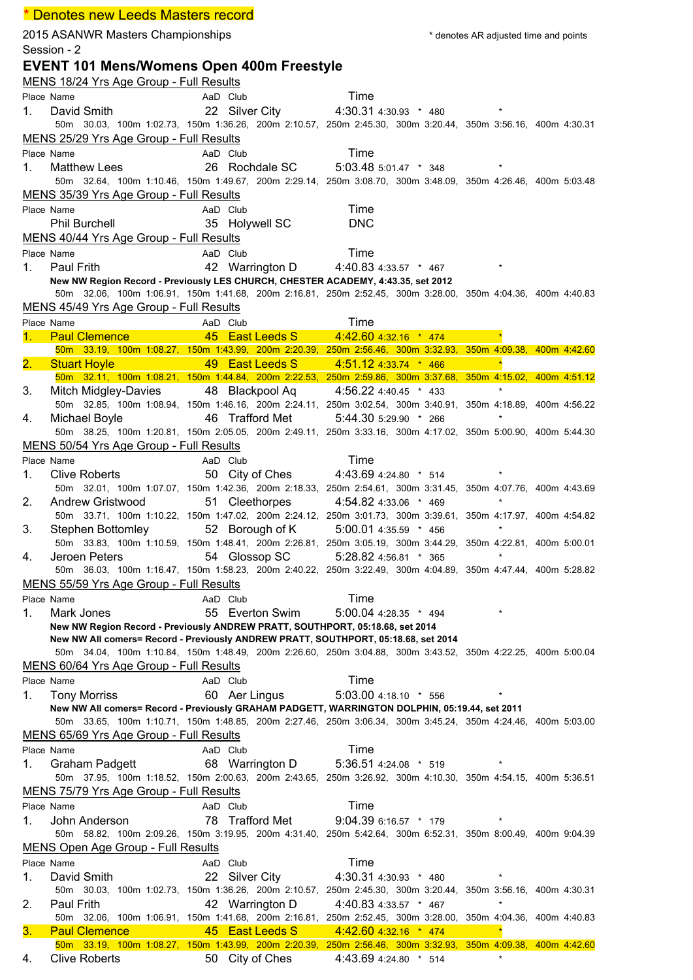## 2015 ASANWR Masters Championships **the endust of the set of the set of the set of the angle of the and points** the set of the set of the set of the set of the set of the set of the set of the set of the set of the set of t Session - 2 **EVENT 101 Mens/Womens Open 400m Freestyle** MENS 18/24 Yrs Age Group - Full Results Place Name **AaD** Club **Time** 1. David Smith 22 Silver City 4:30.31 4:30.93 \* 480 \* 50m 30.03, 100m 1:02.73, 150m 1:36.26, 200m 2:10.57, 250m 2:45.30, 300m 3:20.44, 350m 3:56.16, 400m 4:30.31 MENS 25/29 Yrs Age Group - Full Results Place Name **AaD Club** AaD Club Time 1. Matthew Lees 26 Rochdale SC 5:03.48 5:01.47  $*$  348 50m 32.64, 100m 1:10.46, 150m 1:49.67, 200m 2:29.14, 250m 3:08.70, 300m 3:48.09, 350m 4:26.46, 400m 5:03.48 MENS 35/39 Yrs Age Group - Full Results Place Name **AaD** Club Time Phil Burchell 35 Holywell SC DNC MENS 40/44 Yrs Age Group - Full Results Place Name **AaD** Club **Time** 1. Paul Frith 42 Warrington D 4:40.83 4:33.57 \* 467 \* **New NW Region Record - Previously LES CHURCH, CHESTER ACADEMY, 4:43.35, set 2012** 50m 32.06, 100m 1:06.91, 150m 1:41.68, 200m 2:16.81, 250m 2:52.45, 300m 3:28.00, 350m 4:04.36, 400m 4:40.83 MENS 45/49 Yrs Age Group - Full Results Place Name **AaD** Club Time 1. Paul Clemence 45 East Leeds S 4:42.60 4:32.16 \* 474 \* 50m 33.19, 100m 1:08.27, 150m 1:43.99, 200m 2:20.39, 250m 2:56.46, 300m 3:32.93, 350m 4:09.38, 400m 4:42.60 2. Stuart Hoyle 49 East Leeds S 4:51.12 4:33.74 \* 466 50m 32.11, 100m 1:08.21, 150m 1:44.84, 200m 2:22.53, 250m 2:59.86, 300m 3:37.68, 350m 4:15.02, 400m 4:51.12 3. Mitch Midgley-Davies 48 Blackpool Aq 4:56.22 4:40.45 \* 433 \* 50m 32.85, 100m 1:08.94, 150m 1:46.16, 200m 2:24.11, 250m 3:02.54, 300m 3:40.91, 350m 4:18.89, 400m 4:56.22 4. Michael Boyle 46 Trafford Met 5:44.30 5:29.90 \* 266 \* 50m 38.25, 100m 1:20.81, 150m 2:05.05, 200m 2:49.11, 250m 3:33.16, 300m 4:17.02, 350m 5:00.90, 400m 5:44.30 MENS 50/54 Yrs Age Group - Full Results Place Name **AaD** Club **Time** 1. Clive Roberts 50 City of Ches 4:43.69 4:24.80 \* 514 50m 32.01, 100m 1:07.07, 150m 1:42.36, 200m 2:18.33, 250m 2:54.61, 300m 3:31.45, 350m 4:07.76, 400m 4:43.69 2. Andrew Gristwood 51 Cleethorpes 4:54.82 4:33.06 \* 469 \* 50m 33.71, 100m 1:10.22, 150m 1:47.02, 200m 2:24.12, 250m 3:01.73, 300m 3:39.61, 350m 4:17.97, 400m 4:54.82 3. Stephen Bottomley 52 Borough of K 5:00.01 4:35.59 \* 456 \* 50m 33.83, 100m 1:10.59, 150m 1:48.41, 200m 2:26.81, 250m 3:05.19, 300m 3:44.29, 350m 4:22.81, 400m 5:00.01 4. Jeroen Peters 54 Glossop SC 5:28.82 4:56.81 \* 365 50m 36.03, 100m 1:16.47, 150m 1:58.23, 200m 2:40.22, 250m 3:22.49, 300m 4:04.89, 350m 4:47.44, 400m 5:28.82 MENS 55/59 Yrs Age Group - Full Results Place Name **AaD** Club **Time** 1. Mark Jones 55 Everton Swim 5:00.04 4:28.35 \* 494 \* **New NW Region Record - Previously ANDREW PRATT, SOUTHPORT, 05:18.68, set 2014 New NW All comers= Record - Previously ANDREW PRATT, SOUTHPORT, 05:18.68, set 2014** 50m 34.04, 100m 1:10.84, 150m 1:48.49, 200m 2:26.60, 250m 3:04.88, 300m 3:43.52, 350m 4:22.25, 400m 5:00.04 MENS 60/64 Yrs Age Group - Full Results Place Name **AaD** Club **Time** 1. Tony Morriss 60 Aer Lingus 5:03.00 4:18.10 \* 556 \* **New NW All comers= Record - Previously GRAHAM PADGETT, WARRINGTON DOLPHIN, 05:19.44, set 2011** 50m 33.65, 100m 1:10.71, 150m 1:48.85, 200m 2:27.46, 250m 3:06.34, 300m 3:45.24, 350m 4:24.46, 400m 5:03.00 MENS 65/69 Yrs Age Group - Full Results Place Name **AaD Club** AaD Club Time 1. Graham Padgett 68 Warrington D 5:36.51 4:24.08 \* 519 \* 50m 37.95, 100m 1:18.52, 150m 2:00.63, 200m 2:43.65, 250m 3:26.92, 300m 4:10.30, 350m 4:54.15, 400m 5:36.51 MENS 75/79 Yrs Age Group - Full Results Place Name **AaD** Club **Time** 1. John Anderson 78 Trafford Met 9:04.39 6:16.57 \* 179 \* 50m 58.82, 100m 2:09.26, 150m 3:19.95, 200m 4:31.40, 250m 5:42.64, 300m 6:52.31, 350m 8:00.49, 400m 9:04.39 MENS Open Age Group - Full Results Place Name **AaD Club** AaD Club Time 1. David Smith 22 Silver City 4:30.31 4:30.93 \* 480 \* 50m 30.03, 100m 1:02.73, 150m 1:36.26, 200m 2:10.57, 250m 2:45.30, 300m 3:20.44, 350m 3:56.16, 400m 4:30.31 2. Paul Frith 42 Warrington D 4:40.83 4:33.57 \* 467 50m 32.06, 100m 1:06.91, 150m 1:41.68, 200m 2:16.81, 250m 2:52.45, 300m 3:28.00, 350m 4:04.36, 400m 4:40.83 \* Denotes new Leeds Masters record

**3. Paul Clemence 2. Paul Clemence** 45 **East Leeds S** 4:42.60 4:32.16 \* 474 50m 33.19, 100m 1:08.27, 150m 1:43.99, 200m 2:20.39, 250m 2:56.46, 300m 3:32.93, 350m 4:09.38, 400m 4:42.60 4. Clive Roberts 50 City of Ches 4:43.69 4:24.80 \* 514 \*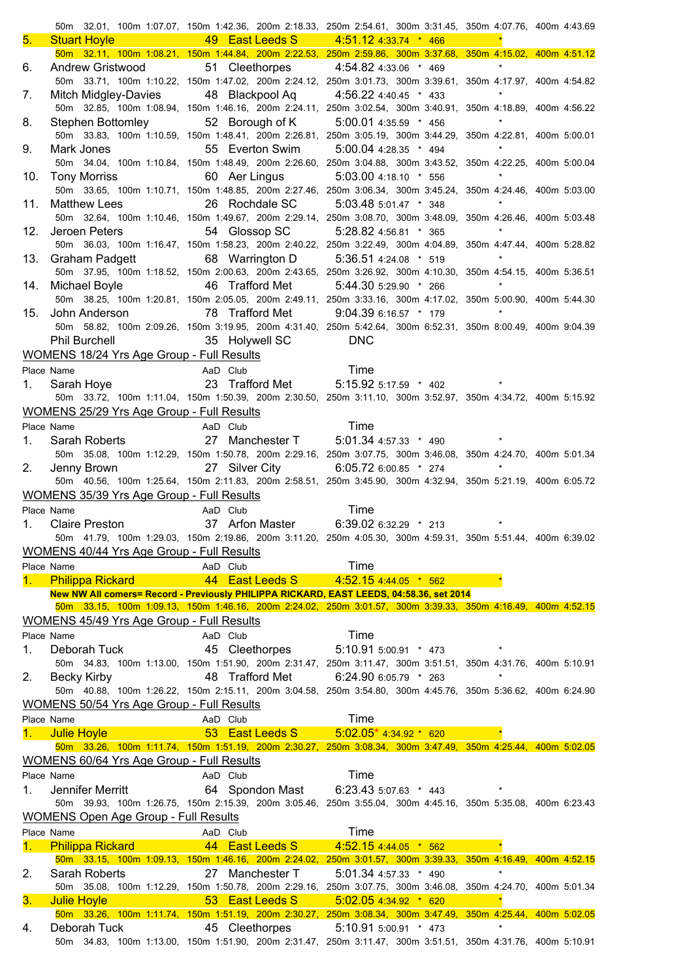|     |                                                                |                                                                                   | 50m 32.01, 100m 1:07.07, 150m 1:42.36, 200m 2:18.33, 250m 2:54.61, 300m 3:31.45, 350m 4:07.76, 400m 4:43.69                                          |         |
|-----|----------------------------------------------------------------|-----------------------------------------------------------------------------------|------------------------------------------------------------------------------------------------------------------------------------------------------|---------|
| 5.  |                                                                | Stuart Hoyle <b>49 East Leeds S</b> 4:51.12 4:33.74 * 466                         |                                                                                                                                                      |         |
|     |                                                                |                                                                                   | 50m 32.11, 100m 1:08.21, 150m 1:44.84, 200m 2:22.53, 250m 2:59.86, 300m 3:37.68, 350m 4:15.02, 400m 4:51.12                                          |         |
| 6.  |                                                                | Andrew Gristwood 51 Cleethorpes 4:54.82 4:33.06 * 469                             |                                                                                                                                                      | $\star$ |
|     |                                                                |                                                                                   | 50m 33.71, 100m 1:10.22, 150m 1:47.02, 200m 2:24.12, 250m 3:01.73, 300m 3:39.61, 350m 4:17.97, 400m 4:54.82                                          |         |
| 7.  |                                                                | Mitch Midgley-Davies 48 Blackpool Aq 4:56.22 4:40.45 * 433                        |                                                                                                                                                      | $\star$ |
|     |                                                                |                                                                                   | 50m 32.85, 100m 1:08.94, 150m 1:46.16, 200m 2:24.11, 250m 3:02.54, 300m 3:40.91, 350m 4:18.89, 400m 4:56.22                                          |         |
| 8.  |                                                                | Stephen Bottomley 52 Borough of K 5:00.01 4:35.59 * 456                           | 50m 33.83, 100m 1:10.59, 150m 1:48.41, 200m 2:26.81, 250m 3:05.19, 300m 3:44.29, 350m 4:22.81, 400m 5:00.01                                          |         |
| 9.  | Mark Jones                                                     | 55 Everton Swim 5:00.04 4:28.35 * 494                                             |                                                                                                                                                      |         |
|     |                                                                |                                                                                   | 50m 34.04, 100m 1:10.84, 150m 1:48.49, 200m 2:26.60, 250m 3:04.88, 300m 3:43.52, 350m 4:22.25, 400m 5:00.04                                          |         |
| 10. |                                                                | Tony Morriss 60 Aer Lingus 5:03.00 4:18.10 * 556                                  |                                                                                                                                                      |         |
|     |                                                                |                                                                                   | 50m 33.65, 100m 1:10.71, 150m 1:48.85, 200m 2:27.46, 250m 3:06.34, 300m 3:45.24, 350m 4:24.46, 400m 5:03.00                                          |         |
| 11. | <b>Matthew Lees</b>                                            |                                                                                   | 26 Rochdale SC 5:03.48 5:01.47 * 348                                                                                                                 |         |
|     |                                                                |                                                                                   | 50m 32.64, 100m 1:10.46, 150m 1:49.67, 200m 2:29.14, 250m 3:08.70, 300m 3:48.09, 350m 4:26.46, 400m 5:03.48                                          |         |
|     |                                                                | 12. Jeroen Peters 54 Glossop SC 5:28.82 4:56.81 * 365                             |                                                                                                                                                      | $\star$ |
|     |                                                                |                                                                                   | 50m 36.03, 100m 1:16.47, 150m 1:58.23, 200m 2:40.22, 250m 3:22.49, 300m 4:04.89, 350m 4:47.44, 400m 5:28.82                                          |         |
|     |                                                                | 13. Graham Padgett 68 Warrington D 5:36.51 4:24.08 * 519                          |                                                                                                                                                      | $\star$ |
|     |                                                                |                                                                                   | 50m 37.95, 100m 1:18.52, 150m 2:00.63, 200m 2:43.65, 250m 3:26.92, 300m 4:10.30, 350m 4:54.15, 400m 5:36.51                                          |         |
|     |                                                                |                                                                                   | 14. Michael Boyle <b>46 Trafford Met</b> 5:44.30 5:29.90 * 266 *                                                                                     |         |
|     |                                                                |                                                                                   | 50m 38.25, 100m 1:20.81, 150m 2:05.05, 200m 2:49.11, 250m 3:33.16, 300m 4:17.02, 350m 5:00.90, 400m 5:44.30                                          |         |
|     |                                                                |                                                                                   | 15. John Anderson 78 Trafford Met 9:04.39 6:16.57 * 179 *                                                                                            |         |
|     |                                                                |                                                                                   | 50m 58.82, 100m 2:09.26, 150m 3:19.95, 200m 4:31.40, 250m 5:42.64, 300m 6:52.31, 350m 8:00.49, 400m 9:04.39                                          |         |
|     |                                                                | Phil Burchell 35 Holywell SC DNC                                                  |                                                                                                                                                      |         |
|     | WOMENS 18/24 Yrs Age Group - Full Results                      |                                                                                   |                                                                                                                                                      |         |
|     | Place Name                                                     |                                                                                   | Name<br>Name<br>Sarah Hoye 23 Trafford Met 5:15.92 5:17.59 * 402 *                                                                                   |         |
| 1.  |                                                                |                                                                                   |                                                                                                                                                      |         |
|     |                                                                |                                                                                   | 50m 33.72, 100m 1:11.04, 150m 1:50.39, 200m 2:30.50, 250m 3:11.10, 300m 3:52.97, 350m 4:34.72, 400m 5:15.92                                          |         |
|     | <b>WOMENS 25/29 Yrs Age Group - Full Results</b>               |                                                                                   |                                                                                                                                                      |         |
|     | Place Name                                                     |                                                                                   | Name Manne AaD Club Time<br>Sarah Roberts 27 Manchester T 5:01.34 4:57.33 * 490 *                                                                    |         |
| 1.  |                                                                |                                                                                   |                                                                                                                                                      |         |
|     |                                                                |                                                                                   | 50m 35.08, 100m 1:12.29, 150m 1:50.78, 200m 2:29.16, 250m 3:07.75, 300m 3:46.08, 350m 4:24.70, 400m 5:01.34                                          |         |
| 2.  |                                                                |                                                                                   | Jenny Brown 27 Silver City 6:05.72 6:00.85 * 274 *                                                                                                   |         |
|     |                                                                |                                                                                   | 50m 40.56, 100m 1:25.64, 150m 2:11.83, 200m 2:58.51, 250m 3:45.90, 300m 4:32.94, 350m 5:21.19, 400m 6:05.72                                          |         |
|     | <b>WOMENS 35/39 Yrs Age Group - Full Results</b>               |                                                                                   |                                                                                                                                                      |         |
|     | Place Name                                                     |                                                                                   |                                                                                                                                                      |         |
|     |                                                                |                                                                                   |                                                                                                                                                      |         |
| 1.  |                                                                | Name Name AaD Club Time<br>Claire Preston 37 Arfon Master 6:39.02 6:32.29 * 213 * |                                                                                                                                                      |         |
|     |                                                                |                                                                                   | 50m 41.79, 100m 1:29.03, 150m 2:19.86, 200m 3:11.20, 250m 4:05.30, 300m 4:59.31, 350m 5:51.44, 400m 6:39.02                                          |         |
|     | <b>WOMENS 40/44 Yrs Age Group - Full Results</b>               |                                                                                   |                                                                                                                                                      |         |
|     | Place Name                                                     | AaD Club                                                                          | Time                                                                                                                                                 |         |
|     | 1. Philippa Rickard                                            | 44 East Leeds S                                                                   | 4:52.15 4:44.05 * 562                                                                                                                                |         |
|     |                                                                |                                                                                   | New NW All comers= Record - Previously PHILIPPA RICKARD, EAST LEEDS, 04:58.36, set 2014                                                              |         |
|     |                                                                |                                                                                   | 50m 33.15, 100m 1:09.13, 150m 1:46.16, 200m 2:24.02, 250m 3:01.57, 300m 3:39.33, 350m 4:16.49, 400m 4:52.15                                          |         |
|     | <b>WOMENS 45/49 Yrs Age Group - Full Results</b>               |                                                                                   |                                                                                                                                                      |         |
|     | Place Name                                                     | AaD Club                                                                          | Time                                                                                                                                                 |         |
| 1.  | Deborah Tuck                                                   | 45 Cleethorpes                                                                    | 5:10.91 5:00.91 * 473                                                                                                                                |         |
|     |                                                                |                                                                                   | 50m 34.83, 100m 1:13.00, 150m 1:51.90, 200m 2:31.47, 250m 3:11.47, 300m 3:51.51, 350m 4:31.76, 400m 5:10.91                                          | $\star$ |
| 2.  | <b>Becky Kirby</b>                                             | 48 Trafford Met                                                                   | 6:24.90 6:05.79 * 263                                                                                                                                |         |
|     |                                                                |                                                                                   | 50m 40.88, 100m 1:26.22, 150m 2:15.11, 200m 3:04.58, 250m 3:54.80, 300m 4:45.76, 350m 5:36.62, 400m 6:24.90                                          |         |
|     | <b>WOMENS 50/54 Yrs Age Group - Full Results</b>               |                                                                                   |                                                                                                                                                      |         |
|     | Place Name                                                     | AaD Club                                                                          | Time                                                                                                                                                 |         |
|     | 1. Julie Hoyle                                                 |                                                                                   | 53 East Leeds S 5:02.05* 4:34.92 * 620                                                                                                               |         |
|     |                                                                |                                                                                   | 50m 33.26, 100m 1:11.74, 150m 1:51.19, 200m 2:30.27, 250m 3:08.34, 300m 3:47.49, 350m 4:25.44, 400m 5:02.05                                          |         |
|     | <b>WOMENS 60/64 Yrs Age Group - Full Results</b><br>Place Name |                                                                                   |                                                                                                                                                      |         |
|     |                                                                | AaD Club                                                                          | Time                                                                                                                                                 |         |
| 1.  | Jennifer Merritt                                               |                                                                                   | 64 Spondon Mast 6:23.43 5:07.63 * 443                                                                                                                |         |
|     |                                                                |                                                                                   | 50m 39.93, 100m 1:26.75, 150m 2:15.39, 200m 3:05.46, 250m 3:55.04, 300m 4:45.16, 350m 5:35.08, 400m 6:23.43                                          |         |
|     | <b>WOMENS Open Age Group - Full Results</b>                    |                                                                                   |                                                                                                                                                      |         |
|     | Place Name                                                     | AaD Club                                                                          | Time                                                                                                                                                 |         |
| 1.  | <b>Philippa Rickard</b>                                        | 44 East Leeds S                                                                   | $4:52.154:44.05$ * 562                                                                                                                               |         |
|     | Sarah Roberts                                                  |                                                                                   | 50m 33.15, 100m 1:09.13, 150m 1:46.16, 200m 2:24.02, 250m 3:01.57, 300m 3:39.33, 350m 4:16.49, 400m 4:52.15<br>27 Manchester T 5:01.34 4:57.33 * 490 | $\star$ |
| 2.  |                                                                |                                                                                   | 50m 35.08, 100m 1:12.29, 150m 1:50.78, 200m 2:29.16, 250m 3:07.75, 300m 3:46.08, 350m 4:24.70, 400m 5:01.34                                          |         |
| 3.  | <b>Julie Hoyle</b>                                             |                                                                                   | 53 East Leeds S 5:02.05 4:34.92 * 620                                                                                                                |         |
|     |                                                                |                                                                                   | 50m 33.26, 100m 1:11.74, 150m 1:51.19, 200m 2:30.27, 250m 3:08.34, 300m 3:47.49, 350m 4:25.44, 400m 5:02.05                                          |         |
| 4.  | Deborah Tuck                                                   | 45 Cleethorpes                                                                    | $5:10.915:00.91$ * 473                                                                                                                               |         |

50m 34.83, 100m 1:13.00, 150m 1:51.90, 200m 2:31.47, 250m 3:11.47, 300m 3:51.51, 350m 4:31.76, 400m 5:10.91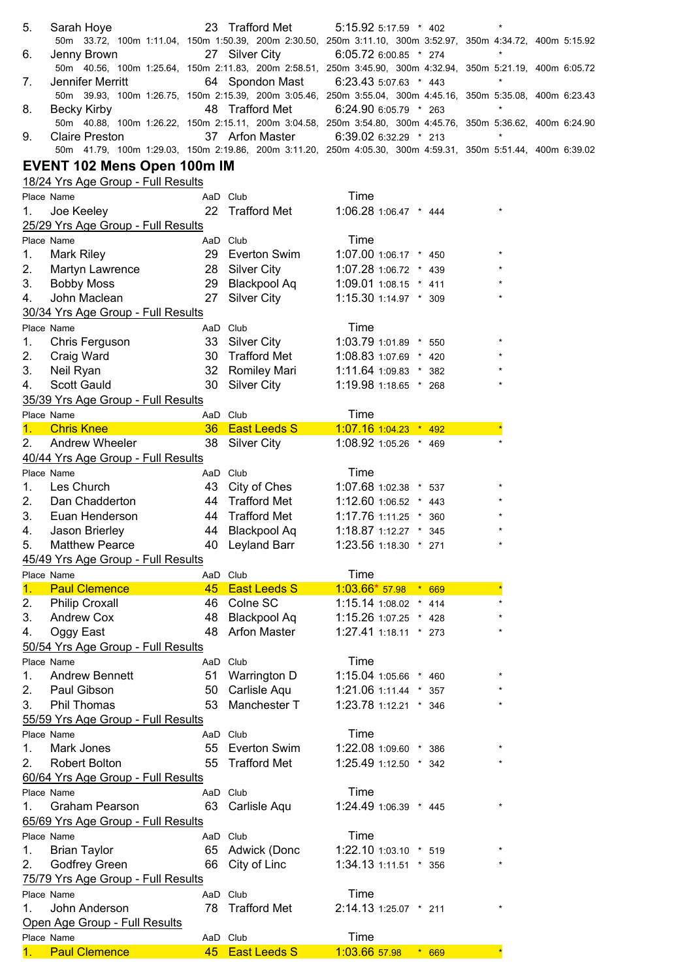| 5.               | Sarah Hoye                                                                                                                           |                 | 23 Trafford Met     | 5:15.92 5:17.59 * 402                 |         |         |  |
|------------------|--------------------------------------------------------------------------------------------------------------------------------------|-----------------|---------------------|---------------------------------------|---------|---------|--|
|                  | 50m 33.72, 100m 1:11.04, 150m 1:50.39, 200m 2:30.50, 250m 3:11.10, 300m 3:52.97, 350m 4:34.72, 400m 5:15.92                          |                 |                     |                                       |         |         |  |
| 6.               | Jenny Brown                                                                                                                          |                 | 27 Silver City      | 6:05.72 6:00.85 * 274                 |         |         |  |
|                  | 50m 40.56, 100m 1:25.64, 150m 2:11.83, 200m 2:58.51, 250m 3:45.90, 300m 4:32.94, 350m 5:21.19, 400m 6:05.72                          |                 |                     |                                       |         |         |  |
| 7.               | Jennifer Merritt                                                                                                                     |                 |                     | 64 Spondon Mast 6:23.43 5:07.63 * 443 |         | $\star$ |  |
|                  | 50m 39.93, 100m 1:26.75, 150m 2:15.39, 200m 3:05.46, 250m 3:55.04, 300m 4:45.16, 350m 5:35.08, 400m 6:23.43                          |                 |                     |                                       |         |         |  |
| 8.               | <b>Becky Kirby</b>                                                                                                                   |                 | 48 Trafford Met     | 6:24.90 6:05.79 * 263                 |         | $\star$ |  |
|                  | 50m 40.88, 100m 1:26.22, 150m 2:15.11, 200m 3:04.58, 250m 3:54.80, 300m 4:45.76, 350m 5:36.62, 400m 6:24.90                          |                 |                     |                                       |         | $\star$ |  |
| 9.               | <b>Claire Preston</b><br>50m 41.79, 100m 1:29.03, 150m 2:19.86, 200m 3:11.20, 250m 4:05.30, 300m 4:59.31, 350m 5:51.44, 400m 6:39.02 |                 |                     | 37 Arfon Master 6:39.02 6:32.29 * 213 |         |         |  |
|                  |                                                                                                                                      |                 |                     |                                       |         |         |  |
|                  | EVENT 102 Mens Open 100m IM                                                                                                          |                 |                     |                                       |         |         |  |
|                  | 18/24 Yrs Age Group - Full Results                                                                                                   |                 |                     |                                       |         |         |  |
| Place Name       |                                                                                                                                      | AaD Club        |                     | Time                                  |         |         |  |
| 1.               | Joe Keeley                                                                                                                           |                 | 22 Trafford Met     | 1:06.28 1:06.47 * 444                 |         |         |  |
|                  | 25/29 Yrs Age Group - Full Results                                                                                                   |                 |                     |                                       |         |         |  |
| Place Name       |                                                                                                                                      | AaD Club        |                     | Time                                  |         |         |  |
| 1.               | Mark Riley                                                                                                                           |                 | 29 Everton Swim     | 1:07.00 1:06.17 * 450                 |         |         |  |
| 2.               | Martyn Lawrence                                                                                                                      |                 | 28 Silver City      | 1:07.28 1:06.72 * 439                 |         |         |  |
| 3.               | <b>Bobby Moss</b>                                                                                                                    |                 | 29 Blackpool Aq     | $1:09.01$ 1:08.15 $*$ 411             |         |         |  |
| 4.               | John Maclean                                                                                                                         | 27              | <b>Silver City</b>  | 1:15.30 1:14.97 * 309                 |         |         |  |
|                  | 30/34 Yrs Age Group - Full Results                                                                                                   |                 |                     |                                       |         |         |  |
| Place Name       |                                                                                                                                      | AaD Club        |                     | Time                                  |         |         |  |
| 1.               | Chris Ferguson                                                                                                                       |                 | 33 Silver City      | 1:03.79 1:01.89 * 550                 |         |         |  |
| 2.               | Craig Ward                                                                                                                           | 30              | <b>Trafford Met</b> | 1:08.83 1:07.69 * 420                 |         |         |  |
| 3.               | Neil Ryan                                                                                                                            | 32 <sup>2</sup> | Romiley Mari        | $1:11.64$ 1:09.83 $*$ 382             |         |         |  |
| 4.               | Scott Gauld                                                                                                                          | 30              | <b>Silver City</b>  | 1:19.98 1:18.65 * 268                 |         |         |  |
|                  | 35/39 Yrs Age Group - Full Results                                                                                                   |                 |                     |                                       |         |         |  |
| Place Name       |                                                                                                                                      | AaD Club        |                     | Time                                  |         |         |  |
|                  | 1. Chris Knee                                                                                                                        |                 | 36 East Leeds S     | $1:07.16$ 1:04.23 $*$ 492             |         |         |  |
| 2.               | Andrew Wheeler                                                                                                                       |                 | 38 Silver City      | 1:08.92 1:05.26 * 469                 |         |         |  |
|                  | 40/44 Yrs Age Group - Full Results                                                                                                   |                 |                     |                                       |         |         |  |
| Place Name       |                                                                                                                                      | AaD Club        |                     | Time                                  |         |         |  |
| 1.               | Les Church                                                                                                                           |                 | 43 City of Ches     | 1:07.68 1:02.38 * 537                 |         |         |  |
| 2.               |                                                                                                                                      |                 | 44 Trafford Met     |                                       |         |         |  |
|                  | Dan Chadderton                                                                                                                       |                 |                     | 1:12.60 1:06.52 * 443                 |         |         |  |
| 3.               | Euan Henderson                                                                                                                       |                 | 44 Trafford Met     | 1:17.76 1:11.25 * 360                 |         |         |  |
| 4.               | Jason Brierley                                                                                                                       |                 | 44 Blackpool Aq     | 1:18.87 1:12.27 * 345                 |         |         |  |
| 5.               | <b>Matthew Pearce</b>                                                                                                                |                 | 40 Leyland Barr     | 1:23.56 1:18.30 * 271                 |         |         |  |
|                  | 45/49 Yrs Age Group - Full Results                                                                                                   |                 |                     |                                       |         |         |  |
| Place Name       |                                                                                                                                      | AaD Club        |                     | Time                                  |         |         |  |
| 1.               | <b>Paul Clemence</b>                                                                                                                 |                 | 45 East Leeds S     | $1:03.66*57.98*669$                   |         |         |  |
| 2.               | <b>Philip Croxall</b>                                                                                                                | 46              | Colne SC            | 1:15.14 1:08.02 * 414                 |         |         |  |
| 3.               | Andrew Cox                                                                                                                           | 48              | <b>Blackpool Aq</b> | 1:15.26 1:07.25 * 428                 |         |         |  |
| 4.               | Oggy East                                                                                                                            | 48              | <b>Arfon Master</b> | 1:27.41 1:18.11 * 273                 |         |         |  |
|                  | 50/54 Yrs Age Group - Full Results                                                                                                   |                 |                     |                                       |         |         |  |
| Place Name       |                                                                                                                                      | AaD Club        |                     | Time                                  |         |         |  |
| 1.               | <b>Andrew Bennett</b>                                                                                                                | 51              | Warrington D        | 1:15.04 1:05.66 * 460                 |         |         |  |
| 2.               | Paul Gibson                                                                                                                          | 50              | Carlisle Aqu        | 1:21.06 1:11.44 * 357                 |         |         |  |
| 3.               | Phil Thomas                                                                                                                          | 53              | Manchester T        | 1:23.78 1:12.21 * 346                 |         |         |  |
|                  | 55/59 Yrs Age Group - Full Results                                                                                                   |                 |                     |                                       |         |         |  |
| Place Name       |                                                                                                                                      | AaD Club        |                     | Time                                  |         |         |  |
| 1.               | Mark Jones                                                                                                                           |                 | 55 Everton Swim     | 1:22.08 1:09.60 * 386                 |         |         |  |
| 2.               | Robert Bolton                                                                                                                        |                 | 55 Trafford Met     | 1:25.49 1:12.50 * 342                 |         |         |  |
|                  | 60/64 Yrs Age Group - Full Results                                                                                                   |                 |                     |                                       |         |         |  |
| Place Name       |                                                                                                                                      | AaD Club        |                     | Time                                  |         |         |  |
| 1 <sub>1</sub>   | <b>Graham Pearson</b>                                                                                                                |                 | 63 Carlisle Aqu     | 1:24.49 1:06.39 * 445                 |         |         |  |
|                  | 65/69 Yrs Age Group - Full Results                                                                                                   |                 |                     |                                       |         |         |  |
| Place Name       |                                                                                                                                      | AaD Club        |                     | Time                                  |         |         |  |
| 1.               | <b>Brian Taylor</b>                                                                                                                  |                 | 65 Adwick (Donc     | 1:22.10 1:03.10 * 519                 |         |         |  |
| 2.               | Godfrey Green                                                                                                                        |                 | 66 City of Linc     | 1:34.13 1:11.51 * 356                 |         |         |  |
|                  | 75/79 Yrs Age Group - Full Results                                                                                                   |                 |                     |                                       |         |         |  |
| Place Name       |                                                                                                                                      | AaD Club        |                     | Time                                  |         |         |  |
| 1.               | John Anderson                                                                                                                        | 78              | <b>Trafford Met</b> | 2:14.13 1:25.07 * 211                 |         |         |  |
|                  | Open Age Group - Full Results                                                                                                        |                 |                     |                                       |         |         |  |
| Place Name<br>1. | <b>Paul Clemence</b>                                                                                                                 | AaD Club        | 45 East Leeds S     | Time<br>1:03.66 57.98                 | $* 669$ |         |  |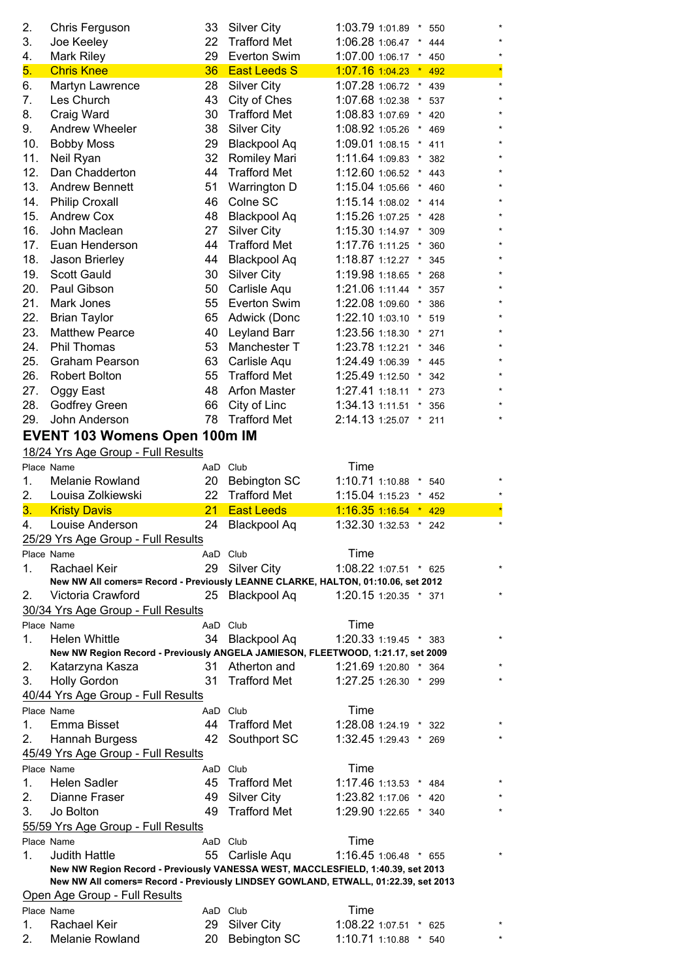| 2.         | Chris Ferguson                                                                     | 33       | <b>Silver City</b>                        | 1:03.79 1:01.89 *<br>550                  |         |
|------------|------------------------------------------------------------------------------------|----------|-------------------------------------------|-------------------------------------------|---------|
| 3.         | Joe Keeley                                                                         | 22       | <b>Trafford Met</b>                       | 1:06.28 1:06.47<br>444                    |         |
| 4.         | Mark Riley                                                                         | 29       | Everton Swim                              | 1:07.00 1:06.17<br>450<br>$\star$         |         |
| 5.         | <b>Chris Knee</b>                                                                  | 36       | <b>East Leeds S</b>                       | 1:07.16 1:04.23<br>492                    |         |
| 6.         | Martyn Lawrence                                                                    | 28       | <b>Silver City</b>                        | 1:07.28 1:06.72<br>439<br>$\star$         | $\star$ |
| 7.         | Les Church                                                                         | 43       | City of Ches                              | 1:07.68 1:02.38<br>537<br>$\star$         |         |
| 8.         | Craig Ward                                                                         | 30       | <b>Trafford Met</b>                       | 1:08.83 1:07.69<br>420                    |         |
| 9.         | Andrew Wheeler                                                                     | 38       | <b>Silver City</b>                        | 1:08.92 1:05.26<br>469<br>$\ast$          |         |
| 10.        | <b>Bobby Moss</b>                                                                  | 29       | <b>Blackpool Aq</b>                       | 1:09.01 1:08.15<br>$^\star$<br>411        |         |
| 11.        | Neil Ryan                                                                          | 32       | Romiley Mari                              | 1:11.64 1:09.83<br>382<br>$^\star$        |         |
| 12.        | Dan Chadderton                                                                     | 44       | <b>Trafford Met</b>                       | 1:12.60 1:06.52<br>$^\star$<br>443        |         |
| 13.        | <b>Andrew Bennett</b>                                                              | 51       | Warrington D                              | 1:15.04 1:05.66<br>$^\star$<br>460        |         |
| 14.        | <b>Philip Croxall</b>                                                              | 46       | Colne SC                                  | 1:15.14 1:08.02<br>414                    |         |
| 15.        | <b>Andrew Cox</b>                                                                  | 48       | <b>Blackpool Aq</b>                       | 1:15.26 1:07.25<br>428                    |         |
| 16.        | John Maclean                                                                       | 27       | <b>Silver City</b>                        | 1:15.30 1:14.97<br>309                    |         |
| 17.<br>18. | Euan Henderson                                                                     | 44<br>44 | <b>Trafford Met</b>                       | 1:17.76 1:11.25<br>360<br>1:18.87 1:12.27 |         |
| 19.        | Jason Brierley<br><b>Scott Gauld</b>                                               | 30       | <b>Blackpool Aq</b><br><b>Silver City</b> | 345<br>$\ast$<br>1:19.98 1:18.65<br>268   |         |
| 20.        | Paul Gibson                                                                        | 50       | Carlisle Aqu                              | 1:21.06 1:11.44<br>357                    |         |
| 21.        | Mark Jones                                                                         | 55       | Everton Swim                              | 1:22.08 1:09.60<br>386<br>$\ast$          |         |
| 22.        | <b>Brian Taylor</b>                                                                | 65       | Adwick (Donc                              | 1:22.10 1:03.10<br>519<br>$^\star$        |         |
| 23.        | <b>Matthew Pearce</b>                                                              | 40       | Leyland Barr                              | 1:23.56 1:18.30<br>271<br>$^\star$        |         |
| 24.        | <b>Phil Thomas</b>                                                                 | 53       | Manchester T                              | 1:23.78 1:12.21<br>$^\star$<br>346        |         |
| 25.        | <b>Graham Pearson</b>                                                              | 63       | Carlisle Aqu                              | 1:24.49 1:06.39<br>$^\star$<br>445        |         |
| 26.        | <b>Robert Bolton</b>                                                               | 55       | <b>Trafford Met</b>                       | 1:25.49 1:12.50<br>$^\star$<br>342        |         |
| 27.        | Oggy East                                                                          | 48       | <b>Arfon Master</b>                       | 1:27.41 1:18.11<br>273                    |         |
| 28.        | Godfrey Green                                                                      | 66       | City of Linc                              | 1:34.13 1:11.51<br>356                    |         |
| 29.        | John Anderson                                                                      | 78       | <b>Trafford Met</b>                       | 2:14.13 1:25.07<br>$^\star$<br>211        |         |
|            | <b>EVENT 103 Womens Open 100m IM</b>                                               |          |                                           |                                           |         |
|            | 18/24 Yrs Age Group - Full Results                                                 |          |                                           |                                           |         |
|            | Place Name                                                                         | AaD      | Club                                      | Time                                      |         |
| 1.         | <b>Melanie Rowland</b>                                                             | 20       | <b>Bebington SC</b>                       | 1:10.71 1:10.88<br>$\ast$<br>540          |         |
| 2.         | Louisa Zolkiewski                                                                  | 22       | <b>Trafford Met</b>                       | 1:15.04 1:15.23<br>452<br>*               |         |
| 3.         | <b>Kristy Davis</b>                                                                | 21       | <b>East Leeds</b>                         | 1:16.35 1:16.54<br>429                    |         |
| 4.         |                                                                                    |          |                                           |                                           |         |
|            | Louise Anderson                                                                    | 24       | <b>Blackpool Aq</b>                       | 1:32.30 1:32.53<br>$^\star$<br>242        |         |
|            | 25/29 Yrs Age Group - Full Results                                                 |          |                                           |                                           |         |
|            | Place Name                                                                         |          | AaD Club                                  | Time                                      |         |
| 1.         | Rachael Keir                                                                       | 29       | <b>Silver City</b>                        | 1:08.22 1:07.51 * 625                     |         |
|            | New NW All comers= Record - Previously LEANNE CLARKE, HALTON, 01:10.06, set 2012   |          |                                           |                                           |         |
| 2.         | Victoria Crawford                                                                  | 25       | <b>Blackpool Aq</b>                       | 1:20.15 1:20.35 * 371                     |         |
|            | 30/34 Yrs Age Group - Full Results                                                 |          |                                           |                                           |         |
|            | Place Name                                                                         |          | AaD Club                                  | Time                                      | $\star$ |
| 1.         | <b>Helen Whittle</b>                                                               | 34       | <b>Blackpool Aq</b>                       | 1:20.33 1:19.45 * 383                     |         |
| 2.         | New NW Region Record - Previously ANGELA JAMIESON, FLEETWOOD, 1:21.17, set 2009    |          | 31 Atherton and                           | 1:21.69 1:20.80 * 364                     |         |
| 3.         | Katarzyna Kasza<br><b>Holly Gordon</b>                                             | 31       | <b>Trafford Met</b>                       | 1:27.25 1:26.30 * 299                     |         |
|            |                                                                                    |          |                                           |                                           |         |
|            | 40/44 Yrs Age Group - Full Results<br>Place Name                                   |          | AaD Club                                  | Time                                      |         |
| 1.         | Emma Bisset                                                                        | 44       | <b>Trafford Met</b>                       | 1:28.08 1:24.19 * 322                     |         |
| 2.         | Hannah Burgess                                                                     | 42       | Southport SC                              | 1:32.45 1:29.43 * 269                     |         |
|            | 45/49 Yrs Age Group - Full Results                                                 |          |                                           |                                           |         |
|            | Place Name                                                                         |          | AaD Club                                  | Time                                      |         |
| 1.         | <b>Helen Sadler</b>                                                                | 45       | <b>Trafford Met</b>                       | 1:17.46 1:13.53 * 484                     |         |
| 2.         | Dianne Fraser                                                                      | 49       | <b>Silver City</b>                        | 1:23.82 1:17.06 *<br>420                  |         |
| 3.         | Jo Bolton                                                                          | 49       | <b>Trafford Met</b>                       | 1:29.90 1:22.65 * 340                     |         |
|            | 55/59 Yrs Age Group - Full Results                                                 |          |                                           |                                           |         |
|            | Place Name                                                                         |          | AaD Club                                  | Time                                      |         |
| 1.         | <b>Judith Hattle</b>                                                               | 55       | Carlisle Aqu                              | 1:16.45 1:06.48 * 655                     |         |
|            | New NW Region Record - Previously VANESSA WEST, MACCLESFIELD, 1:40.39, set 2013    |          |                                           |                                           |         |
|            | New NW All comers= Record - Previously LINDSEY GOWLAND, ETWALL, 01:22.39, set 2013 |          |                                           |                                           |         |
|            | Open Age Group - Full Results<br>Place Name                                        |          | AaD Club                                  | Time                                      |         |
| 1.         | Rachael Keir                                                                       | 29       | <b>Silver City</b>                        | 1:08.22 1:07.51 * 625                     |         |
| 2.         | Melanie Rowland                                                                    | 20       | Bebington SC                              | 1:10.71 1:10.88 * 540                     |         |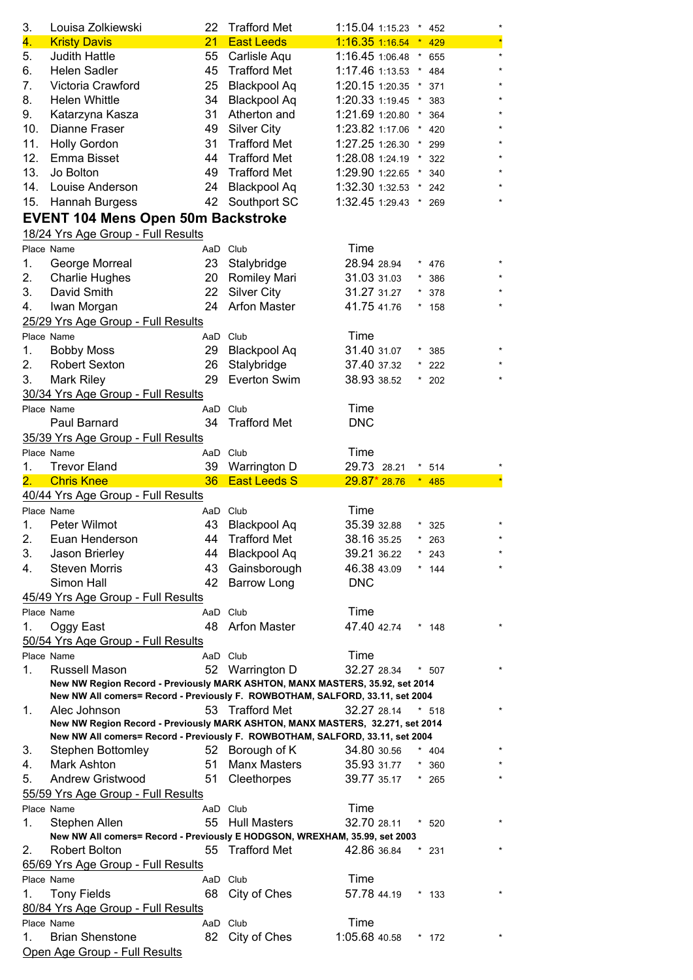| 3.<br>4.   | Louisa Zolkiewski                                                                           | 22<br>21 | <b>Trafford Met</b><br><b>East Leeds</b>   | 1:15.04 1:15.23 * 452<br>1:16.35 1:16.54 * 429 |                            | ×<br>× |
|------------|---------------------------------------------------------------------------------------------|----------|--------------------------------------------|------------------------------------------------|----------------------------|--------|
|            | <b>Kristy Davis</b>                                                                         |          |                                            |                                                |                            |        |
| 5.<br>6.   | <b>Judith Hattle</b><br><b>Helen Sadler</b>                                                 | 55<br>45 | Carlisle Aqu<br><b>Trafford Met</b>        | 1:16.45 1:06.48<br>1:17.46 1:13.53             | $\star$<br>655<br>$^\star$ |        |
| 7.         | Victoria Crawford                                                                           | 25       |                                            | 1:20.15 1:20.35                                | 484                        |        |
| 8.         | <b>Helen Whittle</b>                                                                        | 34       | <b>Blackpool Aq</b><br><b>Blackpool Aq</b> |                                                | 371                        |        |
| 9.         |                                                                                             | 31       | Atherton and                               | 1:20.33 1:19.45<br>1:21.69 1:20.80             | 383                        |        |
| 10.        | Katarzyna Kasza<br>Dianne Fraser                                                            | 49       |                                            | 1:23.82 1:17.06                                | 364                        |        |
|            |                                                                                             |          | <b>Silver City</b><br><b>Trafford Met</b>  |                                                | 420                        |        |
| 11.<br>12. | <b>Holly Gordon</b><br>Emma Bisset                                                          | 31       |                                            | 1:27.25 1:26.30                                | 299                        |        |
| 13.        | Jo Bolton                                                                                   | 44       | <b>Trafford Met</b><br><b>Trafford Met</b> | 1:28.08 1:24.19<br>1:29.90 1:22.65             | 322                        |        |
|            |                                                                                             | 49       |                                            |                                                | 340                        |        |
| 14.        | Louise Anderson                                                                             | 24       | <b>Blackpool Aq</b>                        | 1:32.30 1:32.53                                | 242                        |        |
| 15.        | Hannah Burgess                                                                              | 42       | Southport SC                               | 1:32.45 1:29.43 *                              | 269                        |        |
|            | <b>EVENT 104 Mens Open 50m Backstroke</b>                                                   |          |                                            |                                                |                            |        |
|            | 18/24 Yrs Age Group - Full Results                                                          |          |                                            |                                                |                            |        |
|            | Place Name                                                                                  | AaD Club |                                            | Time                                           |                            |        |
| 1.         | George Morreal                                                                              | 23       | Stalybridge                                | 28.94 28.94                                    | 476                        |        |
| 2.         | <b>Charlie Hughes</b>                                                                       | 20       | <b>Romiley Mari</b>                        | 31.03 31.03                                    | 386                        |        |
| 3.         | David Smith                                                                                 | 22       | <b>Silver City</b>                         | 31.27 31.27                                    | 378                        |        |
| 4.         | Iwan Morgan                                                                                 | 24       | <b>Arfon Master</b>                        | 41.75 41.76                                    | $\star$<br>158             |        |
|            | 25/29 Yrs Age Group - Full Results                                                          |          |                                            |                                                |                            |        |
|            | Place Name                                                                                  | AaD Club |                                            | Time                                           |                            |        |
| 1.         | <b>Bobby Moss</b>                                                                           | 29       | <b>Blackpool Aq</b>                        | 31.40 31.07                                    | $\star$<br>385             |        |
| 2.         | <b>Robert Sexton</b>                                                                        | 26       | Stalybridge                                | 37.40 37.32                                    | 222                        |        |
| 3.         | <b>Mark Riley</b>                                                                           | 29       | Everton Swim                               | 38.93 38.52                                    | $*$ 202                    |        |
|            | 30/34 Yrs Age Group - Full Results                                                          |          |                                            |                                                |                            |        |
|            | Place Name                                                                                  | AaD      | Club                                       | Time                                           |                            |        |
|            | Paul Barnard                                                                                | 34       | <b>Trafford Met</b>                        | <b>DNC</b>                                     |                            |        |
|            | 35/39 Yrs Age Group - Full Results                                                          |          |                                            |                                                |                            |        |
|            | Place Name                                                                                  | AaD Club |                                            | Time                                           |                            |        |
| 1.         | <b>Trevor Eland</b>                                                                         | 39       | Warrington D                               | 29.73 28.21                                    | 514                        |        |
| 2.         | <b>Chris Knee</b>                                                                           | 36       | <b>East Leeds S</b>                        | 29.87 * 28.76                                  | 485<br>$\star$             |        |
|            |                                                                                             |          |                                            |                                                |                            |        |
|            | 40/44 Yrs Age Group - Full Results                                                          |          |                                            |                                                |                            |        |
|            | Place Name                                                                                  | AaD Club |                                            | Time                                           |                            |        |
| 1.         | Peter Wilmot                                                                                | 43       | Blackpool Aq                               | 35.39 32.88                                    | 325                        |        |
| 2.         | Euan Henderson                                                                              |          | 44 Trafford Met                            | 38.16 35.25                                    | $* 263$                    |        |
| 3.         | Jason Brierley                                                                              | 44       | <b>Blackpool Aq</b>                        | 39.21 36.22                                    | 243                        |        |
| 4.         | <b>Steven Morris</b>                                                                        | 43       | Gainsborough                               | 46.38 43.09                                    | $*$ 144                    |        |
|            | Simon Hall                                                                                  | 42       | <b>Barrow Long</b>                         | <b>DNC</b>                                     |                            |        |
|            | 45/49 Yrs Age Group - Full Results                                                          |          |                                            |                                                |                            |        |
|            | Place Name                                                                                  | AaD Club |                                            | Time                                           |                            |        |
| 1.         | Oggy East                                                                                   | 48       | <b>Arfon Master</b>                        | 47.40 42.74                                    | * 148                      |        |
|            | 50/54 Yrs Age Group - Full Results                                                          |          |                                            |                                                |                            |        |
|            | Place Name                                                                                  | AaD Club |                                            | Time                                           |                            |        |
| 1.         | Russell Mason                                                                               | 52       | Warrington D                               | 32.27 28.34                                    | $*$ 507                    |        |
|            | New NW Region Record - Previously MARK ASHTON, MANX MASTERS, 35.92, set 2014                |          |                                            |                                                |                            |        |
|            | New NW All comers= Record - Previously F. ROWBOTHAM, SALFORD, 33.11, set 2004               |          |                                            |                                                |                            |        |
| 1.         | Alec Johnson                                                                                | 53       | <b>Trafford Met</b>                        | 32.27 28.14                                    | $*518$                     |        |
|            | New NW Region Record - Previously MARK ASHTON, MANX MASTERS, 32.271, set 2014               |          |                                            |                                                |                            |        |
|            | New NW All comers= Record - Previously F. ROWBOTHAM, SALFORD, 33.11, set 2004               |          |                                            |                                                |                            |        |
| 3.         | <b>Stephen Bottomley</b>                                                                    | 52       | Borough of K                               | 34.80 30.56                                    | $*$ 404                    |        |
| 4.<br>5.   | Mark Ashton                                                                                 | 51       | <b>Manx Masters</b>                        | 35.93 31.77                                    | 360                        |        |
|            | <b>Andrew Gristwood</b>                                                                     | 51       | Cleethorpes                                | 39.77 35.17                                    | $*265$                     |        |
|            | 55/59 Yrs Age Group - Full Results                                                          |          |                                            |                                                |                            |        |
|            | Place Name                                                                                  | AaD Club |                                            | Time                                           |                            |        |
| 1.         | Stephen Allen                                                                               | 55       | <b>Hull Masters</b>                        | 32.70 28.11                                    | $*520$                     |        |
| 2.         | New NW All comers= Record - Previously E HODGSON, WREXHAM, 35.99, set 2003<br>Robert Bolton | 55       | <b>Trafford Met</b>                        | 42.86 36.84                                    | $*231$                     |        |
|            |                                                                                             |          |                                            |                                                |                            |        |
|            | 65/69 Yrs Age Group - Full Results<br>Place Name                                            | AaD Club |                                            | Time                                           |                            |        |
| 1.         |                                                                                             | 68       |                                            |                                                | $*$ 133                    |        |
|            | <b>Tony Fields</b>                                                                          |          | City of Ches                               | 57.78 44.19                                    |                            |        |
|            | 80/84 Yrs Age Group - Full Results<br>Place Name                                            | AaD Club |                                            | Time                                           |                            |        |
| 1.         | <b>Brian Shenstone</b>                                                                      | 82       | City of Ches                               | 1:05.68 40.58                                  | * 172                      |        |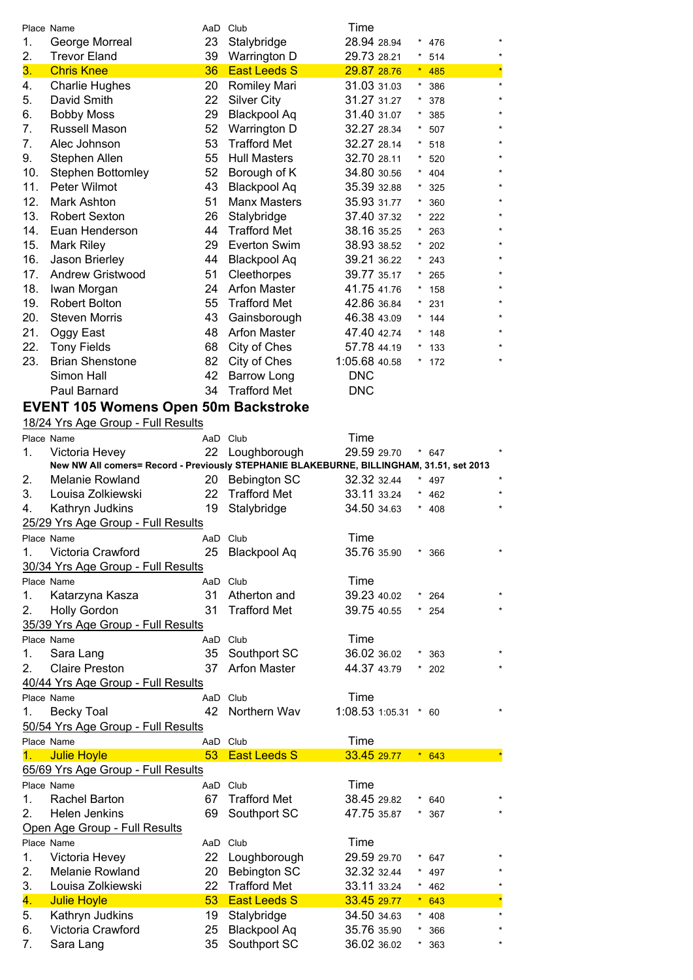|     | Place Name             | AaD | Club                | Time          |         |         |         |
|-----|------------------------|-----|---------------------|---------------|---------|---------|---------|
| 1.  | George Morreal         | 23  | Stalybridge         | 28.94 28.94   |         | $*$ 476 | $\star$ |
| 2.  | <b>Trevor Eland</b>    | 39  | Warrington D        | 29.73 28.21   | $\star$ | 514     | $\star$ |
| 3.  | <b>Chris Knee</b>      | 36  | <b>East Leeds S</b> | 29.87 28.76   |         | $*$ 485 | $\star$ |
| 4.  | <b>Charlie Hughes</b>  | 20  | Romiley Mari        | 31.03 31.03   | $\star$ | 386     | $\star$ |
| 5.  | David Smith            | 22  | <b>Silver City</b>  | 31.27 31.27   |         | 378     | $\star$ |
| 6.  | <b>Bobby Moss</b>      | 29  | Blackpool Aq        | 31.40 31.07   | *       | 385     |         |
| 7.  | Russell Mason          | 52  | Warrington D        | 32.27 28.34   |         | $*507$  | $\star$ |
| 7.  | Alec Johnson           | 53  | <b>Trafford Met</b> | 32.27 28.14   |         | $* 518$ | $\star$ |
| 9.  | Stephen Allen          | 55  | <b>Hull Masters</b> | 32.70 28.11   |         | $*520$  | $\star$ |
| 10. | Stephen Bottomley      | 52  | Borough of K        | 34.80 30.56   |         | * $404$ | $\star$ |
| 11. | Peter Wilmot           | 43  | <b>Blackpool Aq</b> | 35.39 32.88   |         | 325     |         |
| 12. | Mark Ashton            | 51  | <b>Manx Masters</b> | 35.93 31.77   |         | 360     | $\star$ |
| 13. | <b>Robert Sexton</b>   | 26  | Stalybridge         | 37.40 37.32   | *       | 222     | $\star$ |
| 14. | Euan Henderson         | 44  | <b>Trafford Met</b> | 38.16 35.25   |         | $*$ 263 | $\star$ |
| 15. | Mark Riley             | 29  | Everton Swim        | 38.93 38.52   |         | $*$ 202 | $\star$ |
| 16. | Jason Brierley         | 44  | Blackpool Aq        | 39.21 36.22   |         | $*243$  | $\star$ |
| 17. | Andrew Gristwood       | 51  | Cleethorpes         | 39.77 35.17   | $\star$ | 265     | $\star$ |
| 18. | Iwan Morgan            | 24  | <b>Arfon Master</b> | 41.75 41.76   |         | $*$ 158 |         |
| 19. | Robert Bolton          | 55  | <b>Trafford Met</b> | 42.86 36.84   | $\star$ | 231     |         |
| 20. | <b>Steven Morris</b>   | 43  | Gainsborough        | 46.38 43.09   |         | $*$ 144 | $\star$ |
| 21. | Oggy East              | 48  | <b>Arfon Master</b> | 47.40 42.74   |         | $*148$  |         |
| 22. | <b>Tony Fields</b>     | 68  | City of Ches        | 57.78 44.19   |         | $*$ 133 |         |
| 23. | <b>Brian Shenstone</b> | 82  | City of Ches        | 1:05.68 40.58 |         | $*$ 172 |         |
|     | Simon Hall             | 42  | Barrow Long         | <b>DNC</b>    |         |         |         |
|     | Paul Barnard           | 34  | <b>Trafford Met</b> | <b>DNC</b>    |         |         |         |

## **EVENT 105 Womens Open 50m Backstroke**

## 18/24 Yrs Age Group - Full Results

|         | Place Name                                                                               |     | AaD Club            | Time            |            |         |  |
|---------|------------------------------------------------------------------------------------------|-----|---------------------|-----------------|------------|---------|--|
| 1.      | Victoria Hevey                                                                           | 22  | Loughborough        | 29.59 29.70     |            | $* 647$ |  |
|         | New NW All comers= Record - Previously STEPHANIE BLAKEBURNE, BILLINGHAM, 31.51, set 2013 |     |                     |                 |            |         |  |
| 2.      | Melanie Rowland                                                                          | 20  | <b>Bebington SC</b> | 32.32 32.44     |            | $*$ 497 |  |
| 3.      | Louisa Zolkiewski                                                                        | 22  | <b>Trafford Met</b> | 33.11 33.24     |            | 462     |  |
| 4.      | Kathryn Judkins                                                                          | 19  | Stalybridge         | 34.50 34.63     |            | 408     |  |
|         | 25/29 Yrs Age Group - Full Results                                                       |     |                     |                 |            |         |  |
|         | Place Name                                                                               |     | AaD Club            | Time            |            |         |  |
| 1.      | Victoria Crawford                                                                        | 25  | <b>Blackpool Aq</b> | 35.76 35.90     | $^{\star}$ | 366     |  |
|         | 30/34 Yrs Age Group - Full Results                                                       |     |                     |                 |            |         |  |
|         | Place Name                                                                               |     | AaD Club            | Time            |            |         |  |
| 1.      | Katarzyna Kasza                                                                          | 31  | Atherton and        | 39.23 40.02     |            | 264     |  |
| 2.      | <b>Holly Gordon</b>                                                                      | 31  | <b>Trafford Met</b> | 39.75 40.55     |            | 254     |  |
|         | 35/39 Yrs Age Group - Full Results                                                       |     |                     |                 |            |         |  |
|         | Place Name                                                                               | AaD | Club                | Time            |            |         |  |
| 1.      | Sara Lang                                                                                | 35  | Southport SC        | 36.02 36.02     |            | 363     |  |
| $2_{-}$ | <b>Claire Preston</b>                                                                    | 37  | <b>Arfon Master</b> | 44.37 43.79     |            | 202     |  |
|         | 40/44 Yrs Age Group - Full Results                                                       |     |                     |                 |            |         |  |
|         | Place Name                                                                               |     | AaD Club            | Time            |            |         |  |
| 1.      | <b>Becky Toal</b>                                                                        | 42  | Northern Wav        | 1:08.53 1:05.31 |            | $*$ 60  |  |
|         | 50/54 Yrs Age Group - Full Results                                                       |     |                     |                 |            |         |  |
|         | Place Name                                                                               |     | AaD Club            | Time            |            |         |  |
| 1.      | <b>Julie Hoyle</b>                                                                       | 53  | <b>East Leeds S</b> | 33.45 29.77     |            | $* 643$ |  |
|         | 65/69 Yrs Age Group - Full Results                                                       |     |                     |                 |            |         |  |
|         | Place Name                                                                               |     | AaD Club            | Time            |            |         |  |
| 1.      | <b>Rachel Barton</b>                                                                     | 67  | <b>Trafford Met</b> | 38.45 29.82     |            | 640     |  |
| 2.      | <b>Helen Jenkins</b>                                                                     | 69  | Southport SC        | 47.75 35.87     |            | 367     |  |
|         | Open Age Group - Full Results                                                            |     |                     |                 |            |         |  |
|         | Place Name                                                                               |     | AaD Club            | Time            |            |         |  |
| 1.      | Victoria Hevey                                                                           | 22  | Loughborough        | 29.59 29.70     |            | 647     |  |
| 2.      | <b>Melanie Rowland</b>                                                                   | 20  | <b>Bebington SC</b> | 32.32 32.44     |            | 497     |  |
| 3.      | Louisa Zolkiewski                                                                        | 22  | <b>Trafford Met</b> | 33.11 33.24     |            | 462     |  |
| 4.      | <b>Julie Hoyle</b>                                                                       | 53  | <b>East Leeds S</b> | 33.45 29.77     |            | 643     |  |
| 5.      | Kathryn Judkins                                                                          | 19  | Stalybridge         | 34.50 34.63     |            | 408     |  |
| 6.      | Victoria Crawford                                                                        | 25  | <b>Blackpool Aq</b> | 35.76 35.90     |            | 366     |  |
| 7.      | Sara Lang                                                                                | 35  | Southport SC        | 36.02 36.02     | $\star$    | 363     |  |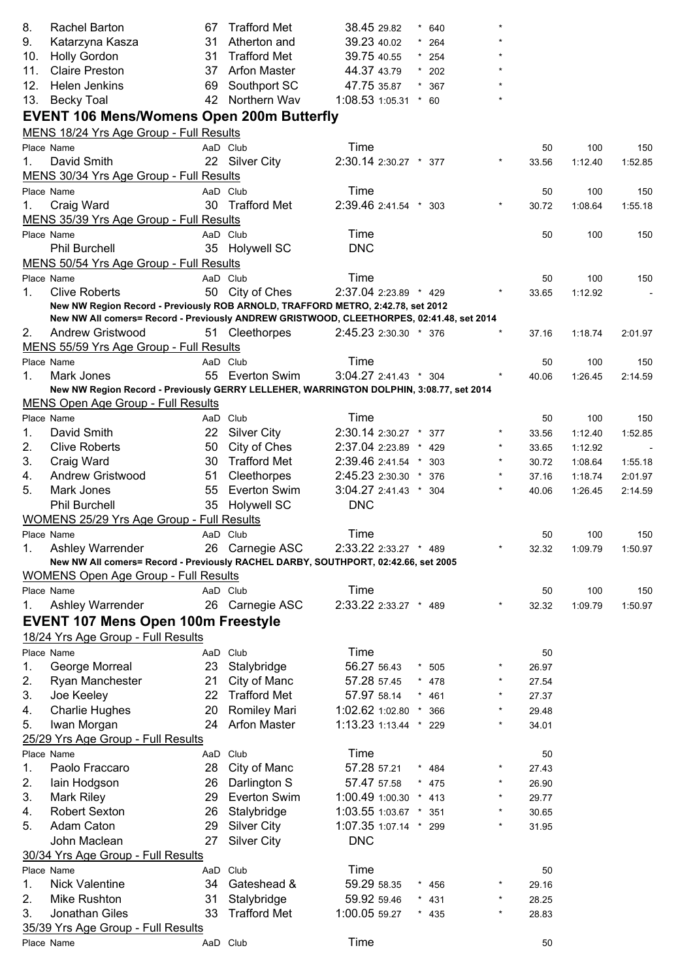| 8.  | Rachel Barton                                                                            | 67 | <b>Trafford Met</b>        | 38.45 29.82           | $^\star$ | 640     |            |                |         |         |
|-----|------------------------------------------------------------------------------------------|----|----------------------------|-----------------------|----------|---------|------------|----------------|---------|---------|
| 9.  | Katarzyna Kasza                                                                          | 31 | Atherton and               | 39.23 40.02           |          | 264     |            |                |         |         |
| 10. | <b>Holly Gordon</b>                                                                      | 31 | <b>Trafford Met</b>        | 39.75 40.55           |          | $*$ 254 |            |                |         |         |
| 11. | <b>Claire Preston</b>                                                                    | 37 | <b>Arfon Master</b>        | 44.37 43.79           |          | $*$ 202 |            |                |         |         |
| 12. | <b>Helen Jenkins</b>                                                                     | 69 | Southport SC               | 47.75 35.87           |          | 367     |            |                |         |         |
| 13. | <b>Becky Toal</b>                                                                        | 42 | Northern Wav               | 1:08.53 1:05.31       |          | $*$ 60  |            |                |         |         |
|     | <b>EVENT 106 Mens/Womens Open 200m Butterfly</b>                                         |    |                            |                       |          |         |            |                |         |         |
|     | MENS 18/24 Yrs Age Group - Full Results                                                  |    |                            |                       |          |         |            |                |         |         |
|     | Place Name                                                                               |    | AaD Club                   | Time                  |          |         |            | 50             | 100     | 150     |
| 1.  | David Smith                                                                              |    | 22 Silver City             | 2:30.14 2:30.27 * 377 |          |         |            | 33.56          | 1:12.40 | 1:52.85 |
|     | MENS 30/34 Yrs Age Group - Full Results                                                  |    |                            |                       |          |         |            |                |         |         |
|     | Place Name                                                                               |    | AaD Club                   | Time                  |          |         |            | 50             | 100     | 150     |
| 1.  | Craig Ward                                                                               |    | 30 Trafford Met            | 2:39.46 2:41.54 *     |          | 303     |            | 30.72          | 1:08.64 | 1:55.18 |
|     | MENS 35/39 Yrs Age Group - Full Results                                                  |    |                            |                       |          |         |            |                |         |         |
|     | Place Name                                                                               |    | AaD Club                   | Time                  |          |         |            | 50             | 100     | 150     |
|     | <b>Phil Burchell</b>                                                                     |    | 35 Holywell SC             | <b>DNC</b>            |          |         |            |                |         |         |
|     | MENS 50/54 Yrs Age Group - Full Results                                                  |    |                            |                       |          |         |            |                |         |         |
|     | Place Name                                                                               |    | AaD Club                   | Time                  |          |         |            | 50             | 100     | 150     |
| 1.  | <b>Clive Roberts</b>                                                                     |    | 50 City of Ches            | 2:37.04 2:23.89 * 429 |          |         |            | 33.65          | 1:12.92 |         |
|     | New NW Region Record - Previously ROB ARNOLD, TRAFFORD METRO, 2:42.78, set 2012          |    |                            |                       |          |         |            |                |         |         |
|     | New NW All comers= Record - Previously ANDREW GRISTWOOD, CLEETHORPES, 02:41.48, set 2014 |    |                            |                       |          |         |            |                |         |         |
| 2.  | Andrew Gristwood                                                                         |    | 51 Cleethorpes             | 2:45.23 2:30.30 * 376 |          |         |            | 37.16          | 1:18.74 | 2:01.97 |
|     | MENS 55/59 Yrs Age Group - Full Results                                                  |    |                            |                       |          |         |            |                |         |         |
|     | Place Name                                                                               |    | AaD Club                   | Time                  |          |         |            | 50             | 100     | 150     |
| 1.  | Mark Jones                                                                               |    | 55 Everton Swim            | 3:04.27 2:41.43 * 304 |          |         |            | 40.06          | 1:26.45 | 2:14.59 |
|     | New NW Region Record - Previously GERRY LELLEHER, WARRINGTON DOLPHIN, 3:08.77, set 2014  |    |                            |                       |          |         |            |                |         |         |
|     | <b>MENS Open Age Group - Full Results</b>                                                |    |                            |                       |          |         |            |                |         |         |
|     | Place Name                                                                               |    | AaD Club                   | Time                  |          |         |            | 50             | 100     | 150     |
| 1.  | David Smith                                                                              | 22 | <b>Silver City</b>         | 2:30.14 2:30.27 *     |          | 377     |            | 33.56          | 1:12.40 | 1:52.85 |
| 2.  | <b>Clive Roberts</b>                                                                     | 50 | City of Ches               | 2:37.04 2:23.89       |          | 429     |            | 33.65          | 1:12.92 |         |
| 3.  | Craig Ward                                                                               | 30 | <b>Trafford Met</b>        | 2:39.46 2:41.54       | $^\star$ | 303     |            | 30.72          | 1:08.64 | 1:55.18 |
| 4.  | Andrew Gristwood                                                                         | 51 | Cleethorpes                | 2:45.23 2:30.30 *     |          | 376     |            | 37.16          | 1:18.74 | 2:01.97 |
| 5.  | Mark Jones                                                                               | 55 | Everton Swim               | 3:04.27 2:41.43 * 304 |          |         |            | 40.06          | 1:26.45 | 2:14.59 |
|     | <b>Phil Burchell</b>                                                                     | 35 | <b>Holywell SC</b>         | <b>DNC</b>            |          |         |            |                |         |         |
|     | <b>WOMENS 25/29 Yrs Age Group - Full Results</b>                                         |    |                            |                       |          |         |            |                |         |         |
|     | Place Name                                                                               |    | AaD Club                   | Time                  |          |         |            | 50             | 100     | 150     |
| 1.  | Ashley Warrender                                                                         |    | 26 Carnegie ASC            | 2:33.22 2:33.27 * 489 |          |         |            | 32.32          | 1:09.79 | 1:50.97 |
|     | New NW All comers= Record - Previously RACHEL DARBY, SOUTHPORT, 02:42.66, set 2005       |    |                            |                       |          |         |            |                |         |         |
|     | <b>WOMENS Open Age Group - Full Results</b>                                              |    |                            |                       |          |         |            |                |         |         |
|     | Place Name                                                                               |    | AaD Club                   | Time                  |          |         |            | 50             | 100     | 150     |
| 1.  | Ashley Warrender                                                                         |    | 26 Carnegie ASC            | 2:33.22 2:33.27 * 489 |          |         |            | 32.32          | 1:09.79 | 1:50.97 |
|     | <b>EVENT 107 Mens Open 100m Freestyle</b>                                                |    |                            |                       |          |         |            |                |         |         |
|     | 18/24 Yrs Age Group - Full Results                                                       |    |                            |                       |          |         |            |                |         |         |
|     | Place Name                                                                               |    | AaD Club                   | Time                  |          |         |            | 50             |         |         |
| 1.  | George Morreal                                                                           | 23 | Stalybridge                | 56.27 56.43           | $\star$  | 505     |            | 26.97          |         |         |
| 2.  | Ryan Manchester                                                                          | 21 | City of Manc               | 57.28 57.45           | $\star$  | 478     |            | 27.54          |         |         |
| 3.  | Joe Keeley                                                                               |    | 22 Trafford Met            | 57.97 58.14           | $\star$  | 461     | $^{\star}$ | 27.37          |         |         |
| 4.  | <b>Charlie Hughes</b>                                                                    | 20 | Romiley Mari               | 1:02.62 1:02.80 *     |          | 366     |            | 29.48          |         |         |
| 5.  | Iwan Morgan                                                                              | 24 | <b>Arfon Master</b>        | 1:13.23 1:13.44 * 229 |          |         |            | 34.01          |         |         |
|     | 25/29 Yrs Age Group - Full Results                                                       |    |                            |                       |          |         |            |                |         |         |
|     | Place Name                                                                               |    | AaD Club                   | Time                  |          |         |            | 50             |         |         |
| 1.  | Paolo Fraccaro                                                                           | 28 | City of Manc               | 57.28 57.21           |          | 484     |            | 27.43          |         |         |
| 2.  | lain Hodgson                                                                             | 26 | Darlington S               | 57.47 57.58           | $\star$  | 475     |            | 26.90          |         |         |
| 3.  | <b>Mark Riley</b>                                                                        | 29 | Everton Swim               | 1:00.49 1:00.30 * 413 |          |         |            | 29.77          |         |         |
| 4.  | <b>Robert Sexton</b>                                                                     | 26 | Stalybridge                | 1:03.55 1:03.67 * 351 |          |         |            | 30.65          |         |         |
| 5.  | Adam Caton                                                                               | 29 | <b>Silver City</b>         | 1:07.35 1:07.14 * 299 |          |         |            |                |         |         |
|     |                                                                                          |    |                            | <b>DNC</b>            |          |         |            | 31.95          |         |         |
|     | John Maclean                                                                             | 27 | <b>Silver City</b>         |                       |          |         |            |                |         |         |
|     | 30/34 Yrs Age Group - Full Results                                                       |    |                            | Time                  |          |         |            |                |         |         |
| 1.  | Place Name<br><b>Nick Valentine</b>                                                      |    | AaD Club<br>34 Gateshead & | 59.29 58.35           |          |         |            | 50             |         |         |
| 2.  | Mike Rushton                                                                             | 31 | Stalybridge                | 59.92 59.46           | $\star$  | 456     |            | 29.16<br>28.25 |         |         |
|     |                                                                                          |    | <b>Trafford Met</b>        |                       |          | $* 431$ | $\star$    |                |         |         |
| 3.  | Jonathan Giles                                                                           | 33 |                            | 1:00.05 59.27         |          | $*$ 435 |            | 28.83          |         |         |
|     | 35/39 Yrs Age Group - Full Results                                                       |    |                            |                       |          |         |            |                |         |         |
|     | Place Name                                                                               |    | AaD Club                   | Time                  |          |         |            | 50             |         |         |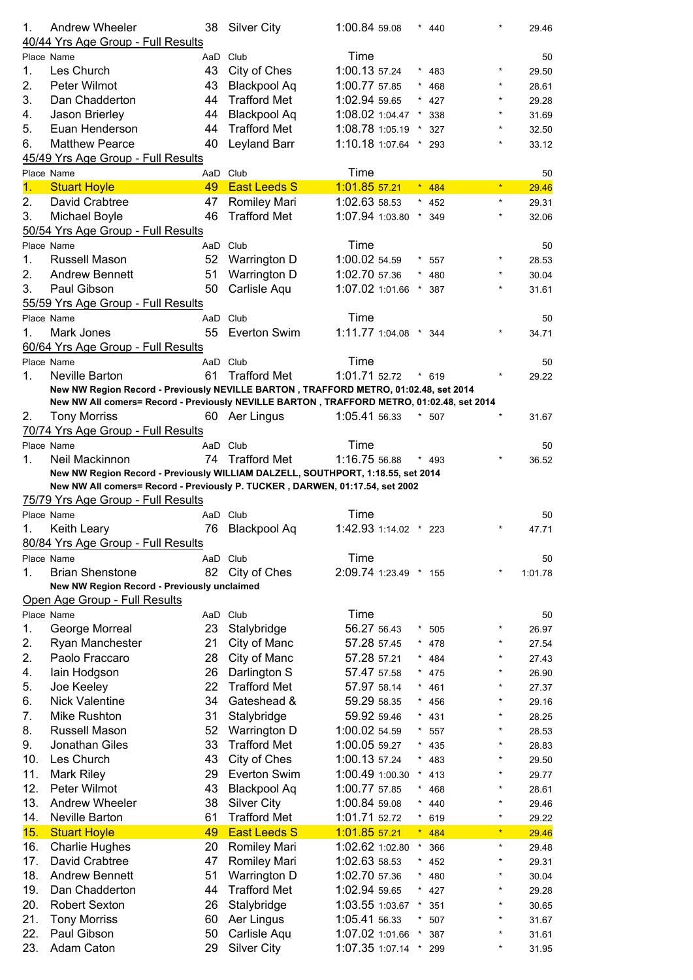| 1.         | <b>Andrew Wheeler</b><br>40/44 Yrs Age Group - Full Results                               | 38       | <b>Silver City</b>                 | 1:00.84 59.08                      |            | 440        |              | 29.46          |
|------------|-------------------------------------------------------------------------------------------|----------|------------------------------------|------------------------------------|------------|------------|--------------|----------------|
|            | Place Name                                                                                | AaD      | Club                               | Time                               |            |            |              | 50             |
| 1.         | Les Church                                                                                | 43       | City of Ches                       | 1:00.13 57.24                      |            | 483        |              | 29.50          |
| 2.         | Peter Wilmot                                                                              | 43       | <b>Blackpool Aq</b>                | 1:00.77 57.85                      | $^{\star}$ | 468        | $\star$      | 28.61          |
| 3.         | Dan Chadderton                                                                            | 44       | <b>Trafford Met</b>                | 1:02.94 59.65                      |            | 427        | $\star$      | 29.28          |
| 4.         | Jason Brierley                                                                            | 44       | <b>Blackpool Aq</b>                | 1:08.02 1:04.47                    |            | 338        | $\star$      | 31.69          |
| 5.         | Euan Henderson                                                                            | 44       | <b>Trafford Met</b>                | 1:08.78 1:05.19                    |            | 327        |              | 32.50          |
| 6.         | <b>Matthew Pearce</b>                                                                     | 40       | Leyland Barr                       | 1:10.18 1:07.64                    |            | 293        |              | 33.12          |
|            | 45/49 Yrs Age Group - Full Results                                                        |          |                                    |                                    |            |            |              |                |
|            | Place Name                                                                                | AaD      | Club                               | Time                               |            |            |              | 50             |
| 1.         | <b>Stuart Hoyle</b>                                                                       | 49       | <b>East Leeds S</b>                | 1:01.85 57.21                      |            | 484        | $\star$      | 29.46          |
| 2.         | David Crabtree                                                                            | 47       | <b>Romiley Mari</b>                | 1:02.63 58.53                      |            | 452        | $\star$      | 29.31          |
| 3.         | Michael Boyle                                                                             | 46       | <b>Trafford Met</b>                | 1:07.94 1:03.80                    | $\star$    | 349        | $\star$      | 32.06          |
|            | 50/54 Yrs Age Group - Full Results                                                        |          |                                    |                                    |            |            |              |                |
|            | Place Name                                                                                |          | AaD Club                           | Time                               |            |            |              | 50             |
| 1.         | Russell Mason                                                                             | 52       | Warrington D                       | 1:00.02 54.59                      |            | 557        | $\star$      | 28.53          |
| 2.         | <b>Andrew Bennett</b>                                                                     | 51       | Warrington D                       | 1:02.70 57.36                      |            | 480        | $\star$      | 30.04          |
| 3.         | Paul Gibson                                                                               | 50       | Carlisle Aqu                       | 1:07.02 1:01.66                    |            | 387        | $\star$      | 31.61          |
|            |                                                                                           |          |                                    |                                    |            |            |              |                |
|            | 55/59 Yrs Age Group - Full Results                                                        |          |                                    |                                    |            |            |              |                |
|            | Place Name                                                                                |          | AaD Club                           | Time                               |            |            |              | 50             |
| 1.         | Mark Jones                                                                                | 55       | <b>Everton Swim</b>                | 1:11.77 1:04.08 *                  |            | 344        |              | 34.71          |
|            | 60/64 Yrs Age Group - Full Results                                                        |          |                                    |                                    |            |            |              |                |
|            | Place Name                                                                                |          | AaD Club                           | Time                               |            |            |              | 50             |
| 1.         | Neville Barton                                                                            | 61       | <b>Trafford Met</b>                | 1:01.71 52.72                      |            | 619        |              | 29.22          |
|            | New NW Region Record - Previously NEVILLE BARTON, TRAFFORD METRO, 01:02.48, set 2014      |          |                                    |                                    |            |            |              |                |
|            | New NW All comers= Record - Previously NEVILLE BARTON, TRAFFORD METRO, 01:02.48, set 2014 |          |                                    |                                    |            |            |              |                |
| 2.         | <b>Tony Morriss</b>                                                                       |          | 60 Aer Lingus                      | 1:05.41 56.33                      |            | * 507      |              | 31.67          |
|            | 70/74 Yrs Age Group - Full Results                                                        |          |                                    |                                    |            |            |              |                |
|            | Place Name                                                                                |          | AaD Club                           | Time                               |            |            |              | 50             |
| 1.         | Neil Mackinnon                                                                            | 74       | <b>Trafford Met</b>                | 1:16.75 56.88                      |            | 493        |              | 36.52          |
|            | New NW Region Record - Previously WILLIAM DALZELL, SOUTHPORT, 1:18.55, set 2014           |          |                                    |                                    |            |            |              |                |
|            | New NW All comers= Record - Previously P. TUCKER, DARWEN, 01:17.54, set 2002              |          |                                    |                                    |            |            |              |                |
|            | <u>75/79 Yrs Age Group - Full Results</u>                                                 |          |                                    |                                    |            |            |              |                |
|            | Place Name                                                                                |          | AaD Club                           | Time                               |            |            |              | 50             |
| 1.         | Keith Leary                                                                               | 76       | <b>Blackpool Aq</b>                | 1:42.93 1:14.02 * 223              |            |            |              | 47.71          |
|            | 80/84 Yrs Age Group - Full Results                                                        |          |                                    |                                    |            |            |              |                |
|            | Place Name                                                                                |          | AaD Club                           | Time                               |            |            |              | 50             |
| 1.         | <b>Brian Shenstone</b>                                                                    | 82       | City of Ches                       | 2:09.74 1:23.49 *                  |            | 155        | $\star$      | 1:01.78        |
|            | New NW Region Record - Previously unclaimed                                               |          |                                    |                                    |            |            |              |                |
|            | Open Age Group - Full Results                                                             |          |                                    |                                    |            |            |              |                |
|            | Place Name                                                                                | AaD      | Club                               | Time                               |            |            |              | 50             |
| 1.         | George Morreal                                                                            | 23       | Stalybridge                        | 56.27 56.43                        | $\star$    | 505        | *            | 26.97          |
| 2.         | Ryan Manchester                                                                           | 21       | City of Manc                       | 57.28 57.45                        | $^{\star}$ | 478        | $\star$      | 27.54          |
| 2.         | Paolo Fraccaro                                                                            | 28       | City of Manc                       | 57.28 57.21                        | $\star$    | 484        | $\star$      | 27.43          |
| 4.         | lain Hodgson                                                                              | 26       | Darlington S                       | 57.47 57.58                        | $^{\star}$ | 475        | $\star$      | 26.90          |
| 5.         | Joe Keeley                                                                                | 22       | <b>Trafford Met</b>                | 57.97 58.14                        |            | 461        | $\star$      | 27.37          |
| 6.         | <b>Nick Valentine</b>                                                                     | 34       | Gateshead &                        | 59.29 58.35                        |            | 456        | $\star$      | 29.16          |
| 7.         | Mike Rushton                                                                              | 31       | Stalybridge                        | 59.92 59.46                        |            | 431        | $\star$      | 28.25          |
| 8.         | Russell Mason                                                                             | 52       | Warrington D                       | 1:00.02 54.59                      |            | 557        | $\star$      | 28.53          |
| 9.         | Jonathan Giles                                                                            | 33       | <b>Trafford Met</b>                | 1:00.05 59.27                      |            | 435        | $\star$      | 28.83          |
| 10.        | Les Church                                                                                | 43       | City of Ches                       | 1:00.13 57.24                      |            | 483        | $\star$      | 29.50          |
| 11.        | <b>Mark Riley</b>                                                                         | 29       | <b>Everton Swim</b>                | 1:00.49 1:00.30                    |            | 413        | $\star$      | 29.77          |
| 12.        | Peter Wilmot                                                                              | 43       | <b>Blackpool Aq</b>                | 1:00.77 57.85                      |            | 468        | $\star$      | 28.61          |
| 13.        | <b>Andrew Wheeler</b>                                                                     | 38       | <b>Silver City</b>                 | 1:00.84 59.08                      |            | 440        | $\star$      | 29.46          |
| 14.        | Neville Barton                                                                            | 61       | <b>Trafford Met</b>                | 1:01.71 52.72                      |            | 619        | $\star$      | 29.22          |
| 15.        |                                                                                           |          |                                    |                                    |            |            |              |                |
|            |                                                                                           |          |                                    |                                    |            |            | $\star$      |                |
|            | <b>Stuart Hoyle</b>                                                                       | 49       | <b>East Leeds S</b>                | 1:01.85 57.21                      | $\star$    | 484        | $\star$      | 29.46          |
| 16.        | <b>Charlie Hughes</b>                                                                     | 20       | <b>Romiley Mari</b>                | 1:02.62 1:02.80                    | $\star$    | 366        |              | 29.48          |
| 17.        | David Crabtree                                                                            | 47       | <b>Romiley Mari</b>                | 1:02.63 58.53                      | $\star$    | 452        | $\star$      | 29.31          |
| 18.        | <b>Andrew Bennett</b>                                                                     | 51       | Warrington D                       | 1:02.70 57.36                      |            | 480        | $\star$      | 30.04          |
| 19.        | Dan Chadderton                                                                            | 44       | <b>Trafford Met</b>                | 1:02.94 59.65                      |            | 427        | *            | 29.28          |
| 20.        | <b>Robert Sexton</b>                                                                      | 26       | Stalybridge                        | 1:03.55 1:03.67                    |            | 351        | $\star$      | 30.65          |
| 21.        | <b>Tony Morriss</b>                                                                       | 60       | Aer Lingus                         | 1:05.41 56.33                      |            | 507        | $\star$      | 31.67          |
| 22.<br>23. | Paul Gibson<br>Adam Caton                                                                 | 50<br>29 | Carlisle Aqu<br><b>Silver City</b> | 1:07.02 1:01.66<br>1:07.35 1:07.14 | $^\star$   | 387<br>299 | $\star$<br>* | 31.61<br>31.95 |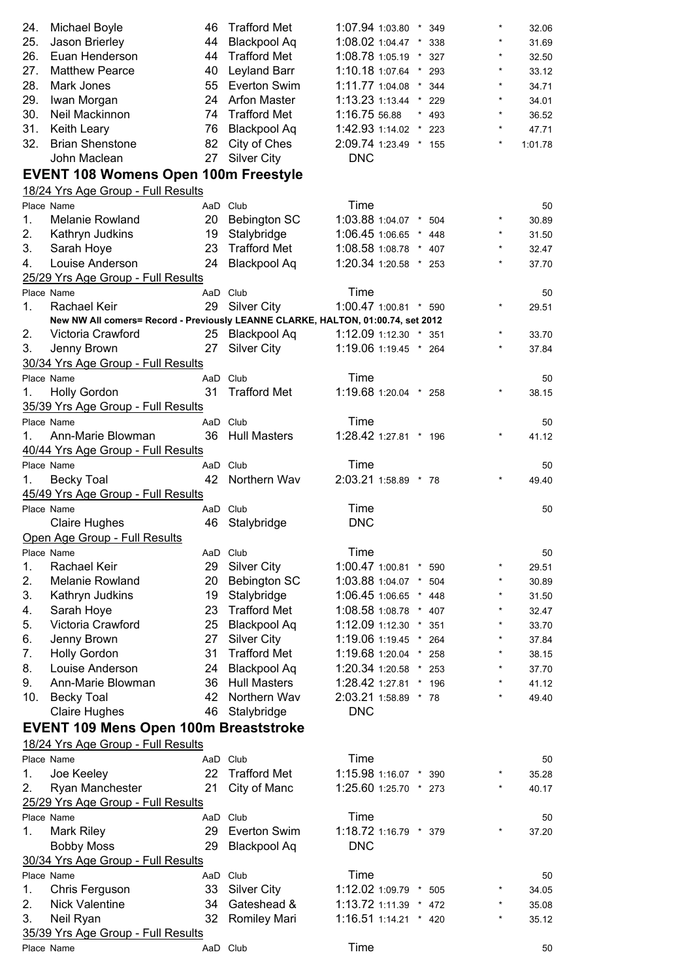| 24. | Michael Boyle                                                                    | 46       | <b>Trafford Met</b> | $1:07.94$ 1:03.80 $*$ |          | 349     | $\star$    | 32.06   |
|-----|----------------------------------------------------------------------------------|----------|---------------------|-----------------------|----------|---------|------------|---------|
| 25. |                                                                                  | 44       |                     | 1:08.02 1:04.47 *     |          |         |            |         |
|     | Jason Brierley                                                                   |          | <b>Blackpool Aq</b> |                       |          | 338     |            | 31.69   |
| 26. | Euan Henderson                                                                   | 44       | <b>Trafford Met</b> | 1:08.78 1:05.19 *     |          | 327     |            | 32.50   |
| 27. | <b>Matthew Pearce</b>                                                            | 40       | <b>Leyland Barr</b> | 1:10.18 1:07.64 *     |          | 293     | $\star$    | 33.12   |
| 28. | Mark Jones                                                                       |          | 55 Everton Swim     | 1:11.77 1:04.08       | $\star$  | 344     | $\star$    | 34.71   |
| 29. | Iwan Morgan                                                                      |          | 24 Arfon Master     | $1:13.231:13.44$ *    |          | 229     | $\star$    | 34.01   |
| 30. | Neil Mackinnon                                                                   |          | 74 Trafford Met     | 1:16.75 56.88         |          | $* 493$ | $\star$    | 36.52   |
| 31. | Keith Leary                                                                      | 76       | Blackpool Aq        | 1:42.93 1:14.02       | $^\star$ | 223     | $\star$    | 47.71   |
| 32. | <b>Brian Shenstone</b>                                                           | 82       | City of Ches        | 2:09.74 1:23.49 * 155 |          |         |            | 1:01.78 |
|     | John Maclean                                                                     | 27       | <b>Silver City</b>  | <b>DNC</b>            |          |         |            |         |
|     | <b>EVENT 108 Womens Open 100m Freestyle</b>                                      |          |                     |                       |          |         |            |         |
|     | 18/24 Yrs Age Group - Full Results                                               |          |                     |                       |          |         |            |         |
|     | Place Name                                                                       | AaD Club |                     | Time                  |          |         |            |         |
|     |                                                                                  |          |                     |                       |          |         | $\star$    | 50      |
| 1.  | <b>Melanie Rowland</b>                                                           |          | 20 Bebington SC     | 1:03.88 1:04.07 * 504 |          |         |            | 30.89   |
| 2.  | Kathryn Judkins                                                                  | 19       | Stalybridge         | 1:06.45 1:06.65 *     |          | 448     | $\star$    | 31.50   |
| 3.  | Sarah Hoye                                                                       | 23       | <b>Trafford Met</b> | 1:08.58 1:08.78 *     |          | 407     | $\star$    | 32.47   |
| 4.  | Louise Anderson                                                                  | 24       | <b>Blackpool Aq</b> | 1:20.34 1:20.58 * 253 |          |         | $\star$    | 37.70   |
|     | 25/29 Yrs Age Group - Full Results                                               |          |                     |                       |          |         |            |         |
|     | Place Name                                                                       | AaD Club |                     | Time                  |          |         |            | 50      |
| 1.  | Rachael Keir                                                                     | 29       | <b>Silver City</b>  | 1:00.47 1:00.81 * 590 |          |         | $\star$    | 29.51   |
|     | New NW All comers= Record - Previously LEANNE CLARKE, HALTON, 01:00.74, set 2012 |          |                     |                       |          |         |            |         |
| 2.  | Victoria Crawford                                                                | 25       | <b>Blackpool Aq</b> | 1:12.09 1:12.30 * 351 |          |         | $^{\star}$ | 33.70   |
| 3.  | Jenny Brown                                                                      | 27       | <b>Silver City</b>  | 1:19.06 1:19.45 * 264 |          |         | $\star$    | 37.84   |
|     | 30/34 Yrs Age Group - Full Results                                               |          |                     |                       |          |         |            |         |
|     | Place Name                                                                       | AaD Club |                     | Time                  |          |         |            | 50      |
| 1.  | <b>Holly Gordon</b>                                                              | 31       | <b>Trafford Met</b> | 1:19.68 1:20.04 * 258 |          |         |            | 38.15   |
|     | 35/39 Yrs Age Group - Full Results                                               |          |                     |                       |          |         |            |         |
|     | Place Name                                                                       | AaD Club |                     | Time                  |          |         |            |         |
|     |                                                                                  |          |                     |                       |          |         | $^\star$   | 50      |
| 1.  | Ann-Marie Blowman                                                                | 36       | <b>Hull Masters</b> | 1:28.42 1:27.81 * 196 |          |         |            | 41.12   |
|     | 40/44 Yrs Age Group - Full Results                                               |          |                     |                       |          |         |            |         |
|     | Place Name                                                                       | AaD Club |                     | Time                  |          |         |            | 50      |
| 1.  | <b>Becky Toal</b>                                                                | 42       | Northern Wav        | 2:03.21 1:58.89 * 78  |          |         | $\star$    | 49.40   |
|     | 45/49 Yrs Age Group - Full Results                                               |          |                     |                       |          |         |            |         |
|     | Place Name                                                                       | AaD Club |                     | Time                  |          |         |            | 50      |
|     | <b>Claire Hughes</b>                                                             | 46       | Stalybridge         | <b>DNC</b>            |          |         |            |         |
|     | Open Age Group - Full Results                                                    |          |                     |                       |          |         |            |         |
|     | Place Name                                                                       | AaD Club |                     | Time                  |          |         |            | 50      |
| 1.  | Rachael Keir                                                                     | 29       | <b>Silver City</b>  | 1:00.47 1:00.81 *     |          | 590     | $\star$    | 29.51   |
| 2.  | Melanie Rowland                                                                  | 20       | <b>Bebington SC</b> | 1:03.88 1:04.07 *     |          | 504     | $\star$    | 30.89   |
| 3.  | Kathryn Judkins                                                                  | 19       | Stalybridge         | 1:06.45 1:06.65 * 448 |          |         | $\star$    | 31.50   |
|     |                                                                                  | 23       | <b>Trafford Met</b> | 1:08.58 1:08.78 * 407 |          |         | $\star$    |         |
| 4.  | Sarah Hoye                                                                       |          |                     |                       |          |         | $\star$    | 32.47   |
| 5.  | Victoria Crawford                                                                | 25       | Blackpool Aq        | 1:12.09 1:12.30 *     |          | 351     |            | 33.70   |
| 6.  | Jenny Brown                                                                      | 27       | <b>Silver City</b>  | 1:19.06 1:19.45 *     |          | 264     | $\star$    | 37.84   |
| 7.  | <b>Holly Gordon</b>                                                              | 31       | <b>Trafford Met</b> | 1:19.68 1:20.04       | $^\star$ | 258     | $\star$    | 38.15   |
| 8.  | Louise Anderson                                                                  | 24       | <b>Blackpool Aq</b> | 1:20.34 1:20.58       | $^\star$ | 253     | $\star$    | 37.70   |
| 9.  | Ann-Marie Blowman                                                                | 36       | <b>Hull Masters</b> | 1:28.42 1:27.81       | $^\star$ | 196     | $\star$    | 41.12   |
| 10. | <b>Becky Toal</b>                                                                | 42       | Northern Wav        | 2:03.21 1:58.89 * 78  |          |         | $\star$    | 49.40   |
|     | <b>Claire Hughes</b>                                                             | 46       | Stalybridge         | <b>DNC</b>            |          |         |            |         |
|     | <b>EVENT 109 Mens Open 100m Breaststroke</b>                                     |          |                     |                       |          |         |            |         |
|     | 18/24 Yrs Age Group - Full Results                                               |          |                     |                       |          |         |            |         |
|     | Place Name                                                                       | AaD Club |                     | Time                  |          |         |            |         |
|     |                                                                                  | 22       | <b>Trafford Met</b> | 1:15.98 1:16.07 *     |          |         | $\star$    | 50      |
| 1.  | Joe Keeley                                                                       |          |                     |                       |          | 390     |            | 35.28   |
| 2.  | Ryan Manchester                                                                  | 21       | City of Manc        | 1:25.60 1:25.70 * 273 |          |         |            | 40.17   |
|     | 25/29 Yrs Age Group - Full Results                                               |          |                     |                       |          |         |            |         |
|     | Place Name                                                                       | AaD Club |                     | Time                  |          |         |            | 50      |
| 1.  | <b>Mark Riley</b>                                                                | 29       | <b>Everton Swim</b> | 1:18.72 1:16.79 * 379 |          |         |            | 37.20   |
|     | <b>Bobby Moss</b>                                                                | 29       | <b>Blackpool Aq</b> | <b>DNC</b>            |          |         |            |         |
|     | 30/34 Yrs Age Group - Full Results                                               |          |                     |                       |          |         |            |         |
|     | Place Name                                                                       | AaD Club |                     | Time                  |          |         |            | 50      |
| 1.  | Chris Ferguson                                                                   | 33       | <b>Silver City</b>  | 1:12.02 1:09.79 *     |          | 505     | $\star$    | 34.05   |
| 2.  | <b>Nick Valentine</b>                                                            | 34       | Gateshead &         | 1:13.72 1:11.39 * 472 |          |         | $\star$    | 35.08   |
| 3.  | Neil Ryan                                                                        | 32       | Romiley Mari        | 1:16.51 1:14.21 * 420 |          |         |            | 35.12   |
|     | 35/39 Yrs Age Group - Full Results                                               |          |                     |                       |          |         |            |         |
|     | Place Name                                                                       | AaD Club |                     | Time                  |          |         |            | 50      |
|     |                                                                                  |          |                     |                       |          |         |            |         |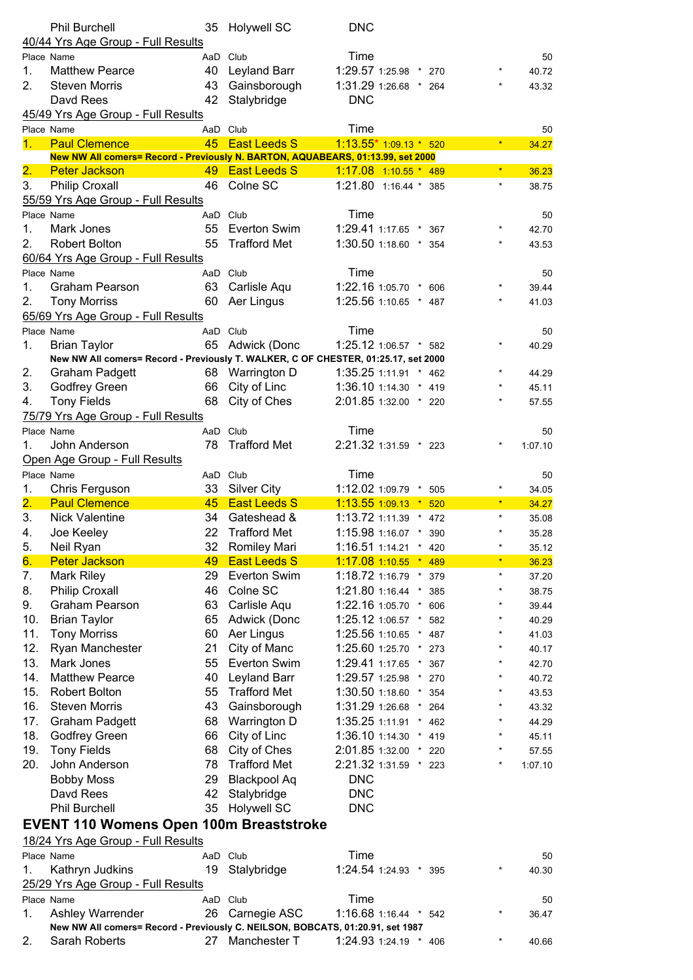|                  | <b>Phil Burchell</b><br>40/44 Yrs Age Group - Full Results                                      | 35       | <b>Holywell SC</b>                  | <b>DNC</b>                    |                     |     |            |         |
|------------------|-------------------------------------------------------------------------------------------------|----------|-------------------------------------|-------------------------------|---------------------|-----|------------|---------|
|                  | Place Name                                                                                      | AaD Club |                                     | Time                          |                     |     |            | 50      |
| 1.               | <b>Matthew Pearce</b>                                                                           | 40       | Leyland Barr                        | 1:29.57 1:25.98 * 270         |                     |     |            | 40.72   |
| 2.               | <b>Steven Morris</b>                                                                            | 43       | Gainsborough                        | 1:31.29 1:26.68 * 264         |                     |     |            | 43.32   |
|                  | Davd Rees                                                                                       | 42       | Stalybridge                         | <b>DNC</b>                    |                     |     |            |         |
|                  | 45/49 Yrs Age Group - Full Results                                                              |          |                                     |                               |                     |     |            |         |
|                  | Place Name                                                                                      | AaD Club |                                     | Time                          |                     |     |            | 50      |
| 1 <sub>1</sub>   | <b>Paul Clemence</b>                                                                            |          | 45 East Leeds S                     | $1:13.55*1:09.13*520$         |                     |     | $\star$    | 34.27   |
|                  | New NW All comers= Record - Previously N. BARTON, AQUABEARS, 01:13.99, set 2000                 |          |                                     |                               |                     |     |            |         |
| $\overline{2}$ . | <b>Peter Jackson</b>                                                                            |          | 49 East Leeds S                     | $1:17.08$ 1:10.55 * 489       |                     |     |            | 36.23   |
| 3.               | <b>Philip Croxall</b>                                                                           |          | 46 Colne SC                         | 1:21.80 1:16.44 * 385         |                     |     | $\star$    | 38.75   |
|                  | 55/59 Yrs Age Group - Full Results                                                              |          |                                     |                               |                     |     |            |         |
|                  | Place Name                                                                                      | AaD Club |                                     | Time                          |                     |     |            | 50      |
| 1.               | Mark Jones                                                                                      | 55       | Everton Swim                        | 1:29.41 1:17.65 *             |                     | 367 |            | 42.70   |
| 2.               | <b>Robert Bolton</b>                                                                            | 55       | <b>Trafford Met</b>                 | 1:30.50 1:18.60 * 354         |                     |     | $\star$    | 43.53   |
|                  | 60/64 Yrs Age Group - Full Results                                                              |          |                                     |                               |                     |     |            |         |
|                  | Place Name                                                                                      | AaD Club |                                     | Time                          |                     |     |            | 50      |
| 1.               | <b>Graham Pearson</b>                                                                           | 63       | Carlisle Aqu                        | 1:22.16 1:05.70 *             |                     | 606 |            | 39.44   |
| 2.               | <b>Tony Morriss</b>                                                                             | 60       | Aer Lingus                          | 1:25.56 1:10.65 * 487         |                     |     |            | 41.03   |
|                  | 65/69 Yrs Age Group - Full Results                                                              |          |                                     |                               |                     |     |            |         |
|                  | Place Name                                                                                      | AaD Club |                                     | Time                          |                     |     |            | 50      |
| 1.               | <b>Brian Taylor</b>                                                                             | 65       | Adwick (Donc                        | 1:25.12 1:06.57 * 582         |                     |     |            | 40.29   |
|                  | New NW All comers= Record - Previously T. WALKER, C OF CHESTER, 01:25.17, set 2000              |          |                                     |                               |                     |     |            |         |
| 2.               | <b>Graham Padgett</b>                                                                           |          | 68 Warrington D                     | 1:35.25 1:11.91 * 462         |                     |     |            | 44.29   |
| 3.               | <b>Godfrey Green</b>                                                                            | 66       | City of Linc                        | 1:36.10 1:14.30 * 419         |                     |     |            | 45.11   |
| 4.               | <b>Tony Fields</b>                                                                              | 68       | City of Ches                        | 2:01.85 1:32.00 * 220         |                     |     |            | 57.55   |
|                  |                                                                                                 |          |                                     |                               |                     |     |            |         |
|                  | 75/79 Yrs Age Group - Full Results                                                              |          |                                     |                               |                     |     |            |         |
|                  | Place Name                                                                                      | AaD Club |                                     | Time                          |                     |     |            | 50      |
| 1.               | John Anderson                                                                                   | 78       | <b>Trafford Met</b>                 | 2:21.32 1:31.59 * 223         |                     |     |            | 1:07.10 |
|                  | Open Age Group - Full Results                                                                   |          |                                     |                               |                     |     |            |         |
|                  | Place Name                                                                                      | AaD Club |                                     | Time                          |                     |     |            | 50      |
| 1.               | Chris Ferguson                                                                                  |          | 33 Silver City                      | 1:12.02 1:09.79               | $\star$             | 505 |            | 34.05   |
| $\overline{2}$ . | <b>Paul Clemence</b>                                                                            | 45       | <b>East Leeds S</b>                 | 1:13.55 1:09.13               | $\vert \star \vert$ | 520 | $\star$    | 34.27   |
| 3.               | <b>Nick Valentine</b>                                                                           | 34       | Gateshead &                         | 1:13.72 1:11.39 * 472         |                     |     | $\star$    | 35.08   |
| 4.               | Joe Keeley                                                                                      | 22       | <b>Trafford Met</b>                 | 1:15.98 1:16.07 * 390         |                     |     |            | 35.28   |
| 5.               | Neil Ryan                                                                                       | 32       | Romiley Mari                        | 1:16.51 1:14.21               | $^\star$            | 420 | $\star$    | 35.12   |
| 6.               | <b>Peter Jackson</b>                                                                            | 49       | <b>East Leeds S</b>                 | 1:17.08 1:10.55               | $\boldsymbol{\ast}$ | 489 | $\star$    | 36.23   |
| 7.               | <b>Mark Riley</b>                                                                               | 29       | <b>Everton Swim</b>                 | 1:18.72 1:16.79               | $^\star$            | 379 | $\star$    | 37.20   |
| 8.               | <b>Philip Croxall</b>                                                                           | 46       | Colne SC                            | 1:21.80 1:16.44               | $\star$             | 385 | $\star$    |         |
| 9.               | <b>Graham Pearson</b>                                                                           |          |                                     |                               |                     |     |            | 38.75   |
| 10.              |                                                                                                 | 63       | Carlisle Aqu                        | 1:22.16 1:05.70               | $^\star$            | 606 | $\star$    | 39.44   |
|                  | <b>Brian Taylor</b>                                                                             | 65       | Adwick (Donc                        | 1:25.12 1:06.57               | $^\star$            | 582 |            | 40.29   |
| 11.              | <b>Tony Morriss</b>                                                                             | 60       | Aer Lingus                          | 1:25.56 1:10.65               | $^\star$            | 487 | $^{\star}$ | 41.03   |
| 12.              | Ryan Manchester                                                                                 | 21       | City of Manc                        | 1:25.60 1:25.70               | $^\star$            | 273 | $\star$    | 40.17   |
| 13.              | Mark Jones                                                                                      | 55       | <b>Everton Swim</b>                 | 1:29.41 1:17.65               | $\star$             | 367 | $^{\star}$ | 42.70   |
| 14.              | <b>Matthew Pearce</b>                                                                           | 40       | Leyland Barr                        | 1:29.57 1:25.98               |                     | 270 | $^{\star}$ | 40.72   |
| 15.              | <b>Robert Bolton</b>                                                                            | 55       | <b>Trafford Met</b>                 | 1:30.50 1:18.60               | $\star$             | 354 | $\star$    | 43.53   |
| 16.              | <b>Steven Morris</b>                                                                            | 43       | Gainsborough                        | 1:31.29 1:26.68               | $^\star$            | 264 |            | 43.32   |
| 17.              | <b>Graham Padgett</b>                                                                           | 68       | Warrington D                        | 1:35.25 1:11.91               | $^\star$            | 462 |            | 44.29   |
| 18.              |                                                                                                 | 66       | City of Linc                        | 1:36.10 1:14.30               | $\star$             | 419 | $\star$    | 45.11   |
| 19.              | Godfrey Green                                                                                   |          |                                     |                               |                     | 220 |            |         |
| 20.              | <b>Tony Fields</b><br>John Anderson                                                             | 68<br>78 | City of Ches<br><b>Trafford Met</b> | 2:01.85 1:32.00               | $\star$             | 223 | $^{\star}$ | 57.55   |
|                  | <b>Bobby Moss</b>                                                                               | 29       | <b>Blackpool Aq</b>                 | 2:21.32 1:31.59<br><b>DNC</b> |                     |     |            | 1:07.10 |
|                  |                                                                                                 |          |                                     |                               |                     |     |            |         |
|                  | Davd Rees                                                                                       | 42       | Stalybridge                         | <b>DNC</b>                    |                     |     |            |         |
|                  | <b>Phil Burchell</b>                                                                            | 35       | <b>Holywell SC</b>                  | <b>DNC</b>                    |                     |     |            |         |
|                  | <b>EVENT 110 Womens Open 100m Breaststroke</b>                                                  |          |                                     |                               |                     |     |            |         |
|                  | 18/24 Yrs Age Group - Full Results                                                              |          |                                     |                               |                     |     |            |         |
| Place Name       |                                                                                                 | AaD Club |                                     | Time                          |                     |     |            | 50      |
| 1.               | Kathryn Judkins                                                                                 | 19       | Stalybridge                         | 1:24.54 1:24.93 * 395         |                     |     |            | 40.30   |
|                  | 25/29 Yrs Age Group - Full Results                                                              |          |                                     |                               |                     |     |            |         |
|                  | Place Name                                                                                      | AaD Club |                                     | Time                          |                     |     |            | 50      |
| 1.               | Ashley Warrender                                                                                | 26       | Carnegie ASC                        | 1:16.68 1:16.44 * 542         |                     |     |            | 36.47   |
| 2.               | New NW All comers= Record - Previously C. NEILSON, BOBCATS, 01:20.91, set 1987<br>Sarah Roberts | 27       | Manchester T                        | 1:24.93 1:24.19 * 406         |                     |     | $\star$    | 40.66   |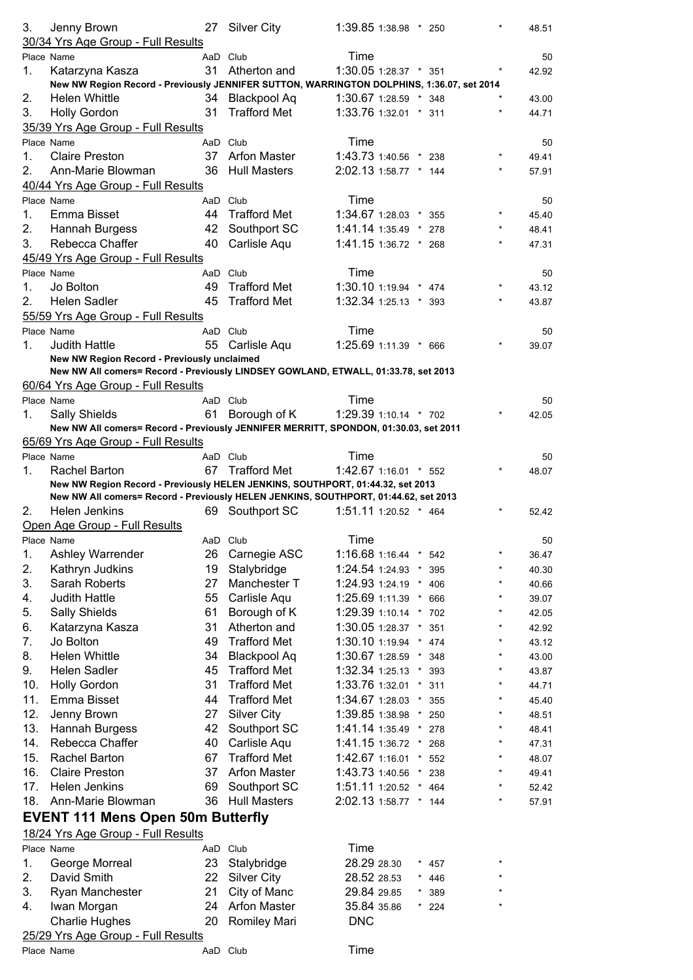| 3.  | Jenny Brown                                                                               |          | 27 Silver City      | 1:39.85 1:38.98 * 250 |         |         |          | 48.51 |
|-----|-------------------------------------------------------------------------------------------|----------|---------------------|-----------------------|---------|---------|----------|-------|
|     | 30/34 Yrs Age Group - Full Results                                                        |          |                     |                       |         |         |          |       |
|     | Place Name                                                                                |          | AaD Club            | Time                  |         |         |          | 50    |
| 1.  | Katarzyna Kasza                                                                           | 31       | Atherton and        | 1:30.05 1:28.37 * 351 |         |         |          | 42.92 |
|     | New NW Region Record - Previously JENNIFER SUTTON, WARRINGTON DOLPHINS, 1:36.07, set 2014 |          |                     |                       |         |         |          |       |
| 2.  | <b>Helen Whittle</b>                                                                      |          | 34 Blackpool Aq     | 1:30.67 1:28.59 * 348 |         |         |          | 43.00 |
| 3.  | <b>Holly Gordon</b>                                                                       | 31       | <b>Trafford Met</b> | 1:33.76 1:32.01 * 311 |         |         |          | 44.71 |
|     | 35/39 Yrs Age Group - Full Results                                                        |          |                     |                       |         |         |          |       |
|     | Place Name                                                                                |          | AaD Club            | Time                  |         |         |          | 50    |
| 1.  | <b>Claire Preston</b>                                                                     |          | 37 Arfon Master     | 1:43.73 1:40.56 *     |         | 238     |          | 49.41 |
| 2.  | Ann-Marie Blowman                                                                         |          | 36 Hull Masters     | 2:02.13 1:58.77 * 144 |         |         |          | 57.91 |
|     | 40/44 Yrs Age Group - Full Results                                                        |          |                     |                       |         |         |          |       |
|     | Place Name                                                                                |          | AaD Club            | Time                  |         |         |          | 50    |
| 1.  | Emma Bisset                                                                               |          | 44 Trafford Met     | 1:34.67 1:28.03 * 355 |         |         |          | 45.40 |
| 2.  | Hannah Burgess                                                                            |          | 42 Southport SC     | 1:41.14 1:35.49 * 278 |         |         | $\star$  | 48.41 |
| 3.  | Rebecca Chaffer                                                                           | 40       | Carlisle Aqu        | 1:41.15 1:36.72 * 268 |         |         |          | 47.31 |
|     | 45/49 Yrs Age Group - Full Results                                                        |          |                     |                       |         |         |          |       |
|     | Place Name                                                                                |          | AaD Club            | Time                  |         |         |          | 50    |
| 1.  | Jo Bolton                                                                                 | 49       | <b>Trafford Met</b> | 1:30.10 1:19.94 * 474 |         |         |          | 43.12 |
| 2.  | <b>Helen Sadler</b>                                                                       | 45       | <b>Trafford Met</b> | 1:32.34 1:25.13 * 393 |         |         |          | 43.87 |
|     | 55/59 Yrs Age Group - Full Results                                                        |          |                     |                       |         |         |          |       |
|     | Place Name                                                                                |          | AaD Club            | Time                  |         |         |          | 50    |
| 1.  | <b>Judith Hattle</b>                                                                      |          | 55 Carlisle Aqu     | 1:25.69 1:11.39 * 666 |         |         |          | 39.07 |
|     | New NW Region Record - Previously unclaimed                                               |          |                     |                       |         |         |          |       |
|     | New NW All comers= Record - Previously LINDSEY GOWLAND, ETWALL, 01:33.78, set 2013        |          |                     |                       |         |         |          |       |
|     | 60/64 Yrs Age Group - Full Results                                                        |          |                     |                       |         |         |          |       |
|     | Place Name                                                                                |          | AaD Club            | Time                  |         |         |          | 50    |
| 1.  | <b>Sally Shields</b>                                                                      | 61       | Borough of K        | 1:29.39 1:10.14 * 702 |         |         |          | 42.05 |
|     | New NW All comers= Record - Previously JENNIFER MERRITT, SPONDON, 01:30.03, set 2011      |          |                     |                       |         |         |          |       |
|     | 65/69 Yrs Age Group - Full Results                                                        |          |                     |                       |         |         |          |       |
|     | Place Name                                                                                |          | AaD Club            | Time                  |         |         |          | 50    |
| 1.  | <b>Rachel Barton</b>                                                                      | 67       | <b>Trafford Met</b> | 1:42.67 1:16.01 * 552 |         |         |          | 48.07 |
|     |                                                                                           |          |                     |                       |         |         |          |       |
|     | New NW Region Record - Previously HELEN JENKINS, SOUTHPORT, 01:44.32, set 2013            |          |                     |                       |         |         |          |       |
|     | New NW All comers= Record - Previously HELEN JENKINS, SOUTHPORT, 01:44.62, set 2013       |          |                     |                       |         |         |          |       |
| 2.  | Helen Jenkins                                                                             |          | 69 Southport SC     | 1:51.11 1:20.52 * 464 |         |         |          | 52.42 |
|     | Open Age Group - Full Results                                                             |          |                     |                       |         |         |          |       |
|     | Place Name                                                                                |          | AaD Club            | Time                  |         |         | *        | 50    |
| 1.  | Ashley Warrender                                                                          | 26       | Carnegie ASC        | 1:16.68 1:16.44 *     |         | 542     |          | 36.47 |
| 2.  | Kathryn Judkins                                                                           | 19       | Stalybridge         | 1:24.54 1:24.93 *     |         | 395     | $\star$  | 40.30 |
| 3.  | Sarah Roberts                                                                             | 27       | Manchester T        | 1:24.93 1:24.19       | $\star$ | 406     | $^\star$ | 40.66 |
| 4.  | <b>Judith Hattle</b>                                                                      | 55       | Carlisle Aqu        | 1:25.69 1:11.39       | $\star$ | 666     | *        | 39.07 |
| 5.  | <b>Sally Shields</b>                                                                      | 61       | Borough of K        | 1:29.39 1:10.14 *     |         | 702     | $\star$  | 42.05 |
| 6.  | Katarzyna Kasza                                                                           | 31       | Atherton and        | 1:30.05 1:28.37       | $\star$ | 351     | $\star$  | 42.92 |
| 7.  | Jo Bolton                                                                                 | 49       | <b>Trafford Met</b> | 1:30.10 1:19.94       |         | 474     | $\star$  | 43.12 |
| 8.  | Helen Whittle                                                                             | 34       | <b>Blackpool Aq</b> | 1:30.67 1:28.59       | $\star$ | 348     | $\star$  | 43.00 |
| 9.  | Helen Sadler                                                                              | 45       | <b>Trafford Met</b> | 1:32.34 1:25.13       | $\star$ | 393     | $\star$  | 43.87 |
| 10. | <b>Holly Gordon</b>                                                                       | 31       | <b>Trafford Met</b> | 1:33.76 1:32.01       | $\star$ | 311     |          | 44.71 |
| 11. | Emma Bisset                                                                               | 44       | <b>Trafford Met</b> | 1:34.67 1:28.03       | $\star$ | 355     | *        | 45.40 |
| 12. | Jenny Brown                                                                               | 27       | <b>Silver City</b>  | 1:39.85 1:38.98 *     |         | 250     |          | 48.51 |
| 13. | Hannah Burgess                                                                            | 42       | Southport SC        | 1:41.14 1:35.49       |         | 278     |          | 48.41 |
| 14. | Rebecca Chaffer                                                                           | 40       | Carlisle Aqu        | 1:41.15 1:36.72       | $\star$ | 268     | *        | 47.31 |
| 15. | <b>Rachel Barton</b>                                                                      | 67       | <b>Trafford Met</b> | 1:42.67 1:16.01       | $\star$ | 552     | *        | 48.07 |
| 16. | <b>Claire Preston</b>                                                                     | 37       | <b>Arfon Master</b> | 1:43.73 1:40.56       | $\star$ | 238     |          | 49.41 |
| 17. | Helen Jenkins                                                                             | 69       | Southport SC        | 1:51.11 1:20.52       | $\star$ | 464     | $^\star$ | 52.42 |
| 18. | Ann-Marie Blowman                                                                         | 36       | <b>Hull Masters</b> | 2:02.13 1:58.77 * 144 |         |         | $\star$  | 57.91 |
|     | <b>EVENT 111 Mens Open 50m Butterfly</b>                                                  |          |                     |                       |         |         |          |       |
|     | 18/24 Yrs Age Group - Full Results                                                        |          |                     |                       |         |         |          |       |
|     | Place Name                                                                                | AaD Club |                     | Time                  |         |         |          |       |
| 1.  | George Morreal                                                                            |          | 23 Stalybridge      | 28.29 28.30           |         | 457     |          |       |
| 2.  | David Smith                                                                               |          | 22 Silver City      | 28.52 28.53           |         | 446     |          |       |
| 3.  | Ryan Manchester                                                                           | 21       | City of Manc        | 29.84 29.85           | $\star$ | 389     |          |       |
| 4.  | Iwan Morgan                                                                               | 24       | <b>Arfon Master</b> | 35.84 35.86           |         | $*$ 224 |          |       |
|     | <b>Charlie Hughes</b>                                                                     | 20       | Romiley Mari        | <b>DNC</b>            |         |         |          |       |
|     | 25/29 Yrs Age Group - Full Results                                                        |          |                     | Time                  |         |         |          |       |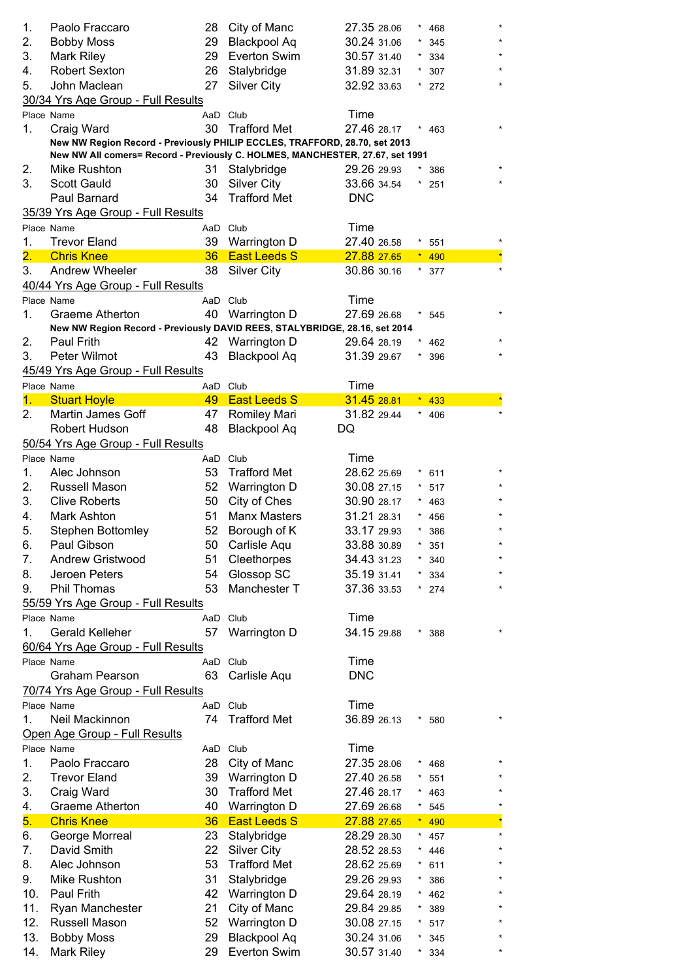| 1.<br>Paolo Fraccaro<br>28<br>City of Manc<br>27.35 28.06<br>468<br>2.<br><b>Blackpool Aq</b><br><b>Bobby Moss</b><br>29<br>30.24 31.06<br>345<br>3.<br>Mark Riley<br>29<br>Everton Swim<br>30.57 31.40<br>334<br><b>Robert Sexton</b><br>26<br>Stalybridge<br>31.89 32.31<br>4.<br>307<br>John Maclean<br>27<br><b>Silver City</b><br>32.92 33.63<br>5.<br>272<br>30/34 Yrs Age Group - Full Results<br>Time<br>Place Name<br>AaD Club<br>30<br><b>Trafford Met</b><br>27.46 28.17<br>1.<br>Craig Ward<br>463<br>New NW Region Record - Previously PHILIP ECCLES, TRAFFORD, 28.70, set 2013<br>New NW All comers= Record - Previously C. HOLMES, MANCHESTER, 27.67, set 1991<br>Mike Rushton<br>2.<br>31<br>Stalybridge<br>29.26 29.93<br>386<br>3.<br><b>Scott Gauld</b><br>30<br><b>Silver City</b><br>33.66 34.54<br>251<br>34<br><b>Trafford Met</b><br>Paul Barnard<br><b>DNC</b><br>35/39 Yrs Age Group - Full Results<br>Time<br>Place Name<br>AaD Club<br><b>Trevor Eland</b><br>39<br>27.40 26.58<br>1.<br>Warrington D<br>551<br>$\overline{2}$ .<br><b>East Leeds S</b><br><b>Chris Knee</b><br>36<br>27.88 27.65<br>490<br>Andrew Wheeler<br>3.<br>38<br><b>Silver City</b><br>30.86 30.16<br>377<br>40/44 Yrs Age Group - Full Results<br>Time<br>Place Name<br>AaD<br>Club<br>40<br>Warrington D<br>27.69 26.68<br>1.<br>Graeme Atherton<br>545<br>New NW Region Record - Previously DAVID REES, STALYBRIDGE, 28.16, set 2014<br>Paul Frith<br>Warrington D<br>42<br>29.64 28.19<br>2.<br>462<br>3.<br>Peter Wilmot<br>43<br><b>Blackpool Aq</b><br>31.39 29.67<br>396<br>45/49 Yrs Age Group - Full Results<br>Time<br>Place Name<br>AaD Club<br><b>East Leeds S</b><br>31.45 28.81<br><b>Stuart Hoyle</b><br>49<br>1.<br>433<br>2.<br>Martin James Goff<br>Romiley Mari<br>31.82 29.44<br>47<br>406<br><b>Blackpool Aq</b><br>Robert Hudson<br>48<br>DQ<br>50/54 Yrs Age Group - Full Results<br>Time<br>Place Name<br>Club<br>AaD<br>53<br><b>Trafford Met</b><br>28.62 25.69<br>1.<br>Alec Johnson<br>611<br>Russell Mason<br>Warrington D<br>30.08 27.15<br>2.<br>52<br>517<br>3.<br><b>Clive Roberts</b><br>50<br>City of Ches<br>30.90 28.17<br>463<br><b>Manx Masters</b><br>4.<br>Mark Ashton<br>51<br>31.21 28.31<br>456<br>5.<br>52<br><b>Stephen Bottomley</b><br>Borough of K<br>33.17 29.93<br>386<br>Paul Gibson<br>6.<br>50<br>Carlisle Aqu<br>33.88 30.89<br>351<br>Andrew Gristwood<br>51<br>Cleethorpes<br>34.43 31.23<br>7.<br>340<br>54<br>Glossop SC<br>35.19 31.41<br>8.<br>Jeroen Peters<br>334<br>9.<br>53<br>Manchester T<br>37.36 33.53<br>Phil Thomas<br>274<br>55/59 Yrs Age Group - Full Results<br>Time<br>Place Name<br>AaD Club<br>57<br>34.15 29.88<br>1.<br><b>Gerald Kelleher</b><br>Warrington D<br>$*388$<br>60/64 Yrs Age Group - Full Results<br>Time<br>Place Name<br>AaD<br>Club<br><b>DNC</b><br>63<br><b>Graham Pearson</b><br>Carlisle Aqu<br>70/74 Yrs Age Group - Full Results<br>Time<br>Place Name<br>AaD Club<br><b>Trafford Met</b><br>Neil Mackinnon<br>36.89 26.13<br>74<br>1.<br>580<br>$\star$<br>Open Age Group - Full Results<br>Time<br>Place Name<br>Club<br>AaD<br>Paolo Fraccaro<br>28<br>City of Manc<br>27.35 28.06<br>1.<br>468<br>2.<br><b>Trevor Eland</b><br>39<br>Warrington D<br>27.40 26.58<br>551<br>3.<br><b>Trafford Met</b><br>Craig Ward<br>30<br>27.46 28.17<br>463<br>$\star$<br><b>Graeme Atherton</b><br>Warrington D<br>27.69 26.68<br>4.<br>40<br>$\star$<br>545<br><b>East Leeds S</b><br>5.<br><b>Chris Knee</b><br>36<br>27.88 27.65<br>490<br>George Morreal<br>23<br>Stalybridge<br>28.29 28.30<br>6.<br>$\star$<br>457<br>David Smith<br><b>Silver City</b><br>22<br>28.52 28.53<br>7.<br>446<br><b>Trafford Met</b><br>8.<br>Alec Johnson<br>53<br>28.62 25.69<br>611<br>9.<br>Mike Rushton<br>31<br>Stalybridge<br>29.26 29.93<br>386<br>10.<br>Paul Frith<br>42<br>Warrington D<br>29.64 28.19<br>462<br>11.<br>21<br>City of Manc<br>Ryan Manchester<br>29.84 29.85<br>389<br>12.<br>Russell Mason<br>52<br>Warrington D<br>30.08 27.15<br>517<br><b>Blackpool Aq</b><br>13.<br><b>Bobby Moss</b><br>29<br>30.24 31.06<br>345<br>29 |     |                   |                     |             |     |         |
|-----------------------------------------------------------------------------------------------------------------------------------------------------------------------------------------------------------------------------------------------------------------------------------------------------------------------------------------------------------------------------------------------------------------------------------------------------------------------------------------------------------------------------------------------------------------------------------------------------------------------------------------------------------------------------------------------------------------------------------------------------------------------------------------------------------------------------------------------------------------------------------------------------------------------------------------------------------------------------------------------------------------------------------------------------------------------------------------------------------------------------------------------------------------------------------------------------------------------------------------------------------------------------------------------------------------------------------------------------------------------------------------------------------------------------------------------------------------------------------------------------------------------------------------------------------------------------------------------------------------------------------------------------------------------------------------------------------------------------------------------------------------------------------------------------------------------------------------------------------------------------------------------------------------------------------------------------------------------------------------------------------------------------------------------------------------------------------------------------------------------------------------------------------------------------------------------------------------------------------------------------------------------------------------------------------------------------------------------------------------------------------------------------------------------------------------------------------------------------------------------------------------------------------------------------------------------------------------------------------------------------------------------------------------------------------------------------------------------------------------------------------------------------------------------------------------------------------------------------------------------------------------------------------------------------------------------------------------------------------------------------------------------------------------------------------------------------------------------------------------------------------------------------------------------------------------------------------------------------------------------------------------------------------------------------------------------------------------------------------------------------------------------------------------------------------------------------------------------------------------------------------------------------------------------------------------------------------------------------------------------------------------------------------------------------------------------------------------------------------------------------------------------------------------------------------------------------------------------------------------------------------------------------------------------------------------------------------------------------------------------------------------------------------------------------------------------------------------------------------------------------------------------|-----|-------------------|---------------------|-------------|-----|---------|
|                                                                                                                                                                                                                                                                                                                                                                                                                                                                                                                                                                                                                                                                                                                                                                                                                                                                                                                                                                                                                                                                                                                                                                                                                                                                                                                                                                                                                                                                                                                                                                                                                                                                                                                                                                                                                                                                                                                                                                                                                                                                                                                                                                                                                                                                                                                                                                                                                                                                                                                                                                                                                                                                                                                                                                                                                                                                                                                                                                                                                                                                                                                                                                                                                                                                                                                                                                                                                                                                                                                                                                                                                                                                                                                                                                                                                                                                                                                                                                                                                                                                                                                                               |     |                   |                     |             |     |         |
|                                                                                                                                                                                                                                                                                                                                                                                                                                                                                                                                                                                                                                                                                                                                                                                                                                                                                                                                                                                                                                                                                                                                                                                                                                                                                                                                                                                                                                                                                                                                                                                                                                                                                                                                                                                                                                                                                                                                                                                                                                                                                                                                                                                                                                                                                                                                                                                                                                                                                                                                                                                                                                                                                                                                                                                                                                                                                                                                                                                                                                                                                                                                                                                                                                                                                                                                                                                                                                                                                                                                                                                                                                                                                                                                                                                                                                                                                                                                                                                                                                                                                                                                               |     |                   |                     |             |     |         |
|                                                                                                                                                                                                                                                                                                                                                                                                                                                                                                                                                                                                                                                                                                                                                                                                                                                                                                                                                                                                                                                                                                                                                                                                                                                                                                                                                                                                                                                                                                                                                                                                                                                                                                                                                                                                                                                                                                                                                                                                                                                                                                                                                                                                                                                                                                                                                                                                                                                                                                                                                                                                                                                                                                                                                                                                                                                                                                                                                                                                                                                                                                                                                                                                                                                                                                                                                                                                                                                                                                                                                                                                                                                                                                                                                                                                                                                                                                                                                                                                                                                                                                                                               |     |                   |                     |             |     |         |
|                                                                                                                                                                                                                                                                                                                                                                                                                                                                                                                                                                                                                                                                                                                                                                                                                                                                                                                                                                                                                                                                                                                                                                                                                                                                                                                                                                                                                                                                                                                                                                                                                                                                                                                                                                                                                                                                                                                                                                                                                                                                                                                                                                                                                                                                                                                                                                                                                                                                                                                                                                                                                                                                                                                                                                                                                                                                                                                                                                                                                                                                                                                                                                                                                                                                                                                                                                                                                                                                                                                                                                                                                                                                                                                                                                                                                                                                                                                                                                                                                                                                                                                                               |     |                   |                     |             |     |         |
|                                                                                                                                                                                                                                                                                                                                                                                                                                                                                                                                                                                                                                                                                                                                                                                                                                                                                                                                                                                                                                                                                                                                                                                                                                                                                                                                                                                                                                                                                                                                                                                                                                                                                                                                                                                                                                                                                                                                                                                                                                                                                                                                                                                                                                                                                                                                                                                                                                                                                                                                                                                                                                                                                                                                                                                                                                                                                                                                                                                                                                                                                                                                                                                                                                                                                                                                                                                                                                                                                                                                                                                                                                                                                                                                                                                                                                                                                                                                                                                                                                                                                                                                               |     |                   |                     |             |     |         |
|                                                                                                                                                                                                                                                                                                                                                                                                                                                                                                                                                                                                                                                                                                                                                                                                                                                                                                                                                                                                                                                                                                                                                                                                                                                                                                                                                                                                                                                                                                                                                                                                                                                                                                                                                                                                                                                                                                                                                                                                                                                                                                                                                                                                                                                                                                                                                                                                                                                                                                                                                                                                                                                                                                                                                                                                                                                                                                                                                                                                                                                                                                                                                                                                                                                                                                                                                                                                                                                                                                                                                                                                                                                                                                                                                                                                                                                                                                                                                                                                                                                                                                                                               |     |                   |                     |             |     |         |
|                                                                                                                                                                                                                                                                                                                                                                                                                                                                                                                                                                                                                                                                                                                                                                                                                                                                                                                                                                                                                                                                                                                                                                                                                                                                                                                                                                                                                                                                                                                                                                                                                                                                                                                                                                                                                                                                                                                                                                                                                                                                                                                                                                                                                                                                                                                                                                                                                                                                                                                                                                                                                                                                                                                                                                                                                                                                                                                                                                                                                                                                                                                                                                                                                                                                                                                                                                                                                                                                                                                                                                                                                                                                                                                                                                                                                                                                                                                                                                                                                                                                                                                                               |     |                   |                     |             |     |         |
|                                                                                                                                                                                                                                                                                                                                                                                                                                                                                                                                                                                                                                                                                                                                                                                                                                                                                                                                                                                                                                                                                                                                                                                                                                                                                                                                                                                                                                                                                                                                                                                                                                                                                                                                                                                                                                                                                                                                                                                                                                                                                                                                                                                                                                                                                                                                                                                                                                                                                                                                                                                                                                                                                                                                                                                                                                                                                                                                                                                                                                                                                                                                                                                                                                                                                                                                                                                                                                                                                                                                                                                                                                                                                                                                                                                                                                                                                                                                                                                                                                                                                                                                               |     |                   |                     |             |     |         |
|                                                                                                                                                                                                                                                                                                                                                                                                                                                                                                                                                                                                                                                                                                                                                                                                                                                                                                                                                                                                                                                                                                                                                                                                                                                                                                                                                                                                                                                                                                                                                                                                                                                                                                                                                                                                                                                                                                                                                                                                                                                                                                                                                                                                                                                                                                                                                                                                                                                                                                                                                                                                                                                                                                                                                                                                                                                                                                                                                                                                                                                                                                                                                                                                                                                                                                                                                                                                                                                                                                                                                                                                                                                                                                                                                                                                                                                                                                                                                                                                                                                                                                                                               |     |                   |                     |             |     |         |
|                                                                                                                                                                                                                                                                                                                                                                                                                                                                                                                                                                                                                                                                                                                                                                                                                                                                                                                                                                                                                                                                                                                                                                                                                                                                                                                                                                                                                                                                                                                                                                                                                                                                                                                                                                                                                                                                                                                                                                                                                                                                                                                                                                                                                                                                                                                                                                                                                                                                                                                                                                                                                                                                                                                                                                                                                                                                                                                                                                                                                                                                                                                                                                                                                                                                                                                                                                                                                                                                                                                                                                                                                                                                                                                                                                                                                                                                                                                                                                                                                                                                                                                                               |     |                   |                     |             |     |         |
|                                                                                                                                                                                                                                                                                                                                                                                                                                                                                                                                                                                                                                                                                                                                                                                                                                                                                                                                                                                                                                                                                                                                                                                                                                                                                                                                                                                                                                                                                                                                                                                                                                                                                                                                                                                                                                                                                                                                                                                                                                                                                                                                                                                                                                                                                                                                                                                                                                                                                                                                                                                                                                                                                                                                                                                                                                                                                                                                                                                                                                                                                                                                                                                                                                                                                                                                                                                                                                                                                                                                                                                                                                                                                                                                                                                                                                                                                                                                                                                                                                                                                                                                               |     |                   |                     |             |     |         |
|                                                                                                                                                                                                                                                                                                                                                                                                                                                                                                                                                                                                                                                                                                                                                                                                                                                                                                                                                                                                                                                                                                                                                                                                                                                                                                                                                                                                                                                                                                                                                                                                                                                                                                                                                                                                                                                                                                                                                                                                                                                                                                                                                                                                                                                                                                                                                                                                                                                                                                                                                                                                                                                                                                                                                                                                                                                                                                                                                                                                                                                                                                                                                                                                                                                                                                                                                                                                                                                                                                                                                                                                                                                                                                                                                                                                                                                                                                                                                                                                                                                                                                                                               |     |                   |                     |             |     |         |
|                                                                                                                                                                                                                                                                                                                                                                                                                                                                                                                                                                                                                                                                                                                                                                                                                                                                                                                                                                                                                                                                                                                                                                                                                                                                                                                                                                                                                                                                                                                                                                                                                                                                                                                                                                                                                                                                                                                                                                                                                                                                                                                                                                                                                                                                                                                                                                                                                                                                                                                                                                                                                                                                                                                                                                                                                                                                                                                                                                                                                                                                                                                                                                                                                                                                                                                                                                                                                                                                                                                                                                                                                                                                                                                                                                                                                                                                                                                                                                                                                                                                                                                                               |     |                   |                     |             |     |         |
|                                                                                                                                                                                                                                                                                                                                                                                                                                                                                                                                                                                                                                                                                                                                                                                                                                                                                                                                                                                                                                                                                                                                                                                                                                                                                                                                                                                                                                                                                                                                                                                                                                                                                                                                                                                                                                                                                                                                                                                                                                                                                                                                                                                                                                                                                                                                                                                                                                                                                                                                                                                                                                                                                                                                                                                                                                                                                                                                                                                                                                                                                                                                                                                                                                                                                                                                                                                                                                                                                                                                                                                                                                                                                                                                                                                                                                                                                                                                                                                                                                                                                                                                               |     |                   |                     |             |     |         |
|                                                                                                                                                                                                                                                                                                                                                                                                                                                                                                                                                                                                                                                                                                                                                                                                                                                                                                                                                                                                                                                                                                                                                                                                                                                                                                                                                                                                                                                                                                                                                                                                                                                                                                                                                                                                                                                                                                                                                                                                                                                                                                                                                                                                                                                                                                                                                                                                                                                                                                                                                                                                                                                                                                                                                                                                                                                                                                                                                                                                                                                                                                                                                                                                                                                                                                                                                                                                                                                                                                                                                                                                                                                                                                                                                                                                                                                                                                                                                                                                                                                                                                                                               |     |                   |                     |             |     |         |
|                                                                                                                                                                                                                                                                                                                                                                                                                                                                                                                                                                                                                                                                                                                                                                                                                                                                                                                                                                                                                                                                                                                                                                                                                                                                                                                                                                                                                                                                                                                                                                                                                                                                                                                                                                                                                                                                                                                                                                                                                                                                                                                                                                                                                                                                                                                                                                                                                                                                                                                                                                                                                                                                                                                                                                                                                                                                                                                                                                                                                                                                                                                                                                                                                                                                                                                                                                                                                                                                                                                                                                                                                                                                                                                                                                                                                                                                                                                                                                                                                                                                                                                                               |     |                   |                     |             |     |         |
|                                                                                                                                                                                                                                                                                                                                                                                                                                                                                                                                                                                                                                                                                                                                                                                                                                                                                                                                                                                                                                                                                                                                                                                                                                                                                                                                                                                                                                                                                                                                                                                                                                                                                                                                                                                                                                                                                                                                                                                                                                                                                                                                                                                                                                                                                                                                                                                                                                                                                                                                                                                                                                                                                                                                                                                                                                                                                                                                                                                                                                                                                                                                                                                                                                                                                                                                                                                                                                                                                                                                                                                                                                                                                                                                                                                                                                                                                                                                                                                                                                                                                                                                               |     |                   |                     |             |     |         |
|                                                                                                                                                                                                                                                                                                                                                                                                                                                                                                                                                                                                                                                                                                                                                                                                                                                                                                                                                                                                                                                                                                                                                                                                                                                                                                                                                                                                                                                                                                                                                                                                                                                                                                                                                                                                                                                                                                                                                                                                                                                                                                                                                                                                                                                                                                                                                                                                                                                                                                                                                                                                                                                                                                                                                                                                                                                                                                                                                                                                                                                                                                                                                                                                                                                                                                                                                                                                                                                                                                                                                                                                                                                                                                                                                                                                                                                                                                                                                                                                                                                                                                                                               |     |                   |                     |             |     |         |
|                                                                                                                                                                                                                                                                                                                                                                                                                                                                                                                                                                                                                                                                                                                                                                                                                                                                                                                                                                                                                                                                                                                                                                                                                                                                                                                                                                                                                                                                                                                                                                                                                                                                                                                                                                                                                                                                                                                                                                                                                                                                                                                                                                                                                                                                                                                                                                                                                                                                                                                                                                                                                                                                                                                                                                                                                                                                                                                                                                                                                                                                                                                                                                                                                                                                                                                                                                                                                                                                                                                                                                                                                                                                                                                                                                                                                                                                                                                                                                                                                                                                                                                                               |     |                   |                     |             |     |         |
|                                                                                                                                                                                                                                                                                                                                                                                                                                                                                                                                                                                                                                                                                                                                                                                                                                                                                                                                                                                                                                                                                                                                                                                                                                                                                                                                                                                                                                                                                                                                                                                                                                                                                                                                                                                                                                                                                                                                                                                                                                                                                                                                                                                                                                                                                                                                                                                                                                                                                                                                                                                                                                                                                                                                                                                                                                                                                                                                                                                                                                                                                                                                                                                                                                                                                                                                                                                                                                                                                                                                                                                                                                                                                                                                                                                                                                                                                                                                                                                                                                                                                                                                               |     |                   |                     |             |     |         |
|                                                                                                                                                                                                                                                                                                                                                                                                                                                                                                                                                                                                                                                                                                                                                                                                                                                                                                                                                                                                                                                                                                                                                                                                                                                                                                                                                                                                                                                                                                                                                                                                                                                                                                                                                                                                                                                                                                                                                                                                                                                                                                                                                                                                                                                                                                                                                                                                                                                                                                                                                                                                                                                                                                                                                                                                                                                                                                                                                                                                                                                                                                                                                                                                                                                                                                                                                                                                                                                                                                                                                                                                                                                                                                                                                                                                                                                                                                                                                                                                                                                                                                                                               |     |                   |                     |             |     |         |
|                                                                                                                                                                                                                                                                                                                                                                                                                                                                                                                                                                                                                                                                                                                                                                                                                                                                                                                                                                                                                                                                                                                                                                                                                                                                                                                                                                                                                                                                                                                                                                                                                                                                                                                                                                                                                                                                                                                                                                                                                                                                                                                                                                                                                                                                                                                                                                                                                                                                                                                                                                                                                                                                                                                                                                                                                                                                                                                                                                                                                                                                                                                                                                                                                                                                                                                                                                                                                                                                                                                                                                                                                                                                                                                                                                                                                                                                                                                                                                                                                                                                                                                                               |     |                   |                     |             |     |         |
|                                                                                                                                                                                                                                                                                                                                                                                                                                                                                                                                                                                                                                                                                                                                                                                                                                                                                                                                                                                                                                                                                                                                                                                                                                                                                                                                                                                                                                                                                                                                                                                                                                                                                                                                                                                                                                                                                                                                                                                                                                                                                                                                                                                                                                                                                                                                                                                                                                                                                                                                                                                                                                                                                                                                                                                                                                                                                                                                                                                                                                                                                                                                                                                                                                                                                                                                                                                                                                                                                                                                                                                                                                                                                                                                                                                                                                                                                                                                                                                                                                                                                                                                               |     |                   |                     |             |     |         |
|                                                                                                                                                                                                                                                                                                                                                                                                                                                                                                                                                                                                                                                                                                                                                                                                                                                                                                                                                                                                                                                                                                                                                                                                                                                                                                                                                                                                                                                                                                                                                                                                                                                                                                                                                                                                                                                                                                                                                                                                                                                                                                                                                                                                                                                                                                                                                                                                                                                                                                                                                                                                                                                                                                                                                                                                                                                                                                                                                                                                                                                                                                                                                                                                                                                                                                                                                                                                                                                                                                                                                                                                                                                                                                                                                                                                                                                                                                                                                                                                                                                                                                                                               |     |                   |                     |             |     |         |
|                                                                                                                                                                                                                                                                                                                                                                                                                                                                                                                                                                                                                                                                                                                                                                                                                                                                                                                                                                                                                                                                                                                                                                                                                                                                                                                                                                                                                                                                                                                                                                                                                                                                                                                                                                                                                                                                                                                                                                                                                                                                                                                                                                                                                                                                                                                                                                                                                                                                                                                                                                                                                                                                                                                                                                                                                                                                                                                                                                                                                                                                                                                                                                                                                                                                                                                                                                                                                                                                                                                                                                                                                                                                                                                                                                                                                                                                                                                                                                                                                                                                                                                                               |     |                   |                     |             |     |         |
|                                                                                                                                                                                                                                                                                                                                                                                                                                                                                                                                                                                                                                                                                                                                                                                                                                                                                                                                                                                                                                                                                                                                                                                                                                                                                                                                                                                                                                                                                                                                                                                                                                                                                                                                                                                                                                                                                                                                                                                                                                                                                                                                                                                                                                                                                                                                                                                                                                                                                                                                                                                                                                                                                                                                                                                                                                                                                                                                                                                                                                                                                                                                                                                                                                                                                                                                                                                                                                                                                                                                                                                                                                                                                                                                                                                                                                                                                                                                                                                                                                                                                                                                               |     |                   |                     |             |     |         |
|                                                                                                                                                                                                                                                                                                                                                                                                                                                                                                                                                                                                                                                                                                                                                                                                                                                                                                                                                                                                                                                                                                                                                                                                                                                                                                                                                                                                                                                                                                                                                                                                                                                                                                                                                                                                                                                                                                                                                                                                                                                                                                                                                                                                                                                                                                                                                                                                                                                                                                                                                                                                                                                                                                                                                                                                                                                                                                                                                                                                                                                                                                                                                                                                                                                                                                                                                                                                                                                                                                                                                                                                                                                                                                                                                                                                                                                                                                                                                                                                                                                                                                                                               |     |                   |                     |             |     |         |
|                                                                                                                                                                                                                                                                                                                                                                                                                                                                                                                                                                                                                                                                                                                                                                                                                                                                                                                                                                                                                                                                                                                                                                                                                                                                                                                                                                                                                                                                                                                                                                                                                                                                                                                                                                                                                                                                                                                                                                                                                                                                                                                                                                                                                                                                                                                                                                                                                                                                                                                                                                                                                                                                                                                                                                                                                                                                                                                                                                                                                                                                                                                                                                                                                                                                                                                                                                                                                                                                                                                                                                                                                                                                                                                                                                                                                                                                                                                                                                                                                                                                                                                                               |     |                   |                     |             |     |         |
|                                                                                                                                                                                                                                                                                                                                                                                                                                                                                                                                                                                                                                                                                                                                                                                                                                                                                                                                                                                                                                                                                                                                                                                                                                                                                                                                                                                                                                                                                                                                                                                                                                                                                                                                                                                                                                                                                                                                                                                                                                                                                                                                                                                                                                                                                                                                                                                                                                                                                                                                                                                                                                                                                                                                                                                                                                                                                                                                                                                                                                                                                                                                                                                                                                                                                                                                                                                                                                                                                                                                                                                                                                                                                                                                                                                                                                                                                                                                                                                                                                                                                                                                               |     |                   |                     |             |     |         |
|                                                                                                                                                                                                                                                                                                                                                                                                                                                                                                                                                                                                                                                                                                                                                                                                                                                                                                                                                                                                                                                                                                                                                                                                                                                                                                                                                                                                                                                                                                                                                                                                                                                                                                                                                                                                                                                                                                                                                                                                                                                                                                                                                                                                                                                                                                                                                                                                                                                                                                                                                                                                                                                                                                                                                                                                                                                                                                                                                                                                                                                                                                                                                                                                                                                                                                                                                                                                                                                                                                                                                                                                                                                                                                                                                                                                                                                                                                                                                                                                                                                                                                                                               |     |                   |                     |             |     |         |
|                                                                                                                                                                                                                                                                                                                                                                                                                                                                                                                                                                                                                                                                                                                                                                                                                                                                                                                                                                                                                                                                                                                                                                                                                                                                                                                                                                                                                                                                                                                                                                                                                                                                                                                                                                                                                                                                                                                                                                                                                                                                                                                                                                                                                                                                                                                                                                                                                                                                                                                                                                                                                                                                                                                                                                                                                                                                                                                                                                                                                                                                                                                                                                                                                                                                                                                                                                                                                                                                                                                                                                                                                                                                                                                                                                                                                                                                                                                                                                                                                                                                                                                                               |     |                   |                     |             |     |         |
|                                                                                                                                                                                                                                                                                                                                                                                                                                                                                                                                                                                                                                                                                                                                                                                                                                                                                                                                                                                                                                                                                                                                                                                                                                                                                                                                                                                                                                                                                                                                                                                                                                                                                                                                                                                                                                                                                                                                                                                                                                                                                                                                                                                                                                                                                                                                                                                                                                                                                                                                                                                                                                                                                                                                                                                                                                                                                                                                                                                                                                                                                                                                                                                                                                                                                                                                                                                                                                                                                                                                                                                                                                                                                                                                                                                                                                                                                                                                                                                                                                                                                                                                               |     |                   |                     |             |     |         |
|                                                                                                                                                                                                                                                                                                                                                                                                                                                                                                                                                                                                                                                                                                                                                                                                                                                                                                                                                                                                                                                                                                                                                                                                                                                                                                                                                                                                                                                                                                                                                                                                                                                                                                                                                                                                                                                                                                                                                                                                                                                                                                                                                                                                                                                                                                                                                                                                                                                                                                                                                                                                                                                                                                                                                                                                                                                                                                                                                                                                                                                                                                                                                                                                                                                                                                                                                                                                                                                                                                                                                                                                                                                                                                                                                                                                                                                                                                                                                                                                                                                                                                                                               |     |                   |                     |             |     |         |
|                                                                                                                                                                                                                                                                                                                                                                                                                                                                                                                                                                                                                                                                                                                                                                                                                                                                                                                                                                                                                                                                                                                                                                                                                                                                                                                                                                                                                                                                                                                                                                                                                                                                                                                                                                                                                                                                                                                                                                                                                                                                                                                                                                                                                                                                                                                                                                                                                                                                                                                                                                                                                                                                                                                                                                                                                                                                                                                                                                                                                                                                                                                                                                                                                                                                                                                                                                                                                                                                                                                                                                                                                                                                                                                                                                                                                                                                                                                                                                                                                                                                                                                                               |     |                   |                     |             |     |         |
|                                                                                                                                                                                                                                                                                                                                                                                                                                                                                                                                                                                                                                                                                                                                                                                                                                                                                                                                                                                                                                                                                                                                                                                                                                                                                                                                                                                                                                                                                                                                                                                                                                                                                                                                                                                                                                                                                                                                                                                                                                                                                                                                                                                                                                                                                                                                                                                                                                                                                                                                                                                                                                                                                                                                                                                                                                                                                                                                                                                                                                                                                                                                                                                                                                                                                                                                                                                                                                                                                                                                                                                                                                                                                                                                                                                                                                                                                                                                                                                                                                                                                                                                               |     |                   |                     |             |     |         |
|                                                                                                                                                                                                                                                                                                                                                                                                                                                                                                                                                                                                                                                                                                                                                                                                                                                                                                                                                                                                                                                                                                                                                                                                                                                                                                                                                                                                                                                                                                                                                                                                                                                                                                                                                                                                                                                                                                                                                                                                                                                                                                                                                                                                                                                                                                                                                                                                                                                                                                                                                                                                                                                                                                                                                                                                                                                                                                                                                                                                                                                                                                                                                                                                                                                                                                                                                                                                                                                                                                                                                                                                                                                                                                                                                                                                                                                                                                                                                                                                                                                                                                                                               |     |                   |                     |             |     | $\star$ |
|                                                                                                                                                                                                                                                                                                                                                                                                                                                                                                                                                                                                                                                                                                                                                                                                                                                                                                                                                                                                                                                                                                                                                                                                                                                                                                                                                                                                                                                                                                                                                                                                                                                                                                                                                                                                                                                                                                                                                                                                                                                                                                                                                                                                                                                                                                                                                                                                                                                                                                                                                                                                                                                                                                                                                                                                                                                                                                                                                                                                                                                                                                                                                                                                                                                                                                                                                                                                                                                                                                                                                                                                                                                                                                                                                                                                                                                                                                                                                                                                                                                                                                                                               |     |                   |                     |             |     | $\star$ |
|                                                                                                                                                                                                                                                                                                                                                                                                                                                                                                                                                                                                                                                                                                                                                                                                                                                                                                                                                                                                                                                                                                                                                                                                                                                                                                                                                                                                                                                                                                                                                                                                                                                                                                                                                                                                                                                                                                                                                                                                                                                                                                                                                                                                                                                                                                                                                                                                                                                                                                                                                                                                                                                                                                                                                                                                                                                                                                                                                                                                                                                                                                                                                                                                                                                                                                                                                                                                                                                                                                                                                                                                                                                                                                                                                                                                                                                                                                                                                                                                                                                                                                                                               |     |                   |                     |             |     |         |
|                                                                                                                                                                                                                                                                                                                                                                                                                                                                                                                                                                                                                                                                                                                                                                                                                                                                                                                                                                                                                                                                                                                                                                                                                                                                                                                                                                                                                                                                                                                                                                                                                                                                                                                                                                                                                                                                                                                                                                                                                                                                                                                                                                                                                                                                                                                                                                                                                                                                                                                                                                                                                                                                                                                                                                                                                                                                                                                                                                                                                                                                                                                                                                                                                                                                                                                                                                                                                                                                                                                                                                                                                                                                                                                                                                                                                                                                                                                                                                                                                                                                                                                                               |     |                   |                     |             |     |         |
|                                                                                                                                                                                                                                                                                                                                                                                                                                                                                                                                                                                                                                                                                                                                                                                                                                                                                                                                                                                                                                                                                                                                                                                                                                                                                                                                                                                                                                                                                                                                                                                                                                                                                                                                                                                                                                                                                                                                                                                                                                                                                                                                                                                                                                                                                                                                                                                                                                                                                                                                                                                                                                                                                                                                                                                                                                                                                                                                                                                                                                                                                                                                                                                                                                                                                                                                                                                                                                                                                                                                                                                                                                                                                                                                                                                                                                                                                                                                                                                                                                                                                                                                               |     |                   |                     |             |     | $\star$ |
|                                                                                                                                                                                                                                                                                                                                                                                                                                                                                                                                                                                                                                                                                                                                                                                                                                                                                                                                                                                                                                                                                                                                                                                                                                                                                                                                                                                                                                                                                                                                                                                                                                                                                                                                                                                                                                                                                                                                                                                                                                                                                                                                                                                                                                                                                                                                                                                                                                                                                                                                                                                                                                                                                                                                                                                                                                                                                                                                                                                                                                                                                                                                                                                                                                                                                                                                                                                                                                                                                                                                                                                                                                                                                                                                                                                                                                                                                                                                                                                                                                                                                                                                               |     |                   |                     |             |     |         |
|                                                                                                                                                                                                                                                                                                                                                                                                                                                                                                                                                                                                                                                                                                                                                                                                                                                                                                                                                                                                                                                                                                                                                                                                                                                                                                                                                                                                                                                                                                                                                                                                                                                                                                                                                                                                                                                                                                                                                                                                                                                                                                                                                                                                                                                                                                                                                                                                                                                                                                                                                                                                                                                                                                                                                                                                                                                                                                                                                                                                                                                                                                                                                                                                                                                                                                                                                                                                                                                                                                                                                                                                                                                                                                                                                                                                                                                                                                                                                                                                                                                                                                                                               |     |                   |                     |             |     |         |
|                                                                                                                                                                                                                                                                                                                                                                                                                                                                                                                                                                                                                                                                                                                                                                                                                                                                                                                                                                                                                                                                                                                                                                                                                                                                                                                                                                                                                                                                                                                                                                                                                                                                                                                                                                                                                                                                                                                                                                                                                                                                                                                                                                                                                                                                                                                                                                                                                                                                                                                                                                                                                                                                                                                                                                                                                                                                                                                                                                                                                                                                                                                                                                                                                                                                                                                                                                                                                                                                                                                                                                                                                                                                                                                                                                                                                                                                                                                                                                                                                                                                                                                                               |     |                   |                     |             |     |         |
|                                                                                                                                                                                                                                                                                                                                                                                                                                                                                                                                                                                                                                                                                                                                                                                                                                                                                                                                                                                                                                                                                                                                                                                                                                                                                                                                                                                                                                                                                                                                                                                                                                                                                                                                                                                                                                                                                                                                                                                                                                                                                                                                                                                                                                                                                                                                                                                                                                                                                                                                                                                                                                                                                                                                                                                                                                                                                                                                                                                                                                                                                                                                                                                                                                                                                                                                                                                                                                                                                                                                                                                                                                                                                                                                                                                                                                                                                                                                                                                                                                                                                                                                               |     |                   |                     |             |     |         |
|                                                                                                                                                                                                                                                                                                                                                                                                                                                                                                                                                                                                                                                                                                                                                                                                                                                                                                                                                                                                                                                                                                                                                                                                                                                                                                                                                                                                                                                                                                                                                                                                                                                                                                                                                                                                                                                                                                                                                                                                                                                                                                                                                                                                                                                                                                                                                                                                                                                                                                                                                                                                                                                                                                                                                                                                                                                                                                                                                                                                                                                                                                                                                                                                                                                                                                                                                                                                                                                                                                                                                                                                                                                                                                                                                                                                                                                                                                                                                                                                                                                                                                                                               |     |                   |                     |             |     |         |
|                                                                                                                                                                                                                                                                                                                                                                                                                                                                                                                                                                                                                                                                                                                                                                                                                                                                                                                                                                                                                                                                                                                                                                                                                                                                                                                                                                                                                                                                                                                                                                                                                                                                                                                                                                                                                                                                                                                                                                                                                                                                                                                                                                                                                                                                                                                                                                                                                                                                                                                                                                                                                                                                                                                                                                                                                                                                                                                                                                                                                                                                                                                                                                                                                                                                                                                                                                                                                                                                                                                                                                                                                                                                                                                                                                                                                                                                                                                                                                                                                                                                                                                                               |     |                   |                     |             |     |         |
|                                                                                                                                                                                                                                                                                                                                                                                                                                                                                                                                                                                                                                                                                                                                                                                                                                                                                                                                                                                                                                                                                                                                                                                                                                                                                                                                                                                                                                                                                                                                                                                                                                                                                                                                                                                                                                                                                                                                                                                                                                                                                                                                                                                                                                                                                                                                                                                                                                                                                                                                                                                                                                                                                                                                                                                                                                                                                                                                                                                                                                                                                                                                                                                                                                                                                                                                                                                                                                                                                                                                                                                                                                                                                                                                                                                                                                                                                                                                                                                                                                                                                                                                               |     |                   |                     |             |     |         |
|                                                                                                                                                                                                                                                                                                                                                                                                                                                                                                                                                                                                                                                                                                                                                                                                                                                                                                                                                                                                                                                                                                                                                                                                                                                                                                                                                                                                                                                                                                                                                                                                                                                                                                                                                                                                                                                                                                                                                                                                                                                                                                                                                                                                                                                                                                                                                                                                                                                                                                                                                                                                                                                                                                                                                                                                                                                                                                                                                                                                                                                                                                                                                                                                                                                                                                                                                                                                                                                                                                                                                                                                                                                                                                                                                                                                                                                                                                                                                                                                                                                                                                                                               |     |                   |                     |             |     |         |
|                                                                                                                                                                                                                                                                                                                                                                                                                                                                                                                                                                                                                                                                                                                                                                                                                                                                                                                                                                                                                                                                                                                                                                                                                                                                                                                                                                                                                                                                                                                                                                                                                                                                                                                                                                                                                                                                                                                                                                                                                                                                                                                                                                                                                                                                                                                                                                                                                                                                                                                                                                                                                                                                                                                                                                                                                                                                                                                                                                                                                                                                                                                                                                                                                                                                                                                                                                                                                                                                                                                                                                                                                                                                                                                                                                                                                                                                                                                                                                                                                                                                                                                                               |     |                   |                     |             |     |         |
|                                                                                                                                                                                                                                                                                                                                                                                                                                                                                                                                                                                                                                                                                                                                                                                                                                                                                                                                                                                                                                                                                                                                                                                                                                                                                                                                                                                                                                                                                                                                                                                                                                                                                                                                                                                                                                                                                                                                                                                                                                                                                                                                                                                                                                                                                                                                                                                                                                                                                                                                                                                                                                                                                                                                                                                                                                                                                                                                                                                                                                                                                                                                                                                                                                                                                                                                                                                                                                                                                                                                                                                                                                                                                                                                                                                                                                                                                                                                                                                                                                                                                                                                               |     |                   |                     |             |     |         |
|                                                                                                                                                                                                                                                                                                                                                                                                                                                                                                                                                                                                                                                                                                                                                                                                                                                                                                                                                                                                                                                                                                                                                                                                                                                                                                                                                                                                                                                                                                                                                                                                                                                                                                                                                                                                                                                                                                                                                                                                                                                                                                                                                                                                                                                                                                                                                                                                                                                                                                                                                                                                                                                                                                                                                                                                                                                                                                                                                                                                                                                                                                                                                                                                                                                                                                                                                                                                                                                                                                                                                                                                                                                                                                                                                                                                                                                                                                                                                                                                                                                                                                                                               |     |                   |                     |             |     |         |
|                                                                                                                                                                                                                                                                                                                                                                                                                                                                                                                                                                                                                                                                                                                                                                                                                                                                                                                                                                                                                                                                                                                                                                                                                                                                                                                                                                                                                                                                                                                                                                                                                                                                                                                                                                                                                                                                                                                                                                                                                                                                                                                                                                                                                                                                                                                                                                                                                                                                                                                                                                                                                                                                                                                                                                                                                                                                                                                                                                                                                                                                                                                                                                                                                                                                                                                                                                                                                                                                                                                                                                                                                                                                                                                                                                                                                                                                                                                                                                                                                                                                                                                                               |     |                   |                     |             |     |         |
|                                                                                                                                                                                                                                                                                                                                                                                                                                                                                                                                                                                                                                                                                                                                                                                                                                                                                                                                                                                                                                                                                                                                                                                                                                                                                                                                                                                                                                                                                                                                                                                                                                                                                                                                                                                                                                                                                                                                                                                                                                                                                                                                                                                                                                                                                                                                                                                                                                                                                                                                                                                                                                                                                                                                                                                                                                                                                                                                                                                                                                                                                                                                                                                                                                                                                                                                                                                                                                                                                                                                                                                                                                                                                                                                                                                                                                                                                                                                                                                                                                                                                                                                               |     |                   |                     |             |     |         |
|                                                                                                                                                                                                                                                                                                                                                                                                                                                                                                                                                                                                                                                                                                                                                                                                                                                                                                                                                                                                                                                                                                                                                                                                                                                                                                                                                                                                                                                                                                                                                                                                                                                                                                                                                                                                                                                                                                                                                                                                                                                                                                                                                                                                                                                                                                                                                                                                                                                                                                                                                                                                                                                                                                                                                                                                                                                                                                                                                                                                                                                                                                                                                                                                                                                                                                                                                                                                                                                                                                                                                                                                                                                                                                                                                                                                                                                                                                                                                                                                                                                                                                                                               |     |                   |                     |             |     |         |
|                                                                                                                                                                                                                                                                                                                                                                                                                                                                                                                                                                                                                                                                                                                                                                                                                                                                                                                                                                                                                                                                                                                                                                                                                                                                                                                                                                                                                                                                                                                                                                                                                                                                                                                                                                                                                                                                                                                                                                                                                                                                                                                                                                                                                                                                                                                                                                                                                                                                                                                                                                                                                                                                                                                                                                                                                                                                                                                                                                                                                                                                                                                                                                                                                                                                                                                                                                                                                                                                                                                                                                                                                                                                                                                                                                                                                                                                                                                                                                                                                                                                                                                                               |     |                   |                     |             |     |         |
|                                                                                                                                                                                                                                                                                                                                                                                                                                                                                                                                                                                                                                                                                                                                                                                                                                                                                                                                                                                                                                                                                                                                                                                                                                                                                                                                                                                                                                                                                                                                                                                                                                                                                                                                                                                                                                                                                                                                                                                                                                                                                                                                                                                                                                                                                                                                                                                                                                                                                                                                                                                                                                                                                                                                                                                                                                                                                                                                                                                                                                                                                                                                                                                                                                                                                                                                                                                                                                                                                                                                                                                                                                                                                                                                                                                                                                                                                                                                                                                                                                                                                                                                               |     |                   |                     |             |     | $\star$ |
|                                                                                                                                                                                                                                                                                                                                                                                                                                                                                                                                                                                                                                                                                                                                                                                                                                                                                                                                                                                                                                                                                                                                                                                                                                                                                                                                                                                                                                                                                                                                                                                                                                                                                                                                                                                                                                                                                                                                                                                                                                                                                                                                                                                                                                                                                                                                                                                                                                                                                                                                                                                                                                                                                                                                                                                                                                                                                                                                                                                                                                                                                                                                                                                                                                                                                                                                                                                                                                                                                                                                                                                                                                                                                                                                                                                                                                                                                                                                                                                                                                                                                                                                               |     |                   |                     |             |     | $\star$ |
|                                                                                                                                                                                                                                                                                                                                                                                                                                                                                                                                                                                                                                                                                                                                                                                                                                                                                                                                                                                                                                                                                                                                                                                                                                                                                                                                                                                                                                                                                                                                                                                                                                                                                                                                                                                                                                                                                                                                                                                                                                                                                                                                                                                                                                                                                                                                                                                                                                                                                                                                                                                                                                                                                                                                                                                                                                                                                                                                                                                                                                                                                                                                                                                                                                                                                                                                                                                                                                                                                                                                                                                                                                                                                                                                                                                                                                                                                                                                                                                                                                                                                                                                               |     |                   |                     |             |     |         |
|                                                                                                                                                                                                                                                                                                                                                                                                                                                                                                                                                                                                                                                                                                                                                                                                                                                                                                                                                                                                                                                                                                                                                                                                                                                                                                                                                                                                                                                                                                                                                                                                                                                                                                                                                                                                                                                                                                                                                                                                                                                                                                                                                                                                                                                                                                                                                                                                                                                                                                                                                                                                                                                                                                                                                                                                                                                                                                                                                                                                                                                                                                                                                                                                                                                                                                                                                                                                                                                                                                                                                                                                                                                                                                                                                                                                                                                                                                                                                                                                                                                                                                                                               |     |                   |                     |             |     |         |
|                                                                                                                                                                                                                                                                                                                                                                                                                                                                                                                                                                                                                                                                                                                                                                                                                                                                                                                                                                                                                                                                                                                                                                                                                                                                                                                                                                                                                                                                                                                                                                                                                                                                                                                                                                                                                                                                                                                                                                                                                                                                                                                                                                                                                                                                                                                                                                                                                                                                                                                                                                                                                                                                                                                                                                                                                                                                                                                                                                                                                                                                                                                                                                                                                                                                                                                                                                                                                                                                                                                                                                                                                                                                                                                                                                                                                                                                                                                                                                                                                                                                                                                                               |     |                   |                     |             |     |         |
|                                                                                                                                                                                                                                                                                                                                                                                                                                                                                                                                                                                                                                                                                                                                                                                                                                                                                                                                                                                                                                                                                                                                                                                                                                                                                                                                                                                                                                                                                                                                                                                                                                                                                                                                                                                                                                                                                                                                                                                                                                                                                                                                                                                                                                                                                                                                                                                                                                                                                                                                                                                                                                                                                                                                                                                                                                                                                                                                                                                                                                                                                                                                                                                                                                                                                                                                                                                                                                                                                                                                                                                                                                                                                                                                                                                                                                                                                                                                                                                                                                                                                                                                               |     |                   |                     |             |     |         |
|                                                                                                                                                                                                                                                                                                                                                                                                                                                                                                                                                                                                                                                                                                                                                                                                                                                                                                                                                                                                                                                                                                                                                                                                                                                                                                                                                                                                                                                                                                                                                                                                                                                                                                                                                                                                                                                                                                                                                                                                                                                                                                                                                                                                                                                                                                                                                                                                                                                                                                                                                                                                                                                                                                                                                                                                                                                                                                                                                                                                                                                                                                                                                                                                                                                                                                                                                                                                                                                                                                                                                                                                                                                                                                                                                                                                                                                                                                                                                                                                                                                                                                                                               |     |                   |                     |             |     |         |
|                                                                                                                                                                                                                                                                                                                                                                                                                                                                                                                                                                                                                                                                                                                                                                                                                                                                                                                                                                                                                                                                                                                                                                                                                                                                                                                                                                                                                                                                                                                                                                                                                                                                                                                                                                                                                                                                                                                                                                                                                                                                                                                                                                                                                                                                                                                                                                                                                                                                                                                                                                                                                                                                                                                                                                                                                                                                                                                                                                                                                                                                                                                                                                                                                                                                                                                                                                                                                                                                                                                                                                                                                                                                                                                                                                                                                                                                                                                                                                                                                                                                                                                                               |     |                   |                     |             |     |         |
|                                                                                                                                                                                                                                                                                                                                                                                                                                                                                                                                                                                                                                                                                                                                                                                                                                                                                                                                                                                                                                                                                                                                                                                                                                                                                                                                                                                                                                                                                                                                                                                                                                                                                                                                                                                                                                                                                                                                                                                                                                                                                                                                                                                                                                                                                                                                                                                                                                                                                                                                                                                                                                                                                                                                                                                                                                                                                                                                                                                                                                                                                                                                                                                                                                                                                                                                                                                                                                                                                                                                                                                                                                                                                                                                                                                                                                                                                                                                                                                                                                                                                                                                               |     |                   |                     |             |     |         |
|                                                                                                                                                                                                                                                                                                                                                                                                                                                                                                                                                                                                                                                                                                                                                                                                                                                                                                                                                                                                                                                                                                                                                                                                                                                                                                                                                                                                                                                                                                                                                                                                                                                                                                                                                                                                                                                                                                                                                                                                                                                                                                                                                                                                                                                                                                                                                                                                                                                                                                                                                                                                                                                                                                                                                                                                                                                                                                                                                                                                                                                                                                                                                                                                                                                                                                                                                                                                                                                                                                                                                                                                                                                                                                                                                                                                                                                                                                                                                                                                                                                                                                                                               | 14. | <b>Mark Riley</b> | <b>Everton Swim</b> | 30.57 31.40 | 334 |         |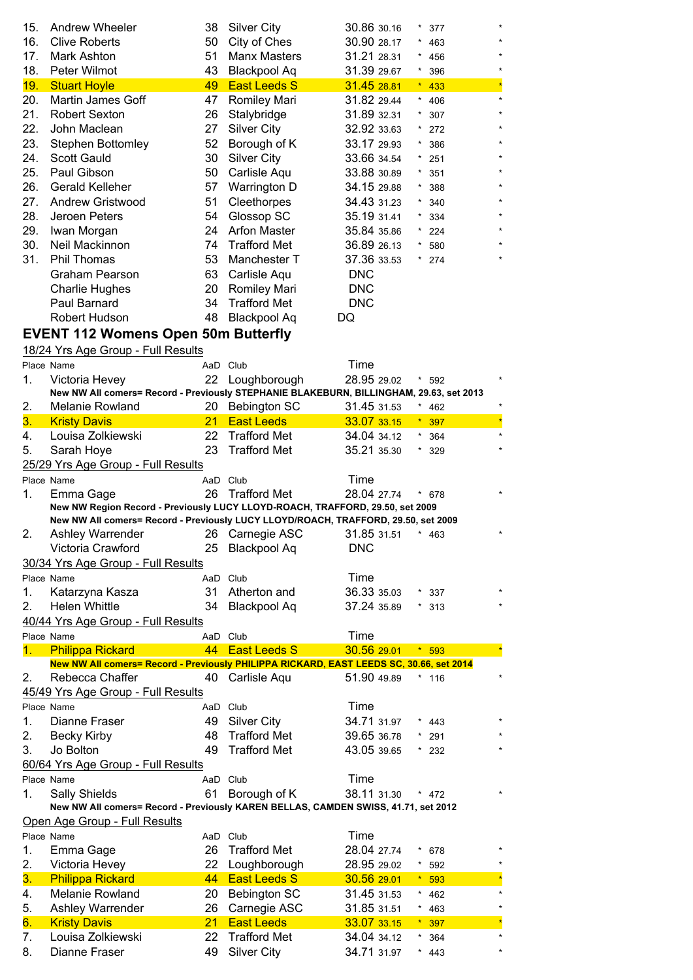| 15.        | <b>Andrew Wheeler</b>                                                                   | 38       | <b>Silver City</b>                  | 30.86 30.16                | $^{\star}$<br>377 |    |
|------------|-----------------------------------------------------------------------------------------|----------|-------------------------------------|----------------------------|-------------------|----|
| 16.        | <b>Clive Roberts</b>                                                                    | 50       | City of Ches                        | 30.90 28.17                | $\star$<br>463    |    |
| 17.        | Mark Ashton                                                                             | 51       | <b>Manx Masters</b>                 | 31.21 28.31                | 456               |    |
| 18.        | Peter Wilmot                                                                            | 43       | <b>Blackpool Aq</b>                 | 31.39 29.67                | 396               |    |
| 19.        | <b>Stuart Hoyle</b>                                                                     | 49       | <b>East Leeds S</b>                 | 31.45 28.81                | 433               |    |
| 20.        | Martin James Goff                                                                       | 47       | <b>Romiley Mari</b>                 | 31.82 29.44                | 406               |    |
| 21.        | <b>Robert Sexton</b>                                                                    | 26       | Stalybridge                         | 31.89 32.31                | 307               |    |
| 22.        | John Maclean                                                                            | 27       | <b>Silver City</b>                  | 32.92 33.63                | 272               |    |
| 23.        | <b>Stephen Bottomley</b>                                                                | 52       | Borough of K                        | 33.17 29.93                | 386               |    |
| 24.        | Scott Gauld                                                                             | 30       | <b>Silver City</b>                  | 33.66 34.54                | 251               |    |
| 25.        | Paul Gibson                                                                             | 50       | Carlisle Aqu                        | 33.88 30.89                | ×<br>351          |    |
| 26.        | <b>Gerald Kelleher</b>                                                                  | 57       | Warrington D                        | 34.15 29.88                | $\star$<br>388    |    |
| 27.        | <b>Andrew Gristwood</b>                                                                 | 51       | Cleethorpes                         | 34.43 31.23                | $\star$<br>340    |    |
| 28.        | Jeroen Peters                                                                           | 54       | Glossop SC                          | 35.19 31.41                | $\star$<br>334    |    |
| 29.        | Iwan Morgan                                                                             | 24       | <b>Arfon Master</b>                 | 35.84 35.86                | $\star$<br>224    |    |
| 30.        | Neil Mackinnon                                                                          | 74       | <b>Trafford Met</b>                 | 36.89 26.13                | 580               |    |
| 31.        | <b>Phil Thomas</b>                                                                      | 53       | Manchester T                        | 37.36 33.53                | $*$ 274           |    |
|            | Graham Pearson                                                                          | 63       | Carlisle Aqu                        | <b>DNC</b>                 |                   |    |
|            | <b>Charlie Hughes</b>                                                                   | 20       | <b>Romiley Mari</b>                 | <b>DNC</b>                 |                   |    |
|            | Paul Barnard                                                                            | 34       | <b>Trafford Met</b>                 | <b>DNC</b>                 |                   |    |
|            | Robert Hudson                                                                           | 48       | <b>Blackpool Aq</b>                 | DQ                         |                   |    |
|            | <b>EVENT 112 Womens Open 50m Butterfly</b>                                              |          |                                     |                            |                   |    |
|            | 18/24 Yrs Age Group - Full Results                                                      |          |                                     |                            |                   |    |
|            | Place Name                                                                              |          | AaD Club                            | Time                       |                   |    |
| 1.         | Victoria Hevey                                                                          | 22       | Loughborough                        | 28.95 29.02                | * 592             |    |
|            | New NW All comers= Record - Previously STEPHANIE BLAKEBURN, BILLINGHAM, 29.63, set 2013 |          |                                     |                            |                   |    |
| 2.         | Melanie Rowland                                                                         | 20       | <b>Bebington SC</b>                 | 31.45 31.53                | * 462             |    |
| 3.         | <b>Kristy Davis</b>                                                                     | 21       | <b>East Leeds</b>                   | 33.07 33.15                | *.<br>397         | ź  |
| 4.         | Louisa Zolkiewski                                                                       | 22       | <b>Trafford Met</b>                 | 34.04 34.12                | 364               |    |
| 5.         | Sarah Hoye                                                                              | 23       | <b>Trafford Met</b>                 | 35.21 35.30                | 329               |    |
|            | 25/29 Yrs Age Group - Full Results                                                      |          |                                     |                            |                   |    |
|            |                                                                                         |          |                                     |                            |                   |    |
|            |                                                                                         |          |                                     |                            |                   |    |
| Place Name |                                                                                         |          | AaD Club                            | Time                       |                   |    |
| 1.         | Emma Gage                                                                               | 26       | <b>Trafford Met</b>                 | 28.04 27.74                | * 678             |    |
|            | New NW Region Record - Previously LUCY LLOYD-ROACH, TRAFFORD, 29.50, set 2009           |          |                                     |                            |                   |    |
| 2          | New NW All comers= Record - Previously LUCY LLOYD/ROACH, TRAFFORD, 29.50, set 2009      |          |                                     |                            |                   |    |
|            | Ashley Warrender                                                                        |          | 26 Carnegie ASC 31.85 31.51         |                            | $* 463$           |    |
|            | Victoria Crawford                                                                       |          | 25 Blackpool Aq                     | <b>DNC</b>                 |                   |    |
|            | 30/34 Yrs Age Group - Full Results<br>Place Name                                        |          |                                     |                            |                   |    |
|            |                                                                                         |          | AaD Club                            | Time                       |                   |    |
| 1.         | Katarzyna Kasza                                                                         | 31       | Atherton and                        | 36.33 35.03                | $*337$            |    |
| 2.         | Helen Whittle                                                                           | 34       | <b>Blackpool Aq</b>                 | 37.24 35.89                | $*313$            |    |
|            | 40/44 Yrs Age Group - Full Results                                                      |          |                                     |                            |                   |    |
|            | Place Name                                                                              |          | AaD Club                            | Time                       |                   | ź, |
| 1.         | <b>Philippa Rickard</b>                                                                 | 44       | <b>East Leeds S</b>                 | 30.56 29.01                | $* 593$           |    |
| 2.         | New NW All comers= Record - Previously PHILIPPA RICKARD, EAST LEEDS SC, 30.66, set 2014 |          |                                     | 51.90 49.89                | $*$ 116           |    |
|            | Rebecca Chaffer                                                                         |          | 40 Carlisle Aqu                     |                            |                   |    |
|            | 45/49 Yrs Age Group - Full Results<br>Place Name                                        |          | AaD Club                            |                            |                   |    |
| 1.         | Dianne Fraser                                                                           | 49       |                                     | Time                       | 443               |    |
|            |                                                                                         | 48       | Silver City                         | 34.71 31.97                | 291               |    |
| 2.         | <b>Becky Kirby</b>                                                                      |          | <b>Trafford Met</b>                 | 39.65 36.78                |                   |    |
| 3.         | Jo Bolton                                                                               | 49       | <b>Trafford Met</b>                 | 43.05 39.65                | $*232$            |    |
|            | 60/64 Yrs Age Group - Full Results                                                      |          |                                     |                            |                   |    |
|            | Place Name                                                                              |          | AaD Club                            | Time                       | $*$ 472           |    |
| 1.         | <b>Sally Shields</b>                                                                    | 61       | Borough of K                        | 38.11 31.30                |                   |    |
|            | New NW All comers= Record - Previously KAREN BELLAS, CAMDEN SWISS, 41.71, set 2012      |          |                                     |                            |                   |    |
|            | Open Age Group - Full Results<br>Place Name                                             |          | AaD Club                            | Time                       |                   |    |
| 1.         |                                                                                         | 26       | <b>Trafford Met</b>                 |                            | 678<br>$^{\star}$ |    |
| 2.         | Emma Gage                                                                               | 22       |                                     | 28.04 27.74                | $*$ 592           |    |
| 3.         | Victoria Hevey                                                                          | 44       | Loughborough<br><b>East Leeds S</b> | 28.95 29.02<br>30.56 29.01 | $* 593$           | ź  |
|            | <b>Philippa Rickard</b>                                                                 |          |                                     |                            |                   |    |
| 4.         | Melanie Rowland                                                                         | 20       | <b>Bebington SC</b>                 | 31.45 31.53                | $* 462$           |    |
| 5.<br>6.   | Ashley Warrender                                                                        | 26<br>21 | Carnegie ASC<br><b>East Leeds</b>   | 31.85 31.51                | $* 463$           |    |
| 7.         | <b>Kristy Davis</b><br>Louisa Zolkiewski                                                | 22       | <b>Trafford Met</b>                 | 33.07 33.15<br>34.04 34.12 | $*397$<br>364     |    |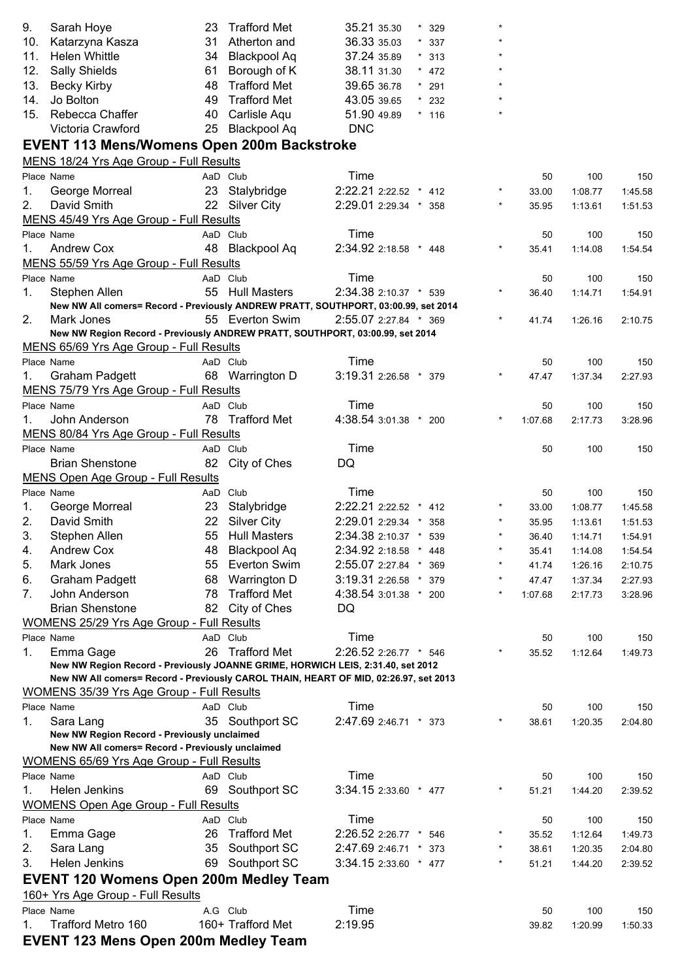| 9.  | Sarah Hoye                                                                                      | 23 | <b>Trafford Met</b>         | 35.21 35.30           | $\star$ | 329     |         |               |                |                |
|-----|-------------------------------------------------------------------------------------------------|----|-----------------------------|-----------------------|---------|---------|---------|---------------|----------------|----------------|
| 10. | Katarzyna Kasza                                                                                 | 31 | Atherton and                | 36.33 35.03           | $\star$ | 337     |         |               |                |                |
| 11. | <b>Helen Whittle</b>                                                                            | 34 | <b>Blackpool Aq</b>         | 37.24 35.89           |         | $*313$  |         |               |                |                |
| 12. | Sally Shields                                                                                   | 61 | Borough of K                | 38.11 31.30           |         | $* 472$ |         |               |                |                |
| 13. | <b>Becky Kirby</b>                                                                              | 48 | <b>Trafford Met</b>         | 39.65 36.78           | $\star$ | 291     |         |               |                |                |
| 14. | Jo Bolton                                                                                       | 49 | <b>Trafford Met</b>         | 43.05 39.65           | $\star$ | 232     |         |               |                |                |
| 15. | Rebecca Chaffer                                                                                 | 40 | Carlisle Aqu                | 51.90 49.89           |         | $*$ 116 |         |               |                |                |
|     | Victoria Crawford                                                                               | 25 | <b>Blackpool Aq</b>         | <b>DNC</b>            |         |         |         |               |                |                |
|     | <b>EVENT 113 Mens/Womens Open 200m Backstroke</b>                                               |    |                             |                       |         |         |         |               |                |                |
|     | MENS 18/24 Yrs Age Group - Full Results                                                         |    |                             |                       |         |         |         |               |                |                |
|     | Place Name                                                                                      |    | AaD Club                    | Time                  |         |         |         | 50            | 100            | 150            |
| 1.  | George Morreal                                                                                  |    | 23 Stalybridge              | 2:22.21 2:22.52 * 412 |         |         |         | 33.00         | 1:08.77        | 1:45.58        |
| 2.  | David Smith                                                                                     |    | 22 Silver City              | 2:29.01 2:29.34 * 358 |         |         | $\star$ | 35.95         | 1:13.61        | 1:51.53        |
|     | MENS 45/49 Yrs Age Group - Full Results                                                         |    |                             |                       |         |         |         |               |                |                |
|     | Place Name                                                                                      |    | AaD Club                    | Time                  |         |         |         | 50            | 100            | 150            |
| 1.  | <b>Andrew Cox</b>                                                                               |    | 48 Blackpool Aq             | 2:34.92 2:18.58 * 448 |         |         |         | 35.41         | 1:14.08        | 1:54.54        |
|     | MENS 55/59 Yrs Age Group - Full Results                                                         |    |                             |                       |         |         |         |               |                |                |
|     | Place Name                                                                                      |    | AaD Club                    | Time                  |         |         |         | 50            | 100            | 150            |
| 1.  | Stephen Allen                                                                                   | 55 | <b>Hull Masters</b>         | 2:34.38 2:10.37 * 539 |         |         |         | 36.40         | 1:14.71        | 1:54.91        |
|     | New NW All comers= Record - Previously ANDREW PRATT, SOUTHPORT, 03:00.99, set 2014              |    |                             |                       |         |         |         |               |                |                |
| 2.  | Mark Jones                                                                                      |    | 55 Everton Swim             | 2:55.07 2:27.84 * 369 |         |         |         | 41.74         | 1:26.16        | 2:10.75        |
|     | New NW Region Record - Previously ANDREW PRATT, SOUTHPORT, 03:00.99, set 2014                   |    |                             |                       |         |         |         |               |                |                |
|     | MENS 65/69 Yrs Age Group - Full Results                                                         |    |                             |                       |         |         |         |               |                |                |
|     | Place Name                                                                                      |    | AaD Club                    | Time                  |         |         |         | 50            | 100            | 150            |
| 1.  | <b>Graham Padgett</b>                                                                           |    | 68 Warrington D             | 3:19.31 2:26.58 * 379 |         |         |         | 47.47         | 1:37.34        | 2:27.93        |
|     | MENS 75/79 Yrs Age Group - Full Results                                                         |    |                             | Time                  |         |         |         |               |                |                |
| 1.  | Place Name<br>John Anderson                                                                     |    | AaD Club<br>78 Trafford Met | 4:38.54 3:01.38 * 200 |         |         |         | 50<br>1:07.68 | 100<br>2:17.73 | 150<br>3:28.96 |
|     | MENS 80/84 Yrs Age Group - Full Results                                                         |    |                             |                       |         |         |         |               |                |                |
|     | Place Name                                                                                      |    | AaD Club                    | Time                  |         |         |         | 50            | 100            | 150            |
|     | <b>Brian Shenstone</b>                                                                          |    | 82 City of Ches             | DQ                    |         |         |         |               |                |                |
|     | <b>MENS Open Age Group - Full Results</b>                                                       |    |                             |                       |         |         |         |               |                |                |
|     | Place Name                                                                                      |    | AaD Club                    | Time                  |         |         |         | 50            | 100            | 150            |
| 1.  | George Morreal                                                                                  | 23 | Stalybridge                 | 2:22.21 2:22.52 * 412 |         |         |         | 33.00         | 1:08.77        | 1:45.58        |
| 2.  | David Smith                                                                                     |    | 22 Silver City              | 2:29.01 2:29.34 * 358 |         |         | $\star$ | 35.95         | 1:13.61        | 1:51.53        |
| 3.  | Stephen Allen                                                                                   |    | 55 Hull Masters             | 2:34.38 2:10.37       |         | 539     |         | 36.40         | 1:14.71        | 1:54.91        |
| 4.  | <b>Andrew Cox</b>                                                                               | 48 | <b>Blackpool Aq</b>         | 2:34.92 2:18.58       | $\star$ | 448     |         | 35.41         | 1:14.08        | 1:54.54        |
| 5.  | Mark Jones                                                                                      | 55 | <b>Everton Swim</b>         | 2:55.07 2:27.84 *     |         | 369     |         | 41.74         | 1:26.16        | 2:10.75        |
| 6.  | <b>Graham Padgett</b>                                                                           | 68 | Warrington D                | 3:19.31 2:26.58 *     |         | 379     |         | 47.47         | 1:37.34        | 2:27.93        |
| 7.  | John Anderson                                                                                   | 78 | <b>Trafford Met</b>         | 4:38.54 3:01.38 * 200 |         |         | $\star$ | 1:07.68       | 2:17.73        | 3:28.96        |
|     | <b>Brian Shenstone</b>                                                                          | 82 | City of Ches                | DQ                    |         |         |         |               |                |                |
|     | WOMENS 25/29 Yrs Age Group - Full Results                                                       |    |                             |                       |         |         |         |               |                |                |
|     | Place Name                                                                                      |    | AaD Club                    | Time                  |         |         |         | 50            | 100            | 150            |
| 1.  | Emma Gage                                                                                       | 26 | <b>Trafford Met</b>         | 2:26.52 2:26.77 * 546 |         |         |         | 35.52         | 1:12.64        | 1:49.73        |
|     | New NW Region Record - Previously JOANNE GRIME, HORWICH LEIS, 2:31.40, set 2012                 |    |                             |                       |         |         |         |               |                |                |
|     | New NW All comers= Record - Previously CAROL THAIN, HEART OF MID, 02:26.97, set 2013            |    |                             |                       |         |         |         |               |                |                |
|     | WOMENS 35/39 Yrs Age Group - Full Results                                                       |    |                             |                       |         |         |         |               |                |                |
|     | Place Name                                                                                      |    | AaD Club                    | Time                  |         |         |         | 50            | 100            | 150            |
| 1.  | Sara Lang                                                                                       |    | 35 Southport SC             | 2:47.69 2:46.71 * 373 |         |         |         | 38.61         | 1:20.35        | 2:04.80        |
|     | New NW Region Record - Previously unclaimed<br>New NW All comers= Record - Previously unclaimed |    |                             |                       |         |         |         |               |                |                |
|     | WOMENS 65/69 Yrs Age Group - Full Results                                                       |    |                             |                       |         |         |         |               |                |                |
|     | Place Name                                                                                      |    | AaD Club                    | Time                  |         |         |         | 50            | 100            | 150            |
| 1.  | Helen Jenkins                                                                                   | 69 | Southport SC                | 3:34.15 2:33.60 * 477 |         |         |         | 51.21         | 1:44.20        | 2:39.52        |
|     | <b>WOMENS Open Age Group - Full Results</b>                                                     |    |                             |                       |         |         |         |               |                |                |
|     | Place Name                                                                                      |    | AaD Club                    | Time                  |         |         |         | 50            | 100            | 150            |
| 1.  | Emma Gage                                                                                       | 26 | <b>Trafford Met</b>         | 2:26.52 2:26.77 * 546 |         |         |         | 35.52         | 1:12.64        | 1:49.73        |
| 2.  | Sara Lang                                                                                       | 35 | Southport SC                | 2:47.69 2:46.71 *     |         | 373     |         | 38.61         | 1:20.35        | 2:04.80        |
| 3.  | Helen Jenkins                                                                                   |    | 69 Southport SC             | 3:34.15 2:33.60 * 477 |         |         | $\star$ | 51.21         | 1:44.20        | 2:39.52        |
|     | <b>EVENT 120 Womens Open 200m Medley Team</b>                                                   |    |                             |                       |         |         |         |               |                |                |
|     | 160+ Yrs Age Group - Full Results                                                               |    |                             |                       |         |         |         |               |                |                |
|     | Place Name                                                                                      |    | A.G Club                    | Time                  |         |         |         | 50            | 100            | 150            |
| 1.  | Trafford Metro 160                                                                              |    | 160+ Trafford Met           | 2:19.95               |         |         |         | 39.82         | 1:20.99        | 1:50.33        |
|     | <b>EVENT 123 Mens Open 200m Medley Team</b>                                                     |    |                             |                       |         |         |         |               |                |                |
|     |                                                                                                 |    |                             |                       |         |         |         |               |                |                |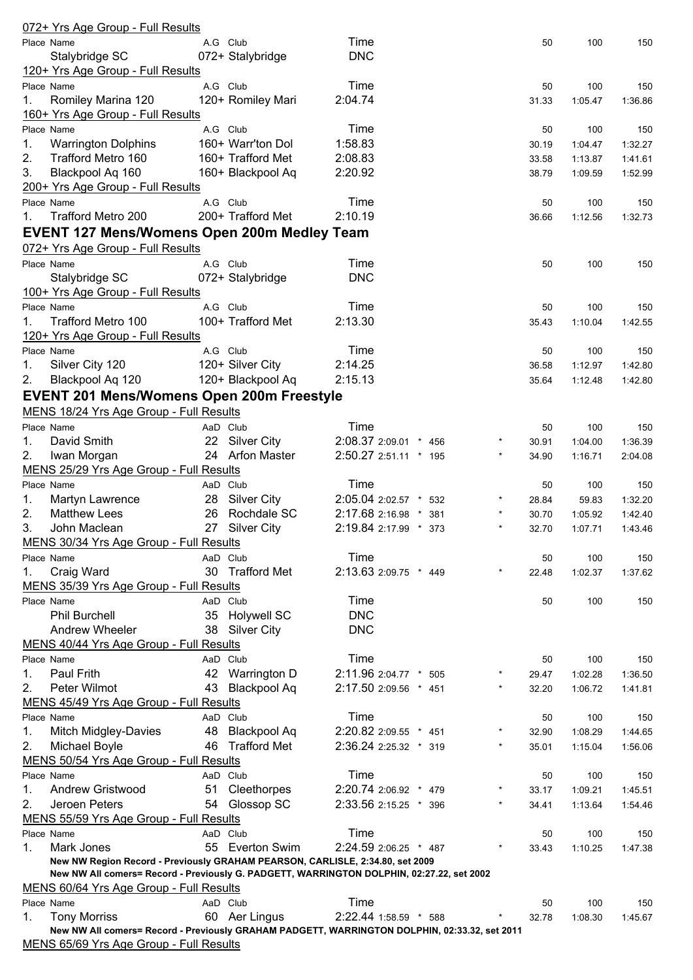|             | <u>072+ Yrs Age Group - Full Results</u>                                                      |    |                     |                       |          |       |         |         |
|-------------|-----------------------------------------------------------------------------------------------|----|---------------------|-----------------------|----------|-------|---------|---------|
|             | Place Name                                                                                    |    | A.G Club            | Time                  |          | 50    | 100     | 150     |
|             | Stalybridge SC                                                                                |    | 072+ Stalybridge    | <b>DNC</b>            |          |       |         |         |
|             | 120+ Yrs Age Group - Full Results                                                             |    |                     |                       |          |       |         |         |
|             | Place Name                                                                                    |    | A.G Club            | Time                  |          | 50    | 100     | 150     |
| 1.          | Romiley Marina 120                                                                            |    | 120+ Romiley Mari   | 2:04.74               |          | 31.33 | 1:05.47 | 1:36.86 |
|             |                                                                                               |    |                     |                       |          |       |         |         |
|             | 160+ Yrs Age Group - Full Results                                                             |    |                     |                       |          |       |         |         |
|             | Place Name                                                                                    |    | A.G Club            | Time                  |          | 50    | 100     | 150     |
| 1.          | <b>Warrington Dolphins</b>                                                                    |    | 160+ Warr'ton Dol   | 1:58.83               |          | 30.19 | 1:04.47 | 1:32.27 |
| 2.          | Trafford Metro 160                                                                            |    | 160+ Trafford Met   | 2:08.83               |          | 33.58 | 1:13.87 | 1:41.61 |
| 3.          | Blackpool Aq 160                                                                              |    | 160+ Blackpool Aq   | 2:20.92               |          | 38.79 | 1:09.59 | 1:52.99 |
|             | 200+ Yrs Age Group - Full Results                                                             |    |                     |                       |          |       |         |         |
|             | Place Name                                                                                    |    | A.G Club            | Time                  |          | 50    | 100     | 150     |
| $1_{\cdot}$ | Trafford Metro 200                                                                            |    | 200+ Trafford Met   | 2:10.19               |          | 36.66 | 1:12.56 | 1:32.73 |
|             | EVENT 127 Mens/Womens Open 200m Medley Team                                                   |    |                     |                       |          |       |         |         |
|             |                                                                                               |    |                     |                       |          |       |         |         |
|             | 072+ Yrs Age Group - Full Results                                                             |    |                     |                       |          |       |         |         |
|             | Place Name                                                                                    |    | A.G Club            | Time                  |          | 50    | 100     | 150     |
|             | Stalybridge SC                                                                                |    | 072+ Stalybridge    | <b>DNC</b>            |          |       |         |         |
|             | 100+ Yrs Age Group - Full Results                                                             |    |                     |                       |          |       |         |         |
|             | Place Name                                                                                    |    | A.G Club            | Time                  |          | 50    | 100     | 150     |
| 1.          | Trafford Metro 100                                                                            |    | 100+ Trafford Met   | 2:13.30               |          | 35.43 | 1:10.04 | 1:42.55 |
|             | 120+ Yrs Age Group - Full Results                                                             |    |                     |                       |          |       |         |         |
|             | Place Name                                                                                    |    | A.G Club            | Time                  |          | 50    | 100     | 150     |
| 1.          | Silver City 120                                                                               |    | 120+ Silver City    | 2:14.25               |          | 36.58 | 1:12.97 | 1:42.80 |
| 2.          | Blackpool Aq 120                                                                              |    | 120+ Blackpool Aq   | 2:15.13               |          |       |         |         |
|             |                                                                                               |    |                     |                       |          | 35.64 | 1:12.48 | 1:42.80 |
|             | <b>EVENT 201 Mens/Womens Open 200m Freestyle</b>                                              |    |                     |                       |          |       |         |         |
|             | MENS 18/24 Yrs Age Group - Full Results                                                       |    |                     |                       |          |       |         |         |
|             | Place Name                                                                                    |    | AaD Club            | Time                  |          | 50    | 100     | 150     |
| 1.          | David Smith                                                                                   |    | 22 Silver City      | 2:08.37 2:09.01 * 456 | $\star$  | 30.91 | 1:04.00 | 1:36.39 |
| 2.          | Iwan Morgan                                                                                   |    | 24 Arfon Master     | 2:50.27 2:51.11 * 195 | $\star$  | 34.90 | 1:16.71 | 2:04.08 |
|             | MENS 25/29 Yrs Age Group - Full Results                                                       |    |                     |                       |          |       |         |         |
|             | Place Name                                                                                    |    | AaD Club            | Time                  |          | 50    | 100     | 150     |
| 1.          | Martyn Lawrence                                                                               | 28 | Silver City         | 2:05.04 2:02.57 * 532 | $^\star$ | 28.84 | 59.83   | 1:32.20 |
| 2.          | <b>Matthew Lees</b>                                                                           | 26 | Rochdale SC         |                       | $\star$  |       |         |         |
|             |                                                                                               |    |                     | 2:17.68 2:16.98 * 381 |          | 30.70 | 1:05.92 | 1:42.40 |
| 3.          | John Maclean                                                                                  | 27 | <b>Silver City</b>  | 2:19.84 2:17.99 * 373 | $\star$  | 32.70 | 1:07.71 | 1:43.46 |
|             | MENS 30/34 Yrs Age Group - Full Results                                                       |    |                     |                       |          |       |         |         |
|             | Place Name                                                                                    |    | AaD Club            | Time                  |          | 50    | 100     | 150     |
| 1.          | Craig Ward                                                                                    | 30 | <b>Trafford Met</b> | 2:13.63 2:09.75 * 449 | *        | 22.48 | 1:02.37 | 1:37.62 |
|             | MENS 35/39 Yrs Age Group - Full Results                                                       |    |                     |                       |          |       |         |         |
|             | Place Name                                                                                    |    | AaD Club            | Time                  |          | 50    | 100     | 150     |
|             | <b>Phil Burchell</b>                                                                          | 35 | <b>Holywell SC</b>  | <b>DNC</b>            |          |       |         |         |
|             | Andrew Wheeler                                                                                |    | 38 Silver City      | <b>DNC</b>            |          |       |         |         |
|             | MENS 40/44 Yrs Age Group - Full Results                                                       |    |                     |                       |          |       |         |         |
|             | Place Name                                                                                    |    | AaD Club            | Time                  |          | 50    | 100     | 150     |
|             | Paul Frith                                                                                    | 42 |                     | 2:11.96 2:04.77 * 505 | $\ast$   |       |         |         |
| 1.          |                                                                                               |    | <b>Warrington D</b> |                       | $\star$  | 29.47 | 1:02.28 | 1:36.50 |
| 2.          | Peter Wilmot                                                                                  | 43 | <b>Blackpool Aq</b> | 2:17.50 2:09.56 * 451 |          | 32.20 | 1:06.72 | 1:41.81 |
|             | MENS 45/49 Yrs Age Group - Full Results                                                       |    |                     |                       |          |       |         |         |
|             | Place Name                                                                                    |    | AaD Club            | Time                  |          | 50    | 100     | 150     |
| 1.          | <b>Mitch Midgley-Davies</b>                                                                   | 48 | <b>Blackpool Aq</b> | 2:20.82 2:09.55 * 451 |          | 32.90 | 1:08.29 | 1:44.65 |
| 2.          | Michael Boyle                                                                                 | 46 | <b>Trafford Met</b> | 2:36.24 2:25.32 * 319 | $\star$  | 35.01 | 1:15.04 | 1:56.06 |
|             | MENS 50/54 Yrs Age Group - Full Results                                                       |    |                     |                       |          |       |         |         |
|             | Place Name                                                                                    |    | AaD Club            | Time                  |          | 50    | 100     | 150     |
| 1.          | Andrew Gristwood                                                                              | 51 | Cleethorpes         | 2:20.74 2:06.92 * 479 |          | 33.17 | 1:09.21 | 1:45.51 |
| 2.          | Jeroen Peters                                                                                 |    | 54 Glossop SC       | 2:33.56 2:15.25 * 396 | $^\star$ | 34.41 | 1:13.64 | 1:54.46 |
|             | MENS 55/59 Yrs Age Group - Full Results                                                       |    |                     |                       |          |       |         |         |
|             | Place Name                                                                                    |    | AaD Club            | Time                  |          |       |         |         |
|             |                                                                                               |    |                     |                       | $\star$  | 50    | 100     | 150     |
| 1.          | Mark Jones                                                                                    | 55 | <b>Everton Swim</b> | 2:24.59 2:06.25 * 487 |          | 33.43 | 1:10.25 | 1:47.38 |
|             | New NW Region Record - Previously GRAHAM PEARSON, CARLISLE, 2:34.80, set 2009                 |    |                     |                       |          |       |         |         |
|             | New NW All comers= Record - Previously G. PADGETT, WARRINGTON DOLPHIN, 02:27.22, set 2002     |    |                     |                       |          |       |         |         |
|             | MENS 60/64 Yrs Age Group - Full Results                                                       |    |                     |                       |          |       |         |         |
|             | Place Name                                                                                    |    | AaD Club            | Time                  |          | 50    | 100     | 150     |
| 1.          | <b>Tony Morriss</b>                                                                           |    | 60 Aer Lingus       | 2:22.44 1:58.59 * 588 |          | 32.78 | 1:08.30 | 1:45.67 |
|             | New NW All comers= Record - Previously GRAHAM PADGETT, WARRINGTON DOLPHIN, 02:33.32, set 2011 |    |                     |                       |          |       |         |         |
|             | MENS 65/69 Yrs Ane Group - Full Results                                                       |    |                     |                       |          |       |         |         |

MENS 65/69 Yrs Age Group - Full Results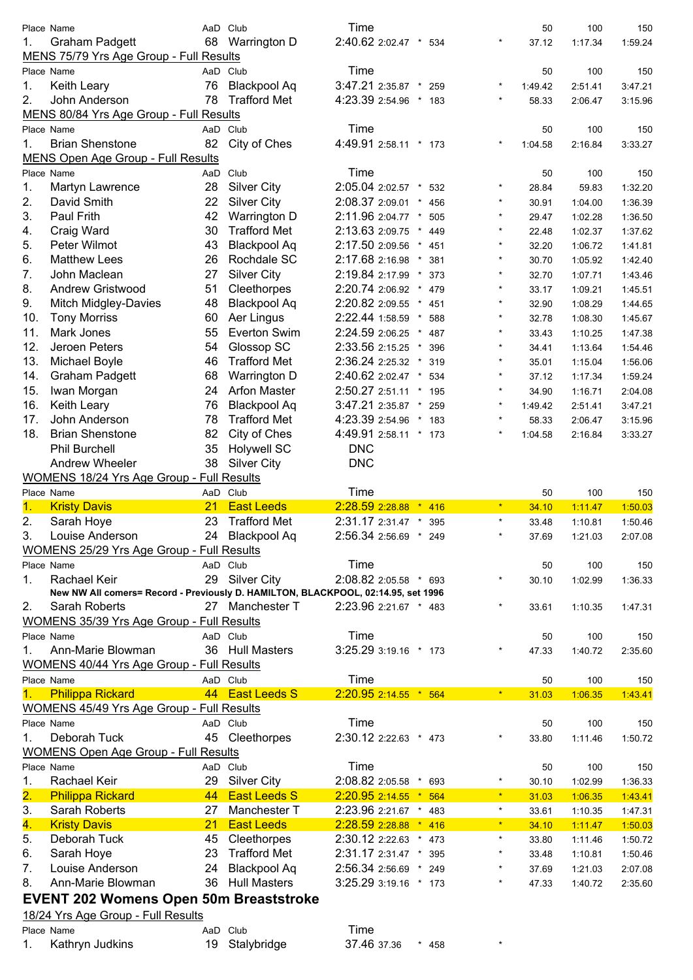|                           | Place Name                                                                          |    | AaD Club            | Time                       |                   | 50      | 100     | 150     |
|---------------------------|-------------------------------------------------------------------------------------|----|---------------------|----------------------------|-------------------|---------|---------|---------|
| 1.                        | <b>Graham Padgett</b>                                                               | 68 | Warrington D        | 2:40.62 2:02.47 *          | $^{\star}$<br>534 | 37.12   | 1:17.34 | 1:59.24 |
|                           | MENS 75/79 Yrs Age Group - Full Results                                             |    |                     |                            |                   |         |         |         |
|                           | Place Name                                                                          |    | AaD Club            | Time                       |                   | 50      | 100     | 150     |
| 1.                        | Keith Leary                                                                         | 76 | <b>Blackpool Aq</b> | 3:47.21 2:35.87 *          | $\star$<br>259    | 1:49.42 | 2:51.41 | 3:47.21 |
| 2.                        | John Anderson                                                                       | 78 | <b>Trafford Met</b> | 4:23.39 2:54.96 *          | 183               | 58.33   | 2:06.47 | 3:15.96 |
|                           | MENS 80/84 Yrs Age Group - Full Results                                             |    |                     |                            |                   |         |         |         |
|                           | Place Name                                                                          |    | AaD Club            | Time                       |                   | 50      | 100     | 150     |
| $1_{\cdot}$               | <b>Brian Shenstone</b>                                                              | 82 | City of Ches        | 4:49.91 2:58.11 * 173      | $\star$           | 1:04.58 | 2:16.84 | 3:33.27 |
|                           |                                                                                     |    |                     |                            |                   |         |         |         |
|                           | <b>MENS Open Age Group - Full Results</b>                                           |    |                     |                            |                   |         |         |         |
|                           | Place Name                                                                          |    | AaD Club            | Time                       |                   | 50      | 100     | 150     |
| 1.                        | Martyn Lawrence                                                                     | 28 | <b>Silver City</b>  | 2:05.04 2:02.57 *          | $\star$<br>532    | 28.84   | 59.83   | 1:32.20 |
| 2.                        | David Smith                                                                         | 22 | <b>Silver City</b>  | 2:08.37 2:09.01 *          | $^\star$<br>456   | 30.91   | 1:04.00 | 1:36.39 |
| 3.                        | Paul Frith                                                                          | 42 | Warrington D        | 2:11.96 2:04.77 *          | $\star$<br>505    | 29.47   | 1:02.28 | 1:36.50 |
| 4.                        | Craig Ward                                                                          | 30 | <b>Trafford Met</b> | 2:13.63 2:09.75<br>$\star$ | $\star$<br>449    | 22.48   | 1:02.37 | 1:37.62 |
| 5.                        | Peter Wilmot                                                                        | 43 | <b>Blackpool Aq</b> | 2:17.50 2:09.56            | $^{\star}$<br>451 | 32.20   | 1:06.72 | 1:41.81 |
| 6.                        | <b>Matthew Lees</b>                                                                 | 26 | Rochdale SC         | 2:17.68 2:16.98            | $\star$<br>381    | 30.70   | 1:05.92 | 1:42.40 |
| 7.                        | John Maclean                                                                        | 27 | <b>Silver City</b>  | 2:19.84 2:17.99<br>$\star$ | $\star$<br>373    | 32.70   | 1:07.71 | 1:43.46 |
| 8.                        | Andrew Gristwood                                                                    | 51 | Cleethorpes         | 2:20.74 2:06.92<br>$\star$ | $\star$<br>479    | 33.17   | 1:09.21 | 1:45.51 |
| 9.                        | Mitch Midgley-Davies                                                                | 48 | <b>Blackpool Aq</b> | 2:20.82 2:09.55<br>$\star$ | $\star$<br>451    | 32.90   | 1:08.29 | 1:44.65 |
| 10.                       | <b>Tony Morriss</b>                                                                 | 60 | Aer Lingus          | 2:22.44 1:58.59 *          | $\star$<br>588    | 32.78   | 1:08.30 | 1:45.67 |
| 11.                       | Mark Jones                                                                          | 55 | <b>Everton Swim</b> | 2:24.59 2:06.25 *          | $^{\star}$<br>487 | 33.43   | 1:10.25 | 1:47.38 |
|                           |                                                                                     |    |                     |                            | $\star$           |         |         |         |
| 12.                       | Jeroen Peters                                                                       | 54 | Glossop SC          | 2:33.56 2:15.25 *          | 396               | 34.41   | 1:13.64 | 1:54.46 |
| 13.                       | Michael Boyle                                                                       | 46 | <b>Trafford Met</b> | 2:36.24 2:25.32<br>$\star$ | $\star$<br>319    | 35.01   | 1:15.04 | 1:56.06 |
| 14.                       | <b>Graham Padgett</b>                                                               | 68 | Warrington D        | 2:40.62 2:02.47 *          | $\star$<br>534    | 37.12   | 1:17.34 | 1:59.24 |
| 15.                       | Iwan Morgan                                                                         | 24 | <b>Arfon Master</b> | 2:50.27 2:51.11 *          | $\star$<br>195    | 34.90   | 1:16.71 | 2:04.08 |
| 16.                       | Keith Leary                                                                         | 76 | <b>Blackpool Aq</b> | 3:47.21 2:35.87<br>$\star$ | $\star$<br>259    | 1:49.42 | 2:51.41 | 3:47.21 |
| 17.                       | John Anderson                                                                       | 78 | <b>Trafford Met</b> | 4:23.39 2:54.96<br>$\star$ | $^{\star}$<br>183 | 58.33   | 2:06.47 | 3:15.96 |
| 18.                       | <b>Brian Shenstone</b>                                                              | 82 | City of Ches        | 4:49.91 2:58.11 * 173      | $^{\star}$        | 1:04.58 | 2:16.84 | 3:33.27 |
|                           | Phil Burchell                                                                       | 35 | <b>Holywell SC</b>  | <b>DNC</b>                 |                   |         |         |         |
|                           | Andrew Wheeler                                                                      | 38 | <b>Silver City</b>  | <b>DNC</b>                 |                   |         |         |         |
|                           |                                                                                     |    |                     |                            |                   |         |         |         |
|                           |                                                                                     |    |                     |                            |                   |         |         |         |
|                           | WOMENS 18/24 Yrs Age Group - Full Results                                           |    |                     |                            |                   |         |         |         |
|                           | Place Name                                                                          |    | AaD Club            | Time                       | $\star$           | 50      | 100     | 150     |
| 1.                        | <b>Kristy Davis</b>                                                                 | 21 | <b>East Leeds</b>   | 2:28.59 2:28.88 *          | 416<br>$\star$    | 34.10   | 1:11.47 | 1:50.03 |
| 2.                        | Sarah Hoye                                                                          | 23 | <b>Trafford Met</b> | 2:31.17 2:31.47<br>$\star$ | 395               | 33.48   | 1:10.81 | 1:50.46 |
| 3.                        | Louise Anderson                                                                     | 24 | <b>Blackpool Aq</b> | 2:56.34 2:56.69<br>$\star$ | $\star$<br>249    | 37.69   | 1:21.03 | 2:07.08 |
|                           | <b>WOMENS 25/29 Yrs Age Group - Full Results</b>                                    |    |                     |                            |                   |         |         |         |
|                           | Place Name                                                                          |    | AaD Club            | Time                       |                   | 50      | 100     | 150     |
| 1.                        | Rachael Keir                                                                        | 29 | <b>Silver City</b>  | 2:08.82 2:05.58 * 693      | $^{\star}$        | 30.10   | 1:02.99 | 1:36.33 |
|                           | New NW All comers= Record - Previously D. HAMILTON, BLACKPOOL, 02:14.95, set 1996   |    |                     |                            |                   |         |         |         |
| 2.                        | Sarah Roberts                                                                       |    | 27 Manchester T     | 2:23.96 2:21.67 * 483      | $^{\star}$        | 33.61   | 1:10.35 | 1:47.31 |
|                           | WOMENS 35/39 Yrs Age Group - Full Results                                           |    |                     |                            |                   |         |         |         |
|                           | Place Name                                                                          |    | AaD Club            | Time                       |                   | 50      | 100     | 150     |
| 1.                        | Ann-Marie Blowman                                                                   |    | 36 Hull Masters     | 3:25.29 3:19.16 * 173      |                   | 47.33   | 1:40.72 | 2:35.60 |
|                           | <b>WOMENS 40/44 Yrs Age Group - Full Results</b>                                    |    |                     |                            |                   |         |         |         |
|                           | Place Name                                                                          |    | AaD Club            | Time                       |                   | 50      | 100     | 150     |
| 1.                        | <b>Philippa Rickard</b>                                                             |    | 44 East Leeds S     | 2:20.95 2:14.55 * 564      | $\ast$            | 31.03   | 1:06.35 | 1:43.41 |
|                           |                                                                                     |    |                     |                            |                   |         |         |         |
|                           | WOMENS 45/49 Yrs Age Group - Full Results<br>Place Name                             |    | AaD Club            |                            |                   |         |         |         |
|                           |                                                                                     |    |                     | Time                       |                   | 50      | 100     | 150     |
| 1.                        | Deborah Tuck                                                                        |    | 45 Cleethorpes      | 2:30.12 2:22.63 * 473      |                   | 33.80   | 1:11.46 | 1:50.72 |
|                           | <b>WOMENS Open Age Group - Full Results</b>                                         |    |                     |                            |                   |         |         |         |
|                           | Place Name                                                                          |    | AaD Club            | Time                       | $^{\star}$        | 50      | 100     | 150     |
| 1.                        | Rachael Keir                                                                        |    | 29 Silver City      | 2:08.82 2:05.58 *          | 693               | 30.10   | 1:02.99 | 1:36.33 |
| $\overline{\mathbf{2}}$ . | <b>Philippa Rickard</b>                                                             |    | 44 East Leeds S     | $2:20.952:14.55*$          | $\star$<br>564    | 31.03   | 1:06.35 | 1:43.41 |
| 3.                        | Sarah Roberts                                                                       | 27 | Manchester T        | 2:23.96 2:21.67 * 483      | $\star$           | 33.61   | 1:10.35 | 1:47.31 |
| 4.                        | <b>Kristy Davis</b>                                                                 | 21 | <b>East Leeds</b>   | 2:28.59 2:28.88 *          | $\star$<br>416    | 34.10   | 1:11.47 | 1:50.03 |
| 5.                        | Deborah Tuck                                                                        | 45 | Cleethorpes         | 2:30.12 2:22.63 * 473      | $\star$           | 33.80   | 1:11.46 | 1:50.72 |
| 6.                        | Sarah Hoye                                                                          | 23 | <b>Trafford Met</b> | $2:31.172:31.47$ *         | $\star$<br>395    | 33.48   | 1:10.81 | 1:50.46 |
| 7.                        | Louise Anderson                                                                     | 24 | <b>Blackpool Aq</b> | 2:56.34 2:56.69 * 249      |                   | 37.69   | 1:21.03 | 2:07.08 |
| 8.                        | Ann-Marie Blowman                                                                   | 36 | <b>Hull Masters</b> | 3:25.29 3:19.16 * 173      | $^{\star}$        | 47.33   | 1:40.72 | 2:35.60 |
|                           |                                                                                     |    |                     |                            |                   |         |         |         |
|                           | <b>EVENT 202 Womens Open 50m Breaststroke</b><br>18/24 Yrs Age Group - Full Results |    |                     |                            |                   |         |         |         |

Place Name AaD Club Time 1. Kathryn Judkins 19 Stalybridge 37.46 37.36 \* 458 \*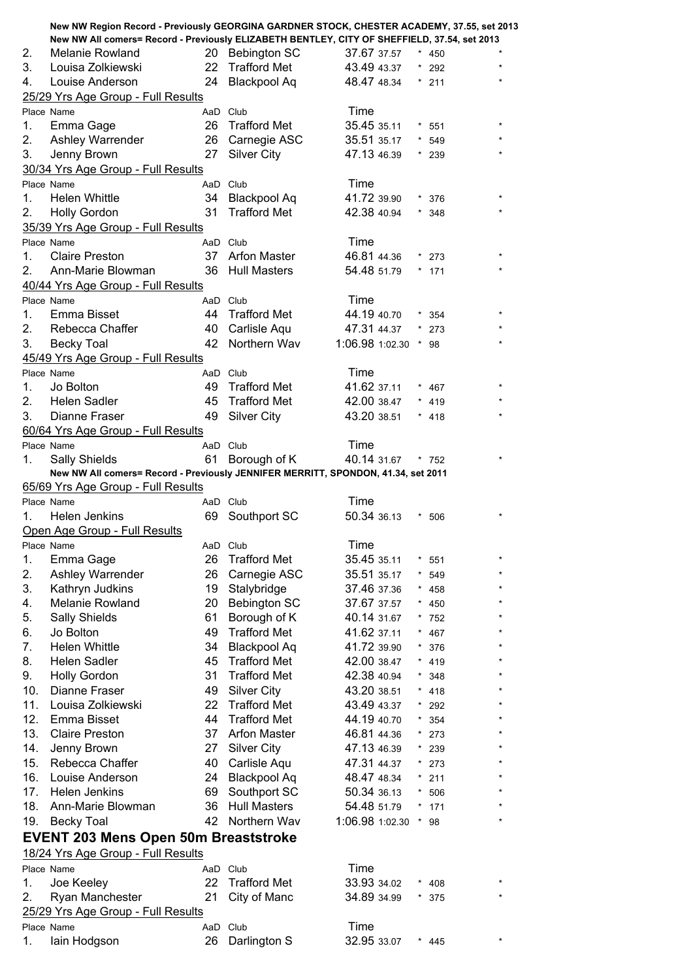|     | New NW Region Record - Previously GEORGINA GARDNER STOCK, CHESTER ACADEMY, 37.55, set 2013   |    |                     |                     |         |         |         |
|-----|----------------------------------------------------------------------------------------------|----|---------------------|---------------------|---------|---------|---------|
|     | New NW All comers= Record - Previously ELIZABETH BENTLEY, CITY OF SHEFFIELD, 37.54, set 2013 |    |                     |                     |         |         |         |
| 2.  | Melanie Rowland                                                                              |    | 20 Bebington SC     | 37.67 37.57         |         | $*$ 450 |         |
| 3.  | Louisa Zolkiewski                                                                            | 22 | <b>Trafford Met</b> | 43.49 43.37         |         | $*$ 292 |         |
| 4.  | Louise Anderson                                                                              | 24 | <b>Blackpool Aq</b> | 48.47 48.34         |         | $*$ 211 |         |
|     | 25/29 Yrs Age Group - Full Results                                                           |    |                     |                     |         |         |         |
|     | Place Name                                                                                   |    | AaD Club            | Time                |         |         |         |
| 1.  | Emma Gage                                                                                    |    | 26 Trafford Met     | 35.45 35.11         |         | 551     |         |
| 2.  | Ashley Warrender                                                                             |    | 26 Carnegie ASC     | 35.51 35.17         |         | $* 549$ |         |
| 3.  | Jenny Brown                                                                                  | 27 | <b>Silver City</b>  | 47.13 46.39         |         | $*$ 239 |         |
|     | 30/34 Yrs Age Group - Full Results                                                           |    |                     |                     |         |         |         |
|     | Place Name                                                                                   |    | AaD Club            | Time                |         |         |         |
| 1.  | <b>Helen Whittle</b>                                                                         | 34 | <b>Blackpool Aq</b> | 41.72 39.90         |         | $*376$  |         |
| 2.  | <b>Holly Gordon</b>                                                                          | 31 | <b>Trafford Met</b> | 42.38 40.94         |         | $*348$  |         |
|     | 35/39 Yrs Age Group - Full Results                                                           |    |                     |                     |         |         |         |
|     | Place Name                                                                                   |    | AaD Club            | Time                |         |         |         |
| 1.  | <b>Claire Preston</b>                                                                        | 37 | <b>Arfon Master</b> | 46.81 44.36         |         | $*$ 273 |         |
| 2.  | Ann-Marie Blowman                                                                            |    | 36 Hull Masters     | 54.48 51.79         |         | $*$ 171 |         |
|     | 40/44 Yrs Age Group - Full Results                                                           |    |                     |                     |         |         |         |
|     | Place Name                                                                                   |    | AaD Club            | Time                |         |         |         |
| 1.  | Emma Bisset                                                                                  |    | 44 Trafford Met     | 44.19 40.70         |         | $*354$  | $\star$ |
| 2.  | Rebecca Chaffer                                                                              |    | 40 Carlisle Aqu     | 47.31 44.37         |         | $*$ 273 |         |
| 3.  | <b>Becky Toal</b>                                                                            | 42 | Northern Wav        | 1:06.98 1:02.30     |         | $*$ 98  |         |
|     | 45/49 Yrs Age Group - Full Results                                                           |    |                     |                     |         |         |         |
|     | Place Name                                                                                   |    | AaD Club            | Time                |         |         |         |
| 1.  | Jo Bolton                                                                                    |    | 49 Trafford Met     | 41.62 37.11         |         | $*$ 467 |         |
| 2.  | <b>Helen Sadler</b>                                                                          | 45 | <b>Trafford Met</b> | 42.00 38.47         |         | $*$ 419 |         |
| 3.  | Dianne Fraser                                                                                | 49 | <b>Silver City</b>  | 43.20 38.51         |         | $* 418$ |         |
|     | 60/64 Yrs Age Group - Full Results                                                           |    |                     |                     |         |         |         |
|     | Place Name                                                                                   |    | AaD Club            | Time                |         |         |         |
| 1.  | <b>Sally Shields</b>                                                                         | 61 | Borough of K        | 40.14 31.67         |         | $*$ 752 |         |
|     | New NW All comers= Record - Previously JENNIFER MERRITT, SPONDON, 41.34, set 2011            |    |                     |                     |         |         |         |
|     | 65/69 Yrs Age Group - Full Results                                                           |    |                     |                     |         |         |         |
|     |                                                                                              |    |                     |                     |         |         |         |
|     | Place Name                                                                                   |    | AaD Club            | Time                |         |         |         |
| 1.  | Helen Jenkins                                                                                | 69 | Southport SC        | 50.34 36.13         |         | $*506$  |         |
|     | Open Age Group - Full Results                                                                |    |                     |                     |         |         |         |
|     | Place Name                                                                                   |    | AaD Club            |                     |         |         |         |
| 1.  | Emma Gage                                                                                    | 26 | <b>Trafford Met</b> | Time<br>35.45 35.11 |         | $* 551$ | $\star$ |
| 2.  |                                                                                              | 26 |                     | 35.51 35.17         |         | $* 549$ |         |
| 3.  | Ashley Warrender                                                                             |    | Carnegie ASC        | 37.46 37.36         |         | $* 458$ |         |
|     | Kathryn Judkins                                                                              | 19 | Stalybridge         |                     |         |         |         |
| 4.  | Melanie Rowland                                                                              | 20 | <b>Bebington SC</b> | 37.67 37.57         |         | $*$ 450 |         |
| 5.  | Sally Shields                                                                                | 61 | Borough of K        | 40.14 31.67         | $\star$ | $*752$  |         |
| 6.  | Jo Bolton                                                                                    | 49 | <b>Trafford Met</b> | 41.62 37.11         |         | 467     |         |
| 7.  | <b>Helen Whittle</b>                                                                         | 34 | <b>Blackpool Aq</b> | 41.72 39.90         |         | 376     |         |
| 8.  | Helen Sadler                                                                                 | 45 | <b>Trafford Met</b> | 42.00 38.47         | *       | $* 419$ |         |
| 9.  | <b>Holly Gordon</b>                                                                          | 31 | <b>Trafford Met</b> | 42.38 40.94         |         | 348     |         |
| 10. | Dianne Fraser                                                                                | 49 | Silver City         | 43.20 38.51         |         | 418     |         |
| 11. | Louisa Zolkiewski                                                                            | 22 | <b>Trafford Met</b> | 43.49 43.37         | *       | 292     |         |
| 12. | Emma Bisset                                                                                  | 44 | <b>Trafford Met</b> | 44.19 40.70         | $\star$ | 354     |         |
| 13. | <b>Claire Preston</b>                                                                        | 37 | <b>Arfon Master</b> | 46.81 44.36         | $\star$ | 273     |         |
| 14. | Jenny Brown                                                                                  | 27 | <b>Silver City</b>  | 47.13 46.39         |         | $*$ 239 |         |
| 15. | Rebecca Chaffer                                                                              | 40 | Carlisle Aqu        | 47.31 44.37         |         | $*$ 273 |         |
| 16. | Louise Anderson                                                                              | 24 | <b>Blackpool Aq</b> | 48.47 48.34         |         | $* 211$ |         |
| 17. | Helen Jenkins                                                                                | 69 | Southport SC        | 50.34 36.13         |         | 506     |         |
| 18. | Ann-Marie Blowman                                                                            | 36 | <b>Hull Masters</b> | 54.48 51.79         |         | 171     |         |
| 19. | <b>Becky Toal</b>                                                                            | 42 | Northern Wav        | 1:06.98 1:02.30     |         | * 98    |         |
|     | <b>EVENT 203 Mens Open 50m Breaststroke</b>                                                  |    |                     |                     |         |         |         |
|     | 18/24 Yrs Age Group - Full Results                                                           |    |                     |                     |         |         |         |
|     | Place Name                                                                                   |    | AaD Club            | Time                |         |         |         |
| 1.  | Joe Keeley                                                                                   | 22 | <b>Trafford Met</b> | 33.93 34.02         |         | $* 408$ |         |
| 2.  | Ryan Manchester                                                                              | 21 | City of Manc        | 34.89 34.99         |         | $*375$  |         |
|     | 25/29 Yrs Age Group - Full Results                                                           |    |                     |                     |         |         |         |
|     | Place Name                                                                                   |    | AaD Club            | Time                |         |         |         |
| 1.  | lain Hodgson                                                                                 | 26 | Darlington S        | 32.95 33.07         |         | * 445   |         |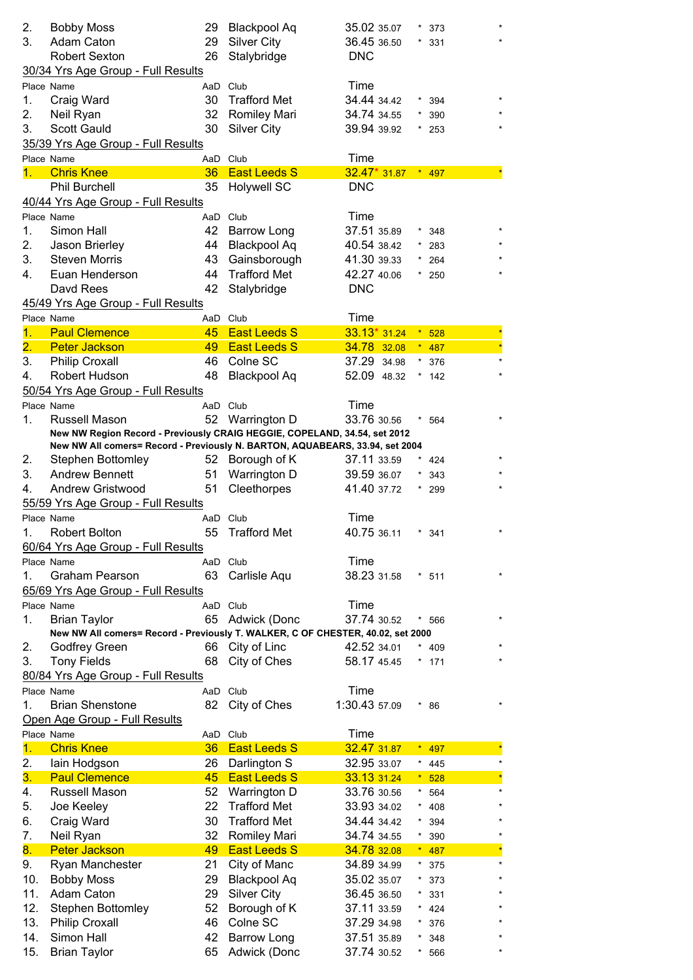| 2.               | <b>Bobby Moss</b>                                                               | 29       | <b>Blackpool Aq</b> | 35.02 35.07   |          | 373              |
|------------------|---------------------------------------------------------------------------------|----------|---------------------|---------------|----------|------------------|
| 3.               | Adam Caton                                                                      | 29       | <b>Silver City</b>  | 36.45 36.50   |          | 331              |
|                  | <b>Robert Sexton</b>                                                            | 26       | Stalybridge         | <b>DNC</b>    |          |                  |
|                  | 30/34 Yrs Age Group - Full Results                                              |          |                     |               |          |                  |
|                  | Place Name                                                                      | AaD      | Club                | Time          |          |                  |
| 1.               | Craig Ward                                                                      | 30       | <b>Trafford Met</b> | 34.44 34.42   |          | 394              |
| 2.               | Neil Ryan                                                                       | 32       | Romiley Mari        | 34.74 34.55   |          | 390              |
| 3.               | <b>Scott Gauld</b>                                                              | 30       | <b>Silver City</b>  | 39.94 39.92   |          | 253              |
|                  | 35/39 Yrs Age Group - Full Results                                              |          |                     |               |          |                  |
|                  | Place Name                                                                      | AaD Club |                     | Time          |          |                  |
| 1.               | <b>Chris Knee</b>                                                               | 36       | <b>East Leeds S</b> | $32.47*31.87$ | $\star$  | 497              |
|                  | <b>Phil Burchell</b>                                                            | 35       | <b>Holywell SC</b>  | <b>DNC</b>    |          |                  |
|                  | 40/44 Yrs Age Group - Full Results                                              |          |                     |               |          |                  |
|                  | Place Name                                                                      | AaD Club |                     | Time          |          |                  |
| 1.               | Simon Hall                                                                      | 42       | <b>Barrow Long</b>  | 37.51 35.89   |          | 348              |
| 2.               | Jason Brierley                                                                  | 44       | <b>Blackpool Aq</b> | 40.54 38.42   |          | 283              |
| 3.               | <b>Steven Morris</b>                                                            | 43       | Gainsborough        | 41.30 39.33   |          | 264              |
| 4.               | Euan Henderson                                                                  | 44       | <b>Trafford Met</b> | 42.27 40.06   |          | 250              |
|                  | Davd Rees                                                                       | 42       | Stalybridge         | <b>DNC</b>    |          |                  |
|                  | 45/49 Yrs Age Group - Full Results                                              |          |                     |               |          |                  |
|                  | Place Name                                                                      | AaD Club |                     | Time          |          |                  |
| 1.               | <b>Paul Clemence</b>                                                            | 45       | <b>East Leeds S</b> | $33.13*31.24$ | $\star$  | 528              |
| $\overline{2}$ . | <b>Peter Jackson</b>                                                            | 49       | <b>East Leeds S</b> | 34.78 32.08   |          | $* 487$          |
| 3.               | Philip Croxall                                                                  | 46       | Colne SC            | 37.29 34.98   | $^\star$ | 376              |
| 4.               | Robert Hudson                                                                   | 48       | <b>Blackpool Aq</b> | 52.09 48.32   |          | 142              |
|                  | 50/54 Yrs Age Group - Full Results                                              |          |                     |               |          |                  |
|                  | Place Name                                                                      | AaD Club |                     | Time          |          |                  |
| 1.               | Russell Mason                                                                   | 52       | Warrington D        | 33.76 30.56   |          | 564              |
|                  | New NW Region Record - Previously CRAIG HEGGIE, COPELAND, 34.54, set 2012       |          |                     |               |          |                  |
|                  | New NW All comers= Record - Previously N. BARTON, AQUABEARS, 33.94, set 2004    |          |                     |               |          |                  |
| 2.               | <b>Stephen Bottomley</b>                                                        |          | 52 Borough of K     | 37.11 33.59   |          | 424              |
| 3.               | <b>Andrew Bennett</b>                                                           | 51       | Warrington D        | 39.59 36.07   |          | 343              |
| 4.               | Andrew Gristwood                                                                | 51       | Cleethorpes         | 41.40 37.72   |          | 299              |
|                  | 55/59 Yrs Age Group - Full Results                                              |          |                     |               |          |                  |
|                  | Place Name                                                                      | AaD Club |                     | Time          |          |                  |
| 1.               | <b>Robert Bolton</b>                                                            | 55       | <b>Trafford Met</b> | 40.75 36.11   |          | 341              |
|                  | 60/64 Yrs Age Group - Full Results                                              |          |                     |               |          |                  |
|                  | Place Name                                                                      |          | AaD Club            | Time          |          |                  |
| 1.               | <b>Graham Pearson</b>                                                           | 63       | Carlisle Aqu        | 38.23 31.58   |          | * 511            |
|                  | 65/69 Yrs Age Group - Full Results                                              |          |                     |               |          |                  |
|                  | Place Name                                                                      | AaD Club |                     | Time          |          |                  |
| 1.               | <b>Brian Taylor</b>                                                             | 65       | Adwick (Donc        | 37.74 30.52   |          | $\star$<br>* 566 |
|                  | New NW All comers= Record - Previously T. WALKER, C OF CHESTER, 40.02, set 2000 |          |                     |               |          |                  |
| 2.               | <b>Godfrey Green</b>                                                            |          | 66 City of Linc     | 42.52 34.01   |          | $* 409$          |
| 3.               | <b>Tony Fields</b>                                                              | 68       | City of Ches        | 58.17 45.45   | $\star$  | 171              |
|                  | 80/84 Yrs Age Group - Full Results                                              |          |                     |               |          |                  |
|                  | Place Name                                                                      |          | AaD Club            | Time          |          |                  |
| 1.               | <b>Brian Shenstone</b>                                                          | 82       | City of Ches        | 1:30.43 57.09 |          | $* 86$           |
|                  | Open Age Group - Full Results                                                   |          |                     |               |          |                  |
|                  | Place Name                                                                      | AaD Club |                     | Time          |          |                  |
| 1.               | <b>Chris Knee</b>                                                               | 36       | <b>East Leeds S</b> | 32.47 31.87   |          | 497              |
| 2.               | lain Hodgson                                                                    | 26       | Darlington S        | 32.95 33.07   | *        | 445              |
| 3.               | <b>Paul Clemence</b>                                                            | 45       | <b>East Leeds S</b> | 33.13 31.24   |          | 528<br>$\star$   |
| 4.               | Russell Mason                                                                   | 52       | Warrington D        | 33.76 30.56   |          | 564              |
| 5.               | Joe Keeley                                                                      | 22       | <b>Trafford Met</b> | 33.93 34.02   |          | 408              |
| 6.               | Craig Ward                                                                      | 30       | <b>Trafford Met</b> | 34.44 34.42   |          | 394              |
| 7.               | Neil Ryan                                                                       | 32       | <b>Romiley Mari</b> | 34.74 34.55   | *        | 390              |
| 8.               | <b>Peter Jackson</b>                                                            | 49       | <b>East Leeds S</b> | 34.78 32.08   |          | $\star$<br>487   |
| 9.               | Ryan Manchester                                                                 | 21       | City of Manc        | 34.89 34.99   | $\star$  | $\star$<br>375   |
| 10.              | <b>Bobby Moss</b>                                                               | 29       | <b>Blackpool Aq</b> | 35.02 35.07   |          | 373              |
| 11.              | Adam Caton                                                                      | 29       | <b>Silver City</b>  | 36.45 36.50   |          | 331              |
| 12.              | <b>Stephen Bottomley</b>                                                        | 52       | Borough of K        | 37.11 33.59   |          | 424              |
| 13.              | <b>Philip Croxall</b>                                                           | 46       | Colne SC            | 37.29 34.98   |          | 376              |
| 14.              | Simon Hall                                                                      | 42       | <b>Barrow Long</b>  | 37.51 35.89   |          | 348              |
| 15.              | <b>Brian Taylor</b>                                                             | 65       | Adwick (Donc        | 37.74 30.52   |          | 566              |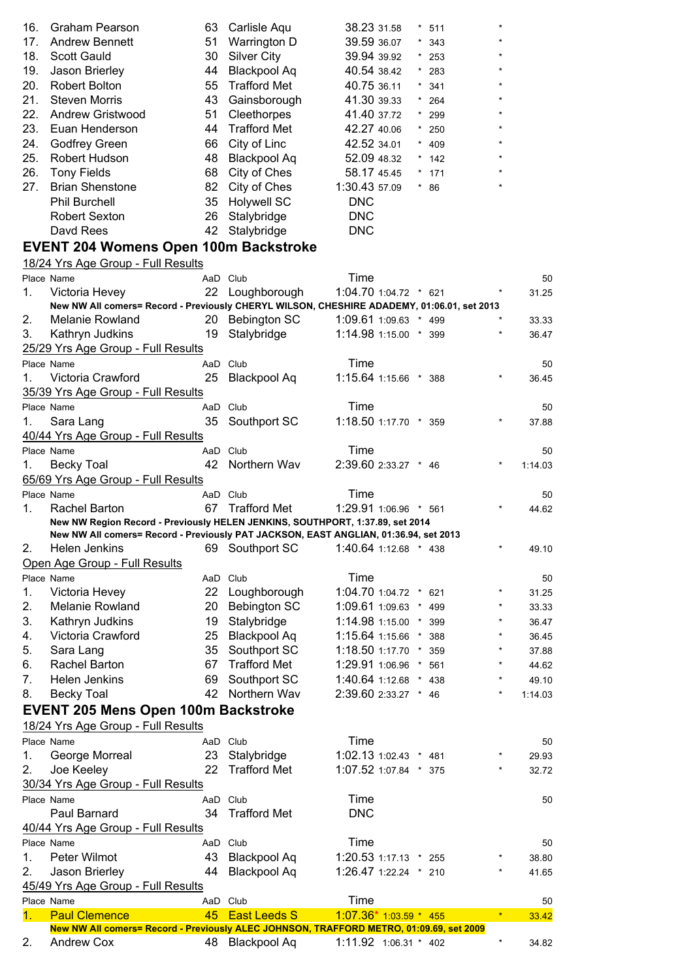| 16. | <b>Graham Pearson</b>   | 63 | Carlisle Aqu        | 38.23 31.58   | $* 511$ | ×       |
|-----|-------------------------|----|---------------------|---------------|---------|---------|
| 17. | <b>Andrew Bennett</b>   | 51 | Warrington D        | 39.59 36.07   | $*343$  | $\star$ |
| 18. | <b>Scott Gauld</b>      | 30 | Silver City         | 39.94 39.92   | $*$ 253 | $\star$ |
| 19. | Jason Brierley          | 44 | <b>Blackpool Aq</b> | 40.54 38.42   | $*$ 283 | ×       |
| 20. | <b>Robert Bolton</b>    | 55 | <b>Trafford Met</b> | 40.75 36.11   | $*341$  | $\star$ |
| 21. | Steven Morris           | 43 | Gainsborough        | 41.30 39.33   | $* 264$ | ×       |
| 22. | <b>Andrew Gristwood</b> | 51 | Cleethorpes         | 41.40 37.72   | $*$ 299 | ×       |
| 23. | Euan Henderson          | 44 | <b>Trafford Met</b> | 42.27 40.06   | $*$ 250 | ×       |
| 24. | <b>Godfrey Green</b>    | 66 | City of Linc        | 42.52 34.01   | $* 409$ | ×       |
| 25. | Robert Hudson           | 48 | <b>Blackpool Aq</b> | 52.09 48.32   | $*$ 142 | ×       |
| 26. | <b>Tony Fields</b>      | 68 | City of Ches        | 58.17 45.45   | $*$ 171 | ×       |
| 27. | <b>Brian Shenstone</b>  | 82 | City of Ches        | 1:30.43 57.09 | $*86$   |         |
|     | <b>Phil Burchell</b>    | 35 | <b>Holywell SC</b>  | <b>DNC</b>    |         |         |
|     | <b>Robert Sexton</b>    | 26 | Stalybridge         | <b>DNC</b>    |         |         |
|     | Davd Rees               | 42 | Stalybridge         | <b>DNC</b>    |         |         |
|     |                         |    |                     |               |         |         |

## **EVENT 204 Womens Open 100m Backstroke**

18/24 Yrs Age Group - Full Results

|         | Place Name                                                                                 |          | AaD Club                           | Time                  |  |     |         | 50      |
|---------|--------------------------------------------------------------------------------------------|----------|------------------------------------|-----------------------|--|-----|---------|---------|
| 1.      | Victoria Hevey                                                                             | 22       | Loughborough                       | 1:04.70 1:04.72 * 621 |  |     |         | 31.25   |
|         | New NW All comers= Record - Previously CHERYL WILSON, CHESHIRE ADADEMY, 01:06.01, set 2013 |          |                                    |                       |  |     |         |         |
| 2.      | <b>Melanie Rowland</b>                                                                     | 20       | <b>Bebington SC</b>                | 1:09.61 1:09.63 * 499 |  |     |         | 33.33   |
| 3.      | Kathryn Judkins                                                                            | 19       | Stalybridge                        | 1:14.98 1:15.00 *     |  | 399 | $\star$ | 36.47   |
|         | 25/29 Yrs Age Group - Full Results                                                         |          |                                    |                       |  |     |         |         |
|         | Place Name                                                                                 |          | AaD Club                           | Time                  |  |     |         | 50      |
| 1.      | Victoria Crawford                                                                          | 25       | <b>Blackpool Aq</b>                | 1:15.64 1:15.66 * 388 |  |     |         | 36.45   |
|         | 35/39 Yrs Age Group - Full Results                                                         |          |                                    |                       |  |     |         |         |
|         | Place Name                                                                                 |          | AaD Club                           | Time                  |  |     |         | 50      |
| 1.      | Sara Lang                                                                                  | 35       | Southport SC                       | 1:18.50 1:17.70 *     |  | 359 |         | 37.88   |
|         | 40/44 Yrs Age Group - Full Results                                                         |          |                                    |                       |  |     |         |         |
|         | Place Name                                                                                 |          | AaD Club                           | Time                  |  |     |         | 50      |
| 1.      | <b>Becky Toal</b>                                                                          | 42       | Northern Wav                       | 2:39.60 2:33.27 * 46  |  |     |         | 1:14.03 |
|         | 65/69 Yrs Age Group - Full Results                                                         |          |                                    |                       |  |     |         |         |
|         | Place Name                                                                                 |          | AaD Club                           | Time                  |  |     |         | 50      |
| $1_{-}$ | Rachel Barton                                                                              | 67       | Trafford Met                       | 1:29.91 1:06.96 * 561 |  |     |         | 44.62   |
|         | New NW Region Record - Previously HELEN JENKINS, SOUTHPORT, 1:37.89, set 2014              |          |                                    |                       |  |     |         |         |
|         | New NW All comers= Record - Previously PAT JACKSON, EAST ANGLIAN, 01:36.94, set 2013       |          |                                    |                       |  |     |         |         |
| 2.      | Helen Jenkins                                                                              |          | 69 Southport SC                    | 1:40.64 1:12.68 * 438 |  |     |         | 49.10   |
|         | Open Age Group - Full Results                                                              |          |                                    |                       |  |     |         |         |
|         | Place Name                                                                                 |          | AaD Club                           | Time                  |  |     |         | 50      |
| 1.      | Victoria Hevey                                                                             | 22       | Loughborough                       | 1:04.70 1:04.72 *     |  | 621 |         | 31.25   |
| 2.      | Melanie Rowland                                                                            |          | 20 Bebington SC                    | 1:09.61 1:09.63 *     |  | 499 | $\star$ | 33.33   |
| 3.      | Kathryn Judkins                                                                            | 19       | Stalybridge                        | 1:14.98 1:15.00 *     |  | 399 | $\star$ | 36.47   |
| 4.      | Victoria Crawford                                                                          | 25       | <b>Blackpool Aq</b>                | 1:15.64 1:15.66 *     |  | 388 | $\star$ | 36.45   |
| 5.      | Sara Lang                                                                                  | 35       | Southport SC                       | 1:18.50 1:17.70       |  | 359 | $\star$ | 37.88   |
| 6.      | Rachel Barton                                                                              | 67       | <b>Trafford Met</b>                | 1:29.91 1:06.96       |  | 561 |         | 44.62   |
| 7.      | Helen Jenkins                                                                              | 69       | Southport SC                       | 1:40.64 1:12.68 *     |  | 438 |         | 49.10   |
| 8.      | <b>Becky Toal</b>                                                                          | 42       | Northern Wav                       | 2:39.60 2:33.27 *     |  | 46  | $\star$ | 1:14.03 |
|         | <b>EVENT 205 Mens Open 100m Backstroke</b>                                                 |          |                                    |                       |  |     |         |         |
|         | 18/24 Yrs Age Group - Full Results                                                         |          |                                    |                       |  |     |         |         |
|         | Place Name                                                                                 |          |                                    | Time                  |  |     |         |         |
| 1.      | George Morreal                                                                             |          | AaD Club                           | 1:02.13 1:02.43 *     |  |     | *       | 50      |
| 2.      |                                                                                            | 23<br>22 | Stalybridge<br><b>Trafford Met</b> | 1:07.52 1:07.84 *     |  | 481 |         | 29.93   |
|         | Joe Keeley                                                                                 |          |                                    |                       |  | 375 |         | 32.72   |
|         | 30/34 Yrs Age Group - Full Results                                                         |          |                                    |                       |  |     |         |         |
|         | Place Name                                                                                 |          | AaD Club                           | Time                  |  |     |         | 50      |
|         | Paul Barnard                                                                               | 34       | <b>Trafford Met</b>                | <b>DNC</b>            |  |     |         |         |
|         | 40/44 Yrs Age Group - Full Results                                                         |          |                                    |                       |  |     |         |         |
|         | Place Name                                                                                 |          | AaD Club                           | Time                  |  |     |         | 50      |
| 1.      | Peter Wilmot                                                                               | 43       | <b>Blackpool Aq</b>                | 1:20.53 1:17.13 * 255 |  |     |         | 38.80   |
| 2.      | Jason Brierley                                                                             | 44       | <b>Blackpool Aq</b>                | 1:26.47 1:22.24 * 210 |  |     |         | 41.65   |
|         | 45/49 Yrs Age Group - Full Results                                                         |          |                                    |                       |  |     |         |         |
|         | Place Name                                                                                 |          | AaD Club                           | Time                  |  |     |         | 50      |
| 1.      | <b>Paul Clemence</b>                                                                       | 45       | <b>East Leeds S</b>                | $1:07.36*1:03.59*455$ |  |     | $\star$ | 33.42   |
|         | New NW All comers= Record - Previously ALEC JOHNSON, TRAFFORD METRO, 01:09.69, set 2009    |          |                                    |                       |  |     |         |         |
| 2.      | <b>Andrew Cox</b>                                                                          | 48       | Blackpool Aq                       | 1:11.92 1:06.31 * 402 |  |     | *       | 34.82   |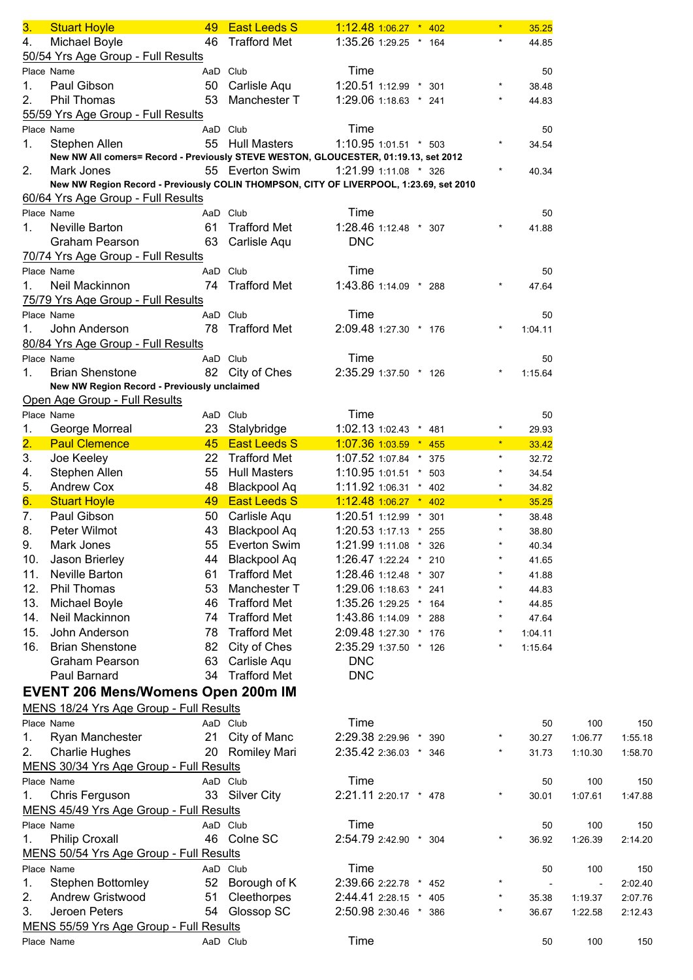| 3.                        | <b>Stuart Hoyle</b>                                                                    | 49       | <b>East Leeds S</b> | $1:12.48$ 1:06.27 $*$ 402 |  |     |            | 35.25   |         |         |
|---------------------------|----------------------------------------------------------------------------------------|----------|---------------------|---------------------------|--|-----|------------|---------|---------|---------|
| 4.                        | Michael Boyle                                                                          | 46       | <b>Trafford Met</b> | 1:35.26 1:29.25 * 164     |  |     | $\star$    | 44.85   |         |         |
|                           | 50/54 Yrs Age Group - Full Results                                                     |          |                     |                           |  |     |            |         |         |         |
|                           | Place Name                                                                             | AaD Club |                     | Time                      |  |     |            | 50      |         |         |
| 1.                        | Paul Gibson                                                                            |          | 50 Carlisle Aqu     | 1:20.51 1:12.99 * 301     |  |     |            | 38.48   |         |         |
| 2.                        | Phil Thomas                                                                            | 53       | Manchester T        | 1:29.06 1:18.63 * 241     |  |     |            | 44.83   |         |         |
|                           |                                                                                        |          |                     |                           |  |     |            |         |         |         |
|                           | 55/59 Yrs Age Group - Full Results                                                     |          |                     |                           |  |     |            |         |         |         |
|                           | Place Name                                                                             |          | AaD Club            | Time                      |  |     |            | 50      |         |         |
| 1.                        | Stephen Allen                                                                          |          | 55 Hull Masters     | 1:10.95 1:01.51 * 503     |  |     |            | 34.54   |         |         |
|                           | New NW All comers= Record - Previously STEVE WESTON, GLOUCESTER, 01:19.13, set 2012    |          |                     |                           |  |     |            |         |         |         |
| 2.                        | Mark Jones                                                                             |          | 55 Everton Swim     | 1:21.99 1:11.08 * 326     |  |     |            | 40.34   |         |         |
|                           | New NW Region Record - Previously COLIN THOMPSON, CITY OF LIVERPOOL, 1:23.69, set 2010 |          |                     |                           |  |     |            |         |         |         |
|                           | 60/64 Yrs Age Group - Full Results                                                     |          |                     |                           |  |     |            |         |         |         |
|                           | Place Name                                                                             |          | AaD Club            | Time                      |  |     |            | 50      |         |         |
| 1.                        | Neville Barton                                                                         | 61       | <b>Trafford Met</b> | 1:28.46 1:12.48 * 307     |  |     |            | 41.88   |         |         |
|                           | <b>Graham Pearson</b>                                                                  | 63       | Carlisle Aqu        | <b>DNC</b>                |  |     |            |         |         |         |
|                           | 70/74 Yrs Age Group - Full Results                                                     |          |                     |                           |  |     |            |         |         |         |
|                           | Place Name                                                                             |          | AaD Club            | Time                      |  |     |            | 50      |         |         |
| 1.                        | Neil Mackinnon                                                                         |          | 74 Trafford Met     | 1:43.86 1:14.09 * 288     |  |     |            | 47.64   |         |         |
|                           | 75/79 Yrs Age Group - Full Results                                                     |          |                     |                           |  |     |            |         |         |         |
|                           | Place Name                                                                             | AaD Club |                     | Time                      |  |     |            | 50      |         |         |
| 1.                        | John Anderson                                                                          | 78       | <b>Trafford Met</b> | 2:09.48 1:27.30 * 176     |  |     |            | 1:04.11 |         |         |
|                           | 80/84 Yrs Age Group - Full Results                                                     |          |                     |                           |  |     |            |         |         |         |
|                           | Place Name                                                                             |          | AaD Club            | Time                      |  |     |            | 50      |         |         |
|                           |                                                                                        |          |                     | 2:35.29 1:37.50 * 126     |  |     |            |         |         |         |
| 1.                        | <b>Brian Shenstone</b>                                                                 |          | 82 City of Ches     |                           |  |     |            | 1:15.64 |         |         |
|                           | New NW Region Record - Previously unclaimed                                            |          |                     |                           |  |     |            |         |         |         |
|                           | Open Age Group - Full Results                                                          |          |                     |                           |  |     |            |         |         |         |
|                           | Place Name                                                                             |          | AaD Club            | Time                      |  |     |            | 50      |         |         |
| 1.                        | George Morreal                                                                         | 23       | Stalybridge         | 1:02.13 1:02.43 * 481     |  |     | $\star$    | 29.93   |         |         |
| $\overline{\mathbf{2}}$ . | <b>Paul Clemence</b>                                                                   | 45       | <b>East Leeds S</b> | 1:07.36 1:03.59 *         |  | 455 | $\star$    | 33.42   |         |         |
| 3.                        | Joe Keeley                                                                             | 22       | <b>Trafford Met</b> | $1:07.52$ 1:07.84 $*$     |  | 375 |            | 32.72   |         |         |
| 4.                        | Stephen Allen                                                                          | 55       | <b>Hull Masters</b> | $1:10.95$ 1:01.51 $*$     |  | 503 |            | 34.54   |         |         |
| 5.                        | <b>Andrew Cox</b>                                                                      | 48       | <b>Blackpool Aq</b> | 1:11.92 1:06.31 * 402     |  |     |            | 34.82   |         |         |
| 6.                        | <b>Stuart Hoyle</b>                                                                    |          | 49 East Leeds S     | 1:12.48 1:06.27 * 402     |  |     | $\star$    | 35.25   |         |         |
| 7.                        | Paul Gibson                                                                            | 50       | Carlisle Aqu        | 1:20.51 1:12.99 *         |  | 301 | $\star$    | 38.48   |         |         |
| 8.                        | Peter Wilmot                                                                           | 43       | <b>Blackpool Aq</b> | 1:20.53 1:17.13 * 255     |  |     | $^{\star}$ | 38.80   |         |         |
| 9.                        | Mark Jones                                                                             | 55       | <b>Everton Swim</b> | 1:21.99 1:11.08 *         |  | 326 |            | 40.34   |         |         |
| 10.                       | Jason Brierley                                                                         | 44       | <b>Blackpool Aq</b> | 1:26.47 1:22.24 *         |  | 210 |            | 41.65   |         |         |
| 11.                       | Neville Barton                                                                         | 61       | <b>Trafford Met</b> | 1:28.46 1:12.48 * 307     |  |     |            | 41.88   |         |         |
| 12.                       | Phil Thomas                                                                            | 53       | Manchester T        | 1:29.06 1:18.63 *         |  | 241 |            |         |         |         |
|                           |                                                                                        |          | <b>Trafford Met</b> |                           |  |     |            | 44.83   |         |         |
| 13.                       | Michael Boyle                                                                          | 46       |                     | 1:35.26 1:29.25 * 164     |  |     |            | 44.85   |         |         |
| 14.                       | Neil Mackinnon                                                                         | 74       | <b>Trafford Met</b> | 1:43.86 1:14.09 *         |  | 288 |            | 47.64   |         |         |
| 15.                       | John Anderson                                                                          | 78       | <b>Trafford Met</b> | 2:09.48 1:27.30 * 176     |  |     |            | 1:04.11 |         |         |
| 16.                       | <b>Brian Shenstone</b>                                                                 | 82       | City of Ches        | 2:35.29 1:37.50 * 126     |  |     |            | 1:15.64 |         |         |
|                           | <b>Graham Pearson</b>                                                                  | 63       | Carlisle Aqu        | <b>DNC</b>                |  |     |            |         |         |         |
|                           | Paul Barnard                                                                           | 34       | <b>Trafford Met</b> | <b>DNC</b>                |  |     |            |         |         |         |
|                           | <b>EVENT 206 Mens/Womens Open 200m IM</b>                                              |          |                     |                           |  |     |            |         |         |         |
|                           | MENS 18/24 Yrs Age Group - Full Results                                                |          |                     |                           |  |     |            |         |         |         |
|                           | Place Name                                                                             |          | AaD Club            | Time                      |  |     |            | 50      | 100     | 150     |
| 1.                        | Ryan Manchester                                                                        | 21       | City of Manc        | 2:29.38 2:29.96 *         |  | 390 |            | 30.27   | 1:06.77 | 1:55.18 |
|                           |                                                                                        |          |                     | 2:35.42 2:36.03 * 346     |  |     |            |         |         |         |
| 2.                        | <b>Charlie Hughes</b>                                                                  |          | 20 Romiley Mari     |                           |  |     |            | 31.73   | 1:10.30 | 1:58.70 |
|                           | MENS 30/34 Yrs Age Group - Full Results                                                |          |                     |                           |  |     |            |         |         |         |
|                           | Place Name                                                                             |          | AaD Club            | Time                      |  |     |            | 50      | 100     | 150     |
| 1.                        | Chris Ferguson                                                                         |          | 33 Silver City      | 2:21.11 2:20.17 * 478     |  |     |            | 30.01   | 1:07.61 | 1:47.88 |
|                           | MENS 45/49 Yrs Age Group - Full Results                                                |          |                     |                           |  |     |            |         |         |         |
|                           | Place Name                                                                             | AaD Club |                     | Time                      |  |     |            | 50      | 100     | 150     |
| 1.                        | <b>Philip Croxall</b>                                                                  |          | 46 Colne SC         | 2:54.79 2:42.90 * 304     |  |     |            | 36.92   | 1:26.39 | 2:14.20 |
|                           | MENS 50/54 Yrs Age Group - Full Results                                                |          |                     |                           |  |     |            |         |         |         |
|                           | Place Name                                                                             | AaD Club |                     | Time                      |  |     |            | 50      | 100     | 150     |
| 1.                        | <b>Stephen Bottomley</b>                                                               | 52       | Borough of K        | 2:39.66 2:22.78 *         |  | 452 |            |         |         | 2:02.40 |
| 2.                        | Andrew Gristwood                                                                       | 51       | Cleethorpes         | 2:44.41 2:28.15 * 405     |  |     |            | 35.38   | 1:19.37 | 2:07.76 |
| 3.                        | Jeroen Peters                                                                          |          | 54 Glossop SC       | 2:50.98 2:30.46 * 386     |  |     |            | 36.67   | 1:22.58 | 2:12.43 |
|                           | MENS 55/59 Yrs Age Group - Full Results                                                |          |                     |                           |  |     |            |         |         |         |
|                           |                                                                                        |          |                     | Time                      |  |     |            |         |         |         |
|                           | Place Name                                                                             |          | AaD Club            |                           |  |     |            | 50      | 100     | 150     |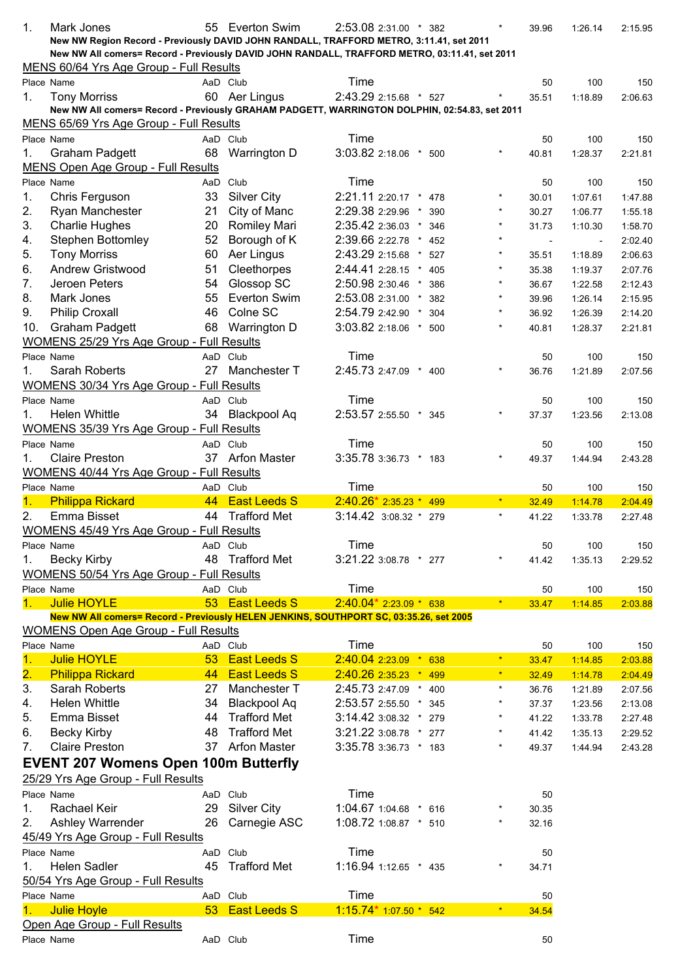| 1.                        | Mark Jones<br>New NW Region Record - Previously DAVID JOHN RANDALL, TRAFFORD METRO, 3:11.41, set 2011<br>New NW All comers= Record - Previously DAVID JOHN RANDALL, TRAFFORD METRO, 03:11.41, set 2011 |    | 55 Everton Swim             | 2:53.08 2:31.00 * 382 |                | $\star$  | 39.96 | 1:26.14 | 2:15.95 |
|---------------------------|--------------------------------------------------------------------------------------------------------------------------------------------------------------------------------------------------------|----|-----------------------------|-----------------------|----------------|----------|-------|---------|---------|
|                           | MENS 60/64 Yrs Age Group - Full Results                                                                                                                                                                |    |                             |                       |                |          |       |         |         |
|                           | Place Name                                                                                                                                                                                             |    | AaD Club                    | Time                  |                |          | 50    | 100     | 150     |
| 1.                        | <b>Tony Morriss</b>                                                                                                                                                                                    |    | 60 Aer Lingus               | 2:43.29 2:15.68 * 527 |                |          | 35.51 | 1:18.89 | 2:06.63 |
|                           | New NW All comers= Record - Previously GRAHAM PADGETT, WARRINGTON DOLPHIN, 02:54.83, set 2011<br>MENS 65/69 Yrs Age Group - Full Results                                                               |    |                             |                       |                |          |       |         |         |
|                           | Place Name                                                                                                                                                                                             |    | AaD Club                    | Time                  |                |          | 50    | 100     | 150     |
| 1.                        | <b>Graham Padgett</b>                                                                                                                                                                                  |    | 68 Warrington D             | 3:03.82 2:18.06 * 500 |                | $\star$  | 40.81 | 1:28.37 | 2:21.81 |
|                           | MENS Open Age Group - Full Results                                                                                                                                                                     |    |                             |                       |                |          |       |         |         |
|                           | Place Name                                                                                                                                                                                             |    | AaD Club                    | Time                  |                |          | 50    | 100     | 150     |
| 1.                        | Chris Ferguson                                                                                                                                                                                         | 33 | <b>Silver City</b>          | 2:21.11 2:20.17 * 478 |                |          | 30.01 | 1:07.61 | 1:47.88 |
| 2.                        | Ryan Manchester                                                                                                                                                                                        | 21 | City of Manc                | 2:29.38 2:29.96       | $\star$<br>390 | $\star$  | 30.27 | 1:06.77 | 1:55.18 |
| 3.                        | <b>Charlie Hughes</b>                                                                                                                                                                                  | 20 | <b>Romiley Mari</b>         | 2:35.42 2:36.03 *     | 346            |          | 31.73 | 1:10.30 | 1:58.70 |
| 4.                        | Stephen Bottomley                                                                                                                                                                                      | 52 | Borough of K                | 2:39.66 2:22.78       | $\star$<br>452 |          |       |         | 2:02.40 |
| 5.                        | <b>Tony Morriss</b>                                                                                                                                                                                    | 60 | Aer Lingus                  | 2:43.29 2:15.68       | 527<br>$\star$ |          | 35.51 | 1:18.89 | 2:06.63 |
| 6.                        | Andrew Gristwood                                                                                                                                                                                       | 51 | Cleethorpes                 | 2:44.41 2:28.15 *     | 405            |          | 35.38 | 1:19.37 | 2:07.76 |
| 7.                        | Jeroen Peters                                                                                                                                                                                          | 54 | Glossop SC                  | 2:50.98 2:30.46 *     | 386            | $^\star$ | 36.67 | 1:22.58 | 2:12.43 |
| 8.                        | Mark Jones                                                                                                                                                                                             | 55 | <b>Everton Swim</b>         | 2:53.08 2:31.00 *     | 382            | $\star$  | 39.96 | 1:26.14 | 2:15.95 |
| 9.                        | <b>Philip Croxall</b>                                                                                                                                                                                  | 46 | Colne SC                    | 2:54.79 2:42.90 *     | 304            |          | 36.92 | 1:26.39 | 2:14.20 |
| 10.                       | <b>Graham Padgett</b>                                                                                                                                                                                  | 68 | Warrington D                | 3:03.82 2:18.06 * 500 |                | $\star$  | 40.81 | 1:28.37 | 2:21.81 |
|                           | <b>WOMENS 25/29 Yrs Age Group - Full Results</b>                                                                                                                                                       |    |                             |                       |                |          |       |         |         |
|                           | Place Name                                                                                                                                                                                             |    | AaD Club                    | Time                  |                |          | 50    | 100     | 150     |
| 1.                        | Sarah Roberts                                                                                                                                                                                          |    | 27 Manchester T             | 2:45.73 2:47.09 * 400 |                | $\star$  | 36.76 | 1:21.89 | 2:07.56 |
|                           | <b>WOMENS 30/34 Yrs Age Group - Full Results</b>                                                                                                                                                       |    |                             |                       |                |          |       |         |         |
|                           | Place Name                                                                                                                                                                                             |    | AaD Club                    | Time                  |                |          | 50    | 100     | 150     |
| 1.                        | <b>Helen Whittle</b>                                                                                                                                                                                   |    | 34 Blackpool Aq             | 2:53.57 2:55.50 * 345 |                |          | 37.37 | 1:23.56 | 2:13.08 |
|                           | <b>WOMENS 35/39 Yrs Age Group - Full Results</b>                                                                                                                                                       |    |                             | Time                  |                |          |       |         |         |
| 1.                        | Place Name<br><b>Claire Preston</b>                                                                                                                                                                    |    | AaD Club<br>37 Arfon Master | 3:35.78 3:36.73 * 183 |                |          | 50    | 100     | 150     |
|                           | WOMENS 40/44 Yrs Age Group - Full Results                                                                                                                                                              |    |                             |                       |                |          | 49.37 | 1:44.94 | 2:43.28 |
|                           | Place Name                                                                                                                                                                                             |    | AaD Club                    | Time                  |                |          | 50    | 100     | 150     |
| 1.                        | <b>Philippa Rickard</b>                                                                                                                                                                                |    | 44 East Leeds S             | $2:40.26*2:35.23*499$ |                | $\star$  | 32.49 | 1:14.78 | 2:04.49 |
| 2.                        | Emma Bisset                                                                                                                                                                                            |    | 44 Trafford Met             | $3:14.42$ 3:08.32 *   | 279            | $\star$  | 41.22 | 1:33.78 | 2:27.48 |
|                           | WOMENS 45/49 Yrs Age Group - Full Results                                                                                                                                                              |    |                             |                       |                |          |       |         |         |
|                           | Place Name                                                                                                                                                                                             |    | AaD Club                    | Time                  |                |          | 50    | 100     | 150     |
| 1.                        | <b>Becky Kirby</b>                                                                                                                                                                                     |    | 48 Trafford Met             | 3:21.22 3:08.78 * 277 |                |          | 41.42 | 1:35.13 | 2:29.52 |
|                           | WOMENS 50/54 Yrs Age Group - Full Results                                                                                                                                                              |    |                             |                       |                |          |       |         |         |
|                           |                                                                                                                                                                                                        |    |                             |                       |                |          |       |         |         |
| 1.                        | Place Name                                                                                                                                                                                             |    | AaD Club                    | Time                  |                |          | 50    | 100     | 150     |
|                           | <b>Julie HOYLE</b>                                                                                                                                                                                     |    | 53 East Leeds S             | $2:40.04*2:23.09*638$ |                | $\star$  | 33.47 | 1:14.85 | 2:03.88 |
|                           | New NW All comers= Record - Previously HELEN JENKINS, SOUTHPORT SC, 03:35.26, set 2005                                                                                                                 |    |                             |                       |                |          |       |         |         |
|                           | <b>WOMENS Open Age Group - Full Results</b>                                                                                                                                                            |    |                             |                       |                |          |       |         |         |
|                           | Place Name                                                                                                                                                                                             |    | AaD Club                    | Time                  |                |          | 50    | 100     | 150     |
| 1.                        | <b>Julie HOYLE</b>                                                                                                                                                                                     | 53 | <b>East Leeds S</b>         | 2:40.04 2:23.09 * 638 |                | $\star$  | 33.47 | 1:14.85 | 2:03.88 |
| $\overline{\mathbf{2}}$ . | <b>Philippa Rickard</b>                                                                                                                                                                                | 44 | <b>East Leeds S</b>         | $2:40.262:35.23*$     | 499            | $\star$  | 32.49 | 1:14.78 | 2:04.49 |
| 3.                        | Sarah Roberts                                                                                                                                                                                          | 27 | Manchester T                | 2:45.73 2:47.09 * 400 |                | $\star$  | 36.76 | 1:21.89 | 2:07.56 |
| 4.                        | <b>Helen Whittle</b>                                                                                                                                                                                   | 34 | <b>Blackpool Aq</b>         | 2:53.57 2:55.50 * 345 |                |          | 37.37 | 1:23.56 | 2:13.08 |
| 5.                        | Emma Bisset                                                                                                                                                                                            | 44 | <b>Trafford Met</b>         | 3:14.42 3:08.32 * 279 |                |          | 41.22 | 1:33.78 | 2:27.48 |
| 6.                        | <b>Becky Kirby</b>                                                                                                                                                                                     | 48 | <b>Trafford Met</b>         | 3:21.22 3:08.78 * 277 |                | $^\star$ | 41.42 | 1:35.13 | 2:29.52 |
| 7.                        | <b>Claire Preston</b>                                                                                                                                                                                  |    | 37 Arfon Master             | 3:35.78 3:36.73 * 183 |                | $\star$  | 49.37 | 1:44.94 | 2:43.28 |
|                           | <b>EVENT 207 Womens Open 100m Butterfly</b>                                                                                                                                                            |    |                             |                       |                |          |       |         |         |
|                           | 25/29 Yrs Age Group - Full Results                                                                                                                                                                     |    |                             |                       |                |          |       |         |         |
|                           | Place Name                                                                                                                                                                                             |    | AaD Club                    | Time                  |                |          | 50    |         |         |
| 1.                        | Rachael Keir                                                                                                                                                                                           | 29 | <b>Silver City</b>          | 1:04.67 1:04.68 * 616 |                |          | 30.35 |         |         |
| 2.                        | Ashley Warrender                                                                                                                                                                                       | 26 | Carnegie ASC                | 1:08.72 1:08.87 * 510 |                | $^\star$ | 32.16 |         |         |
|                           | 45/49 Yrs Age Group - Full Results                                                                                                                                                                     |    |                             |                       |                |          |       |         |         |
|                           | Place Name                                                                                                                                                                                             |    | AaD Club                    | Time                  |                |          | 50    |         |         |
| 1.                        | <b>Helen Sadler</b>                                                                                                                                                                                    | 45 | <b>Trafford Met</b>         | 1:16.94 1:12.65 * 435 |                | $^\star$ | 34.71 |         |         |
|                           | 50/54 Yrs Age Group - Full Results                                                                                                                                                                     |    |                             |                       |                |          |       |         |         |
|                           | Place Name                                                                                                                                                                                             |    | AaD Club                    | Time                  |                | $\star$  | 50    |         |         |
| 1.                        | <b>Julie Hoyle</b>                                                                                                                                                                                     |    | 53 East Leeds S             | $1:15.74*1:07.50*542$ |                |          | 34.54 |         |         |
|                           | Open Age Group - Full Results<br>Place Name                                                                                                                                                            |    | AaD Club                    | Time                  |                |          | 50    |         |         |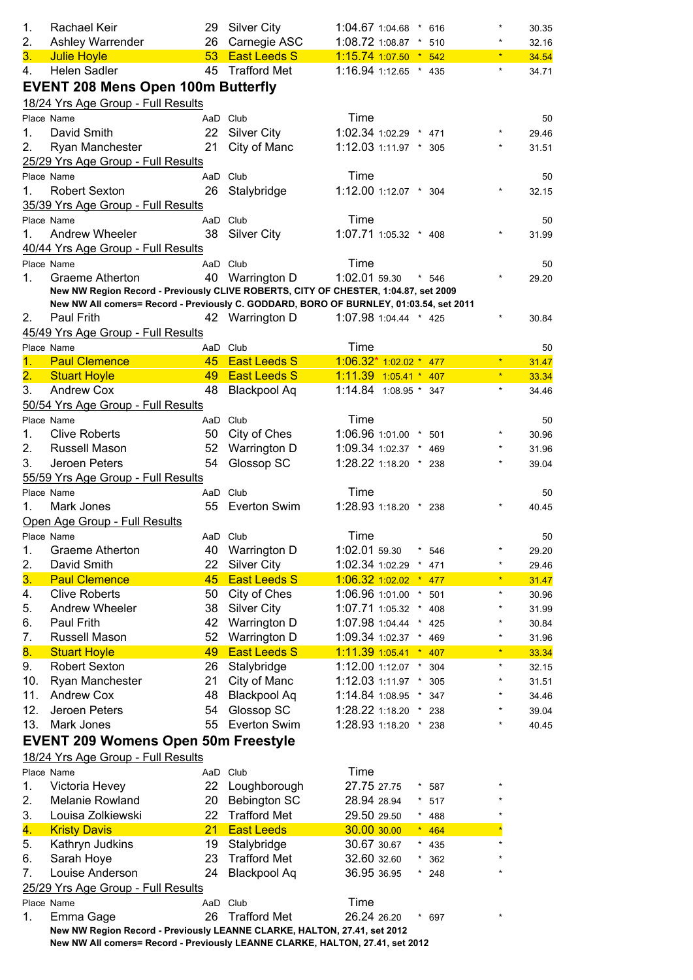| 1.             | Rachael Keir                                                                           |                 | 29 Silver City      | 1:04.67 1:04.68 * 616   |                | $\star$    | 30.35          |
|----------------|----------------------------------------------------------------------------------------|-----------------|---------------------|-------------------------|----------------|------------|----------------|
| 2.             | Ashley Warrender                                                                       | 26              | Carnegie ASC        | 1:08.72 1:08.87 *       | 510            | $\star$    | 32.16          |
| 3.             | <b>Julie Hoyle</b>                                                                     |                 | 53 East Leeds S     | 1:15.74 1:07.50 * 542   |                | $\star$    | 34.54          |
| 4.             | Helen Sadler                                                                           |                 | 45 Trafford Met     | 1:16.94 1:12.65 * 435   |                | $\star$    | 34.71          |
|                | <b>EVENT 208 Mens Open 100m Butterfly</b><br>18/24 Yrs Age Group - Full Results        |                 |                     |                         |                |            |                |
|                | Place Name                                                                             |                 | AaD Club            | Time                    |                |            | 50             |
| 1.             | David Smith                                                                            | 22              | <b>Silver City</b>  | 1:02.34 1:02.29 * 471   |                |            | 29.46          |
| 2.             | Ryan Manchester                                                                        | 21              | City of Manc        | 1:12.03 1:11.97 * 305   |                |            | 31.51          |
|                | 25/29 Yrs Age Group - Full Results                                                     |                 |                     |                         |                |            |                |
|                | Place Name                                                                             |                 | AaD Club            | Time                    |                |            | 50             |
| 1.             | <b>Robert Sexton</b>                                                                   | 26              | Stalybridge         | 1:12.00 1:12.07 * 304   |                | $^{\star}$ | 32.15          |
|                | 35/39 Yrs Age Group - Full Results                                                     |                 |                     |                         |                |            |                |
|                | Place Name                                                                             |                 | AaD Club            | Time                    |                |            | 50             |
| 1 <sub>1</sub> | <b>Andrew Wheeler</b>                                                                  |                 | 38 Silver City      | 1:07.71 1:05.32 * 408   |                |            | 31.99          |
|                | 40/44 Yrs Age Group - Full Results                                                     |                 |                     |                         |                |            |                |
|                | Place Name                                                                             | AaD Club        |                     | Time                    |                |            | 50             |
| $1_{-}$        | Graeme Atherton                                                                        |                 | 40 Warrington D     | 1:02.01 59.30           | $*$ 546        | $^\star$   | 29.20          |
|                | New NW Region Record - Previously CLIVE ROBERTS, CITY OF CHESTER, 1:04.87, set 2009    |                 |                     |                         |                |            |                |
|                | New NW All comers= Record - Previously C. GODDARD, BORO OF BURNLEY, 01:03.54, set 2011 |                 |                     |                         |                | $^\star$   |                |
| 2.             | Paul Frith                                                                             |                 | 42 Warrington D     | 1:07.98 1:04.44 * 425   |                |            | 30.84          |
|                | 45/49 Yrs Age Group - Full Results<br>Place Name                                       |                 | AaD Club            | Time                    |                |            |                |
| 1.             | <b>Paul Clemence</b>                                                                   | 45 <sup>2</sup> | <b>East Leeds S</b> | $1:06.32*1:02.02*477$   |                | $\star$    | 50             |
| 2.             | <b>Stuart Hoyle</b>                                                                    |                 | 49 East Leeds S     | $1:11.39$ 1:05.41 * 407 |                | $\star$    | 31.47<br>33.34 |
| 3.             | <b>Andrew Cox</b>                                                                      |                 | 48 Blackpool Aq     | 1:14.84 1:08.95 * 347   |                | $\star$    | 34.46          |
|                | 50/54 Yrs Age Group - Full Results                                                     |                 |                     |                         |                |            |                |
|                | Place Name                                                                             |                 | AaD Club            | Time                    |                |            | 50             |
| 1.             | <b>Clive Roberts</b>                                                                   |                 | 50 City of Ches     | 1:06.96 1:01.00 * 501   |                | $\star$    | 30.96          |
| 2.             | Russell Mason                                                                          | 52              | Warrington D        | 1:09.34 1:02.37 * 469   |                | $\star$    | 31.96          |
| 3.             | Jeroen Peters                                                                          | 54              | Glossop SC          | 1:28.22 1:18.20 * 238   |                | $\star$    | 39.04          |
|                | 55/59 Yrs Age Group - Full Results                                                     |                 |                     |                         |                |            |                |
|                | Place Name                                                                             |                 | AaD Club            | Time                    |                |            | 50             |
| 1.             | Mark Jones                                                                             |                 | 55 Everton Swim     | 1:28.93 1:18.20 * 238   |                |            | 40.45          |
|                | Open Age Group - Full Results                                                          |                 |                     |                         |                |            |                |
|                | Place Name                                                                             | AaD Club        |                     | Time                    |                |            | 50             |
| 1.             | Graeme Atherton                                                                        | 40              | <b>Warrington D</b> | 1:02.01 59.30           | 546            | $\star$    | 29.20          |
| 2.             | David Smith                                                                            | 22              | <b>Silver City</b>  | 1:02.34 1:02.29         | 471            | $\star$    | 29.46          |
| 3.             | <b>Paul Clemence</b>                                                                   | 45              | <b>East Leeds S</b> | $1:06.32$ 1:02.02 $*$   | 477            | $\star$    | 31.47          |
| 4.             | <b>Clive Roberts</b>                                                                   | 50              | City of Ches        | 1:06.96 1:01.00         | $\star$<br>501 | $\star$    | 30.96          |
| 5.             | Andrew Wheeler                                                                         | 38              | <b>Silver City</b>  | 1:07.71 1:05.32         | 408<br>$\star$ | $\star$    | 31.99          |
| 6.             | Paul Frith                                                                             | 42              | Warrington D        | 1:07.98 1:04.44         | $\star$<br>425 | *          | 30.84          |
| 7.             | Russell Mason                                                                          | 52              | Warrington D        | 1:09.34 1:02.37         | $\star$<br>469 | $\star$    | 31.96          |
| 8.             | <b>Stuart Hoyle</b>                                                                    | 49              | <b>East Leeds S</b> | $1:11.391:05.41$ * 407  |                | $\star$    | 33.34          |
| 9.             | <b>Robert Sexton</b>                                                                   | 26              | Stalybridge         | 1:12.00 1:12.07         | 304            | $\star$    | 32.15          |
| 10.            | Ryan Manchester                                                                        | 21              | City of Manc        | 1:12.03 1:11.97         | 305            | $\star$    | 31.51          |
| 11.            | <b>Andrew Cox</b>                                                                      | 48              | <b>Blackpool Aq</b> | 1:14.84 1:08.95         | $\star$<br>347 | $\star$    | 34.46          |
| 12.            | Jeroen Peters                                                                          | 54              | Glossop SC          | 1:28.22 1:18.20         | 238<br>$\star$ | $\star$    | 39.04          |
| 13.            | Mark Jones                                                                             | 55              | <b>Everton Swim</b> | 1:28.93 1:18.20 *       | 238            | $\star$    | 40.45          |
|                | <b>EVENT 209 Womens Open 50m Freestyle</b>                                             |                 |                     |                         |                |            |                |
|                | 18/24 Yrs Age Group - Full Results                                                     |                 |                     |                         |                |            |                |
|                | Place Name                                                                             | AaD             | Club                | Time                    |                |            |                |
| 1.             | Victoria Hevey                                                                         | 22              | Loughborough        | 27.75 27.75             | 587            | $\star$    |                |
| 2.             | Melanie Rowland                                                                        | 20              | <b>Bebington SC</b> | 28.94 28.94             | 517            |            |                |
| 3.             | Louisa Zolkiewski                                                                      | 22              | <b>Trafford Met</b> | 29.50 29.50             | 488            |            |                |
| 4.             | <b>Kristy Davis</b>                                                                    | 21              | <b>East Leeds</b>   | 30.00 30.00             | 464<br>$\star$ |            |                |
| 5.             | Kathryn Judkins                                                                        | 19              | Stalybridge         | 30.67 30.67             | $\star$<br>435 | $\star$    |                |
| 6.             | Sarah Hoye                                                                             | 23              | <b>Trafford Met</b> | 32.60 32.60             | 362            |            |                |
| 7.             | Louise Anderson                                                                        | 24              | <b>Blackpool Aq</b> | 36.95 36.95             | 248            |            |                |
|                | 25/29 Yrs Age Group - Full Results                                                     |                 |                     |                         |                |            |                |
|                | Place Name                                                                             |                 | AaD Club            | Time                    |                |            |                |
| 1.             | Emma Gage                                                                              | 26              | <b>Trafford Met</b> | 26.24 26.20             | * 697          |            |                |
|                | New NW Region Record - Previously LEANNE CLARKE, HALTON, 27.41, set 2012               |                 |                     |                         |                |            |                |
|                | New NW All comers= Record - Previously LEANNE CLARKE, HALTON, 27.41, set 2012          |                 |                     |                         |                |            |                |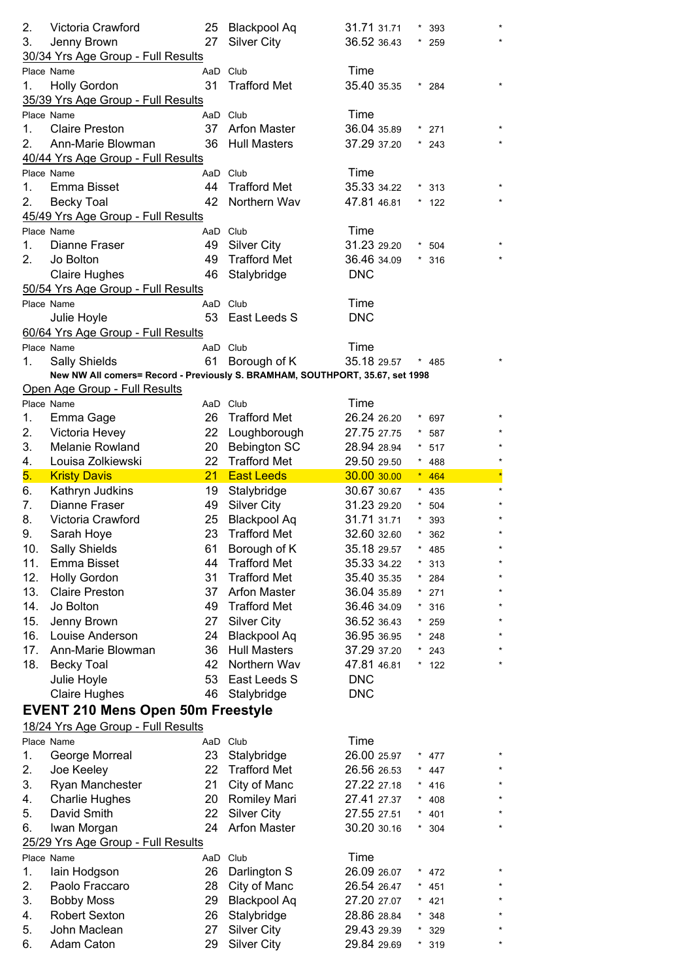| 2.<br>3. | Victoria Crawford<br>Jenny Brown<br>30/34 Yrs Age Group - Full Results        | 27       | 25 Blackpool Aq<br><b>Silver City</b> | 31.71 31.71<br>36.52 36.43 | $^\star$ | 393<br>259 |         |
|----------|-------------------------------------------------------------------------------|----------|---------------------------------------|----------------------------|----------|------------|---------|
|          | Place Name                                                                    | AaD Club |                                       | Time                       |          |            |         |
| 1.       | <b>Holly Gordon</b>                                                           | 31       | <b>Trafford Met</b>                   | 35.40 35.35                |          | $*284$     |         |
|          | 35/39 Yrs Age Group - Full Results                                            |          |                                       |                            |          |            |         |
|          | Place Name                                                                    | AaD Club |                                       | Time                       |          |            |         |
| 1.       | <b>Claire Preston</b>                                                         | 37       | <b>Arfon Master</b>                   | 36.04 35.89                |          | 271        |         |
| 2.       | Ann-Marie Blowman                                                             | 36       | <b>Hull Masters</b>                   | 37.29 37.20                |          | 243        |         |
|          | 40/44 Yrs Age Group - Full Results                                            |          |                                       |                            |          |            |         |
|          | Place Name                                                                    | AaD Club |                                       | Time                       |          |            |         |
| 1.       | Emma Bisset                                                                   | 44       | <b>Trafford Met</b>                   | 35.33 34.22                |          | 313        |         |
| 2.       | <b>Becky Toal</b>                                                             | 42       | Northern Wav                          | 47.81 46.81                |          | 122        |         |
|          | 45/49 Yrs Age Group - Full Results                                            |          |                                       |                            |          |            |         |
|          | Place Name                                                                    | AaD Club |                                       | Time                       |          |            |         |
| 1.       | Dianne Fraser                                                                 | 49       | <b>Silver City</b>                    | 31.23 29.20                |          | * 504      |         |
| 2.       | Jo Bolton                                                                     | 49       | <b>Trafford Met</b>                   | 36.46 34.09                |          | $*316$     |         |
|          | <b>Claire Hughes</b>                                                          | 46       | Stalybridge                           | <b>DNC</b>                 |          |            |         |
|          | 50/54 Yrs Age Group - Full Results                                            |          |                                       |                            |          |            |         |
|          | Place Name                                                                    | AaD Club |                                       | Time                       |          |            |         |
|          | Julie Hoyle                                                                   | 53       | East Leeds S                          | <b>DNC</b>                 |          |            |         |
|          | 60/64 Yrs Age Group - Full Results                                            |          |                                       |                            |          |            |         |
|          | Place Name                                                                    | AaD Club |                                       | Time                       |          |            |         |
| 1.       | <b>Sally Shields</b>                                                          | 61       | Borough of K                          | 35.18 29.57                |          | * 485      |         |
|          | New NW All comers= Record - Previously S. BRAMHAM, SOUTHPORT, 35.67, set 1998 |          |                                       |                            |          |            |         |
|          | Open Age Group - Full Results                                                 |          |                                       |                            |          |            |         |
|          | Place Name                                                                    | AaD Club |                                       | Time                       |          |            |         |
| 1.       | Emma Gage                                                                     | 26       | <b>Trafford Met</b>                   | 26.24 26.20                |          | 697        |         |
| 2.       | Victoria Hevey                                                                | 22       | Loughborough                          | 27.75 27.75                |          | 587        |         |
| 3.       | Melanie Rowland                                                               | 20       | <b>Bebington SC</b>                   | 28.94 28.94                |          | 517        |         |
| 4.       | Louisa Zolkiewski                                                             | 22       | <b>Trafford Met</b>                   | 29.50 29.50                |          | $* 488$    |         |
| 5.       | <b>Kristy Davis</b>                                                           | 21       | <b>East Leeds</b>                     | 30.00 30.00                |          | $* 464$    | $\star$ |
| 6.       | Kathryn Judkins                                                               | 19       | Stalybridge                           | 30.67 30.67                |          | $*$ 435    |         |
| 7.       | Dianne Fraser                                                                 | 49       | <b>Silver City</b>                    | 31.23 29.20                |          | 504        |         |
| 8.       | Victoria Crawford                                                             | 25       | <b>Blackpool Aq</b>                   | 31.71 31.71                |          | 393        |         |
| 9.       | Sarah Hoye                                                                    | 23       | <b>Trafford Met</b>                   | 32.60 32.60                | $\star$  | 362        | $\star$ |
| 10.      | Sally Shields                                                                 | 61       | Borough of K                          | 35.18 29.57                |          | 485        |         |
| 11.      | Emma Bisset                                                                   | 44       | <b>Trafford Met</b>                   | 35.33 34.22                |          | 313        |         |
| 12.      | <b>Holly Gordon</b>                                                           | 31       | <b>Trafford Met</b>                   | 35.40 35.35                |          | 284        |         |
| 13.      | <b>Claire Preston</b>                                                         | 37       | <b>Arfon Master</b>                   | 36.04 35.89                |          | 271        |         |
| 14.      | Jo Bolton                                                                     | 49       | <b>Trafford Met</b>                   | 36.46 34.09                |          | 316        |         |
| 15.      | Jenny Brown                                                                   | 27       | <b>Silver City</b>                    | 36.52 36.43                | ×        | 259        |         |
| 16.      | Louise Anderson                                                               | 24       | <b>Blackpool Aq</b>                   | 36.95 36.95                | $\star$  | 248        |         |
| 17.      | Ann-Marie Blowman                                                             | 36       | <b>Hull Masters</b>                   | 37.29 37.20                | $\star$  | 243        |         |
| 18.      | <b>Becky Toal</b>                                                             | 42       | Northern Wav                          | 47.81 46.81                |          | $*$ 122    |         |
|          | Julie Hoyle                                                                   | 53       | East Leeds S                          | <b>DNC</b>                 |          |            |         |
|          | <b>Claire Hughes</b>                                                          | 46       | Stalybridge                           | <b>DNC</b>                 |          |            |         |
|          |                                                                               |          |                                       |                            |          |            |         |
|          | <b>EVENT 210 Mens Open 50m Freestyle</b>                                      |          |                                       |                            |          |            |         |
|          | 18/24 Yrs Age Group - Full Results                                            |          |                                       |                            |          |            |         |
|          | Place Name                                                                    | AaD      | Club                                  | Time                       |          |            |         |
| 1.       | George Morreal                                                                | 23       | Stalybridge                           | 26.00 25.97                | $\star$  | 477        |         |
| 2.       | Joe Keeley                                                                    | 22       | <b>Trafford Met</b>                   | 26.56 26.53                | $\star$  | 447        |         |
| 3.       | Ryan Manchester                                                               | 21       | City of Manc                          | 27.22 27.18                | $\star$  | 416        |         |
| 4.       | <b>Charlie Hughes</b>                                                         | 20       | Romiley Mari                          | 27.41 27.37                |          | 408        |         |
| 5.       | David Smith                                                                   | 22       | <b>Silver City</b>                    | 27.55 27.51                |          | 401        |         |
| 6.       | Iwan Morgan                                                                   | 24       | <b>Arfon Master</b>                   | 30.20 30.16                |          | 304        |         |
|          | 25/29 Yrs Age Group - Full Results                                            |          |                                       |                            |          |            |         |
|          | Place Name                                                                    | AaD Club |                                       | Time                       |          |            |         |
| 1.       | lain Hodgson                                                                  | 26       | Darlington S                          | 26.09 26.07                |          | 472        |         |
| 2.       | Paolo Fraccaro                                                                | 28       | City of Manc                          | 26.54 26.47                |          | 451        |         |
| 3.       | <b>Bobby Moss</b>                                                             | 29       | <b>Blackpool Aq</b>                   | 27.20 27.07                | $\star$  | 421        |         |
| 4.       | <b>Robert Sexton</b>                                                          | 26       | Stalybridge                           | 28.86 28.84                | $\star$  | 348        |         |
| 5.       |                                                                               |          |                                       |                            |          |            |         |
|          | John Maclean                                                                  | 27       | <b>Silver City</b>                    | 29.43 29.39                | $\star$  | 329        |         |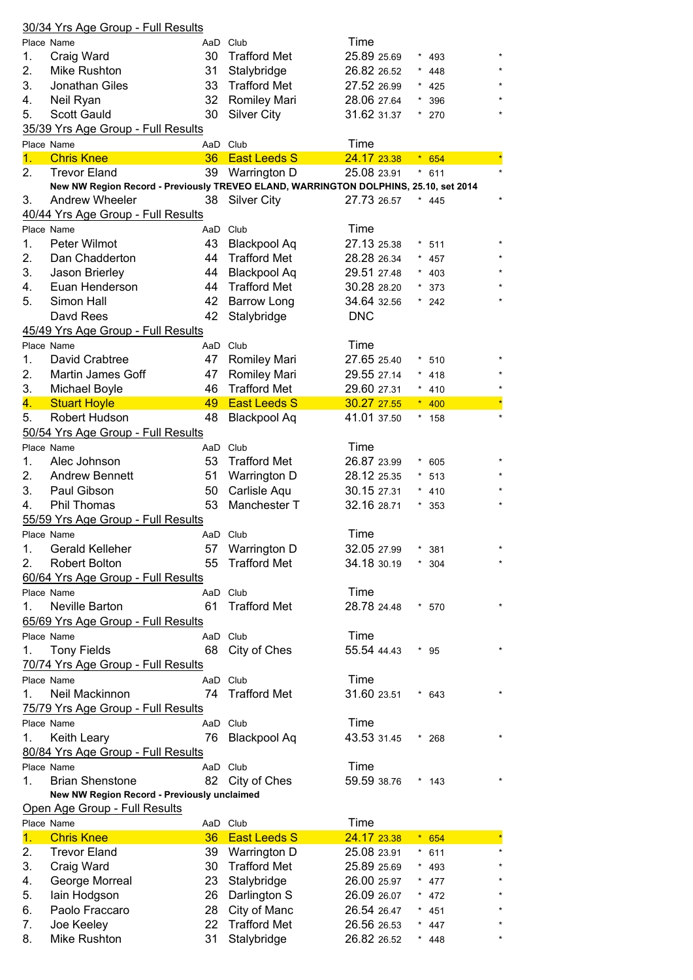|                               | 30/34 Yrs Age Group - Full Results                                                   |          |                                     |                     |            |                |  |  |
|-------------------------------|--------------------------------------------------------------------------------------|----------|-------------------------------------|---------------------|------------|----------------|--|--|
|                               | Place Name                                                                           |          | AaD Club                            | Time                |            |                |  |  |
| 1.                            | Craig Ward                                                                           | 30       | <b>Trafford Met</b>                 | 25.89 25.69         |            | 493            |  |  |
| 2.                            | Mike Rushton                                                                         | 31       | Stalybridge                         | 26.82 26.52         |            | 448            |  |  |
| 3.                            | Jonathan Giles                                                                       | 33       | <b>Trafford Met</b>                 | 27.52 26.99         |            | 425            |  |  |
| 4.                            | Neil Ryan                                                                            | 32       | <b>Romiley Mari</b>                 | 28.06 27.64         |            | 396            |  |  |
| 5.                            | <b>Scott Gauld</b>                                                                   | 30       | <b>Silver City</b>                  | 31.62 31.37         |            | 270            |  |  |
|                               | 35/39 Yrs Age Group - Full Results                                                   |          |                                     |                     |            |                |  |  |
|                               | Place Name                                                                           |          | AaD Club                            | Time                |            |                |  |  |
| 1.                            | <b>Chris Knee</b>                                                                    | 36       | <b>East Leeds S</b>                 | 24.17 23.38         |            | 654            |  |  |
| 2.                            | <b>Trevor Eland</b>                                                                  | 39       | Warrington D                        | 25.08 23.91         | $\star$    | $\star$<br>611 |  |  |
|                               | New NW Region Record - Previously TREVEO ELAND, WARRINGTON DOLPHINS, 25.10, set 2014 |          |                                     |                     |            |                |  |  |
| 3.                            | <b>Andrew Wheeler</b>                                                                | 38       | <b>Silver City</b>                  | 27.73 26.57         |            | $*$ 445        |  |  |
|                               | 40/44 Yrs Age Group - Full Results                                                   |          |                                     |                     |            |                |  |  |
|                               | Place Name                                                                           |          | AaD Club                            | Time                |            |                |  |  |
| 1.                            | Peter Wilmot                                                                         | 43       | <b>Blackpool Aq</b>                 | 27.13 25.38         |            | 511            |  |  |
| 2.                            | Dan Chadderton                                                                       | 44       | <b>Trafford Met</b>                 | 28.28 26.34         |            | 457            |  |  |
| 3.                            | Jason Brierley                                                                       | 44       | <b>Blackpool Aq</b>                 | 29.51 27.48         |            | 403            |  |  |
| 4.                            | Euan Henderson                                                                       | 44       | <b>Trafford Met</b>                 | 30.28 28.20         |            | 373            |  |  |
| 5.                            | Simon Hall                                                                           | 42       | <b>Barrow Long</b>                  | 34.64 32.56         |            | 242            |  |  |
|                               | Davd Rees                                                                            | 42       | Stalybridge                         | <b>DNC</b>          |            |                |  |  |
|                               | 45/49 Yrs Age Group - Full Results                                                   |          |                                     |                     |            |                |  |  |
|                               | Place Name                                                                           |          | AaD Club                            | Time                |            |                |  |  |
| 1.                            | David Crabtree                                                                       | 47       | Romiley Mari                        | 27.65 25.40         |            | 510            |  |  |
| 2.                            | Martin James Goff                                                                    | 47       | Romiley Mari                        | 29.55 27.14         |            | 418            |  |  |
| 3.                            | Michael Boyle                                                                        | 46       | <b>Trafford Met</b>                 | 29.60 27.31         | $\star$    | 410            |  |  |
| 4.                            | <b>Stuart Hoyle</b>                                                                  | 49       | <b>East Leeds S</b>                 | 30.27 27.55         | $\star$    | 400            |  |  |
| 5.                            | Robert Hudson                                                                        | 48       | <b>Blackpool Aq</b>                 | 41.01 37.50         | $^{\star}$ | 158            |  |  |
|                               | 50/54 Yrs Age Group - Full Results                                                   |          |                                     |                     |            |                |  |  |
|                               | Place Name                                                                           |          | AaD Club                            | Time                |            |                |  |  |
| 1.                            | Alec Johnson                                                                         | 53       | <b>Trafford Met</b>                 | 26.87 23.99         |            | 605            |  |  |
| 2.                            | <b>Andrew Bennett</b>                                                                | 51       | Warrington D                        | 28.12 25.35         |            | 513            |  |  |
| 3.                            | Paul Gibson                                                                          | 50       | Carlisle Aqu                        | 30.15 27.31         |            | 410            |  |  |
| 4.                            | Phil Thomas                                                                          | 53       | Manchester T                        | 32.16 28.71         |            |                |  |  |
|                               | 55/59 Yrs Age Group - Full Results                                                   |          |                                     |                     |            | 353            |  |  |
|                               | Place Name                                                                           |          | AaD Club                            | Time                |            |                |  |  |
| 1.                            | <b>Gerald Kelleher</b>                                                               |          |                                     |                     | *          | $^\star$       |  |  |
| 2.                            |                                                                                      | 57       | Warrington D<br><b>Trafford Met</b> | 32.05 27.99         |            | 381            |  |  |
|                               | <b>Robert Bolton</b>                                                                 | 55       |                                     | 34.18 30.19         |            | 304            |  |  |
|                               | 60/64 Yrs Age Group - Full Results                                                   |          |                                     |                     |            |                |  |  |
|                               | Place Name                                                                           | 61       | AaD Club                            | Time<br>28.78 24.48 |            |                |  |  |
| 1.                            | Neville Barton                                                                       |          | <b>Trafford Met</b>                 |                     |            | * 570          |  |  |
|                               | 65/69 Yrs Age Group - Full Results                                                   |          |                                     |                     |            |                |  |  |
|                               | Place Name                                                                           |          | AaD Club                            | Time                |            |                |  |  |
| 1.                            | <b>Tony Fields</b>                                                                   | 68       | City of Ches                        | 55.54 44.43         |            | 95             |  |  |
|                               | 70/74 Yrs Age Group - Full Results                                                   |          |                                     |                     |            |                |  |  |
|                               | Place Name                                                                           | AaD Club |                                     | Time                |            |                |  |  |
| 1.                            | Neil Mackinnon                                                                       | 74       | <b>Trafford Met</b>                 | 31.60 23.51         |            | $* 643$        |  |  |
|                               | 75/79 Yrs Age Group - Full Results                                                   |          |                                     |                     |            |                |  |  |
|                               | Place Name                                                                           |          | AaD Club                            | Time                |            |                |  |  |
| 1.                            | Keith Leary                                                                          | 76       | <b>Blackpool Aq</b>                 | 43.53 31.45         | $\star$    | $\star$<br>268 |  |  |
|                               | 80/84 Yrs Age Group - Full Results                                                   |          |                                     |                     |            |                |  |  |
|                               | Place Name                                                                           | AaD Club |                                     | Time                |            |                |  |  |
| 1.                            | <b>Brian Shenstone</b>                                                               | 82       | City of Ches                        | 59.59 38.76         |            | $*$ 143        |  |  |
|                               | New NW Region Record - Previously unclaimed                                          |          |                                     |                     |            |                |  |  |
| Open Age Group - Full Results |                                                                                      |          |                                     |                     |            |                |  |  |
|                               | Place Name                                                                           |          | AaD Club                            | Time                |            |                |  |  |
| 1.                            | <b>Chris Knee</b>                                                                    | 36       | <b>East Leeds S</b>                 | 24.17 23.38         |            | $* 654$        |  |  |
| 2.                            | <b>Trevor Eland</b>                                                                  | 39       | Warrington D                        | 25.08 23.91         |            | $\star$<br>611 |  |  |
| 3.                            | Craig Ward                                                                           | 30       | <b>Trafford Met</b>                 | 25.89 25.69         |            | 493            |  |  |
| 4.                            | George Morreal                                                                       | 23       | Stalybridge                         | 26.00 25.97         |            | 477            |  |  |
| 5.                            | lain Hodgson                                                                         | 26       | Darlington S                        | 26.09 26.07         |            | 472            |  |  |
| 6.                            | Paolo Fraccaro                                                                       | 28       | City of Manc                        | 26.54 26.47         |            | 451            |  |  |
| 7.                            | Joe Keeley                                                                           | 22       | <b>Trafford Met</b>                 | 26.56 26.53         |            | 447            |  |  |
| 8.                            | Mike Rushton                                                                         | 31       | Stalybridge                         | 26.82 26.52         |            | * $448$        |  |  |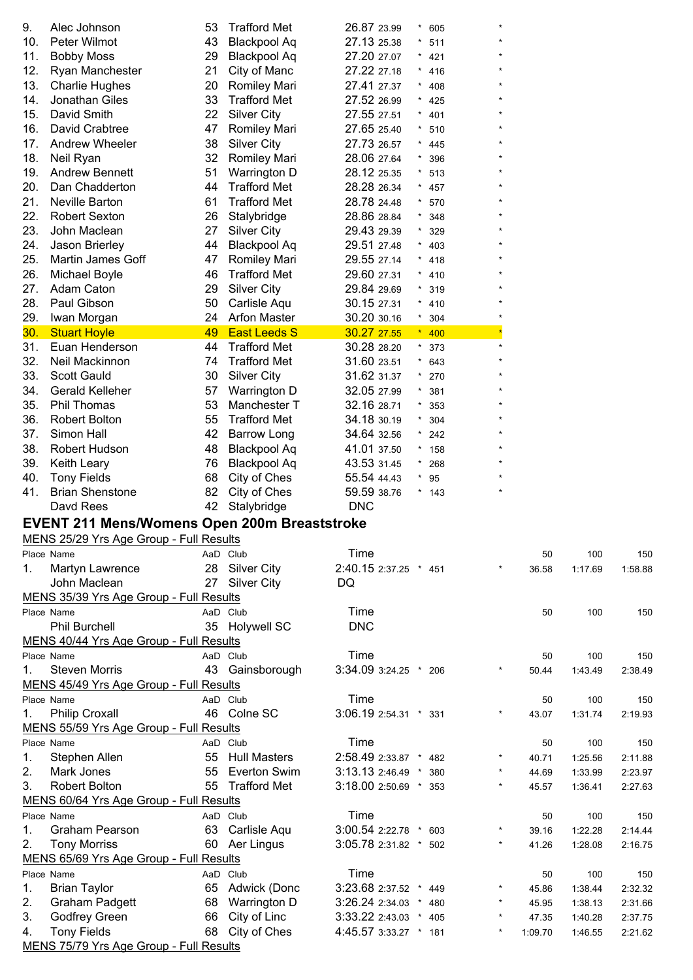| 9.  | Alec Johnson                                          | 53 | <b>Trafford Met</b> | 26.87 23.99           | $^{\star}$ | 605     |            |         |         |         |
|-----|-------------------------------------------------------|----|---------------------|-----------------------|------------|---------|------------|---------|---------|---------|
| 10. | Peter Wilmot                                          | 43 | <b>Blackpool Aq</b> | 27.13 25.38           | $\star$    | 511     |            |         |         |         |
| 11. | <b>Bobby Moss</b>                                     | 29 | <b>Blackpool Aq</b> | 27.20 27.07           |            | 421     |            |         |         |         |
| 12. | Ryan Manchester                                       | 21 | City of Manc        | 27.22 27.18           |            | 416     |            |         |         |         |
| 13. | <b>Charlie Hughes</b>                                 | 20 | <b>Romiley Mari</b> | 27.41 27.37           |            | 408     |            |         |         |         |
| 14. | Jonathan Giles                                        | 33 | <b>Trafford Met</b> | 27.52 26.99           | $\star$    | 425     |            |         |         |         |
| 15. | David Smith                                           | 22 | <b>Silver City</b>  | 27.55 27.51           | $\star$    | 401     |            |         |         |         |
| 16. | David Crabtree                                        | 47 | Romiley Mari        | 27.65 25.40           |            | $* 510$ |            |         |         |         |
| 17. | Andrew Wheeler                                        | 38 | <b>Silver City</b>  | 27.73 26.57           |            | * $445$ |            |         |         |         |
| 18. | Neil Ryan                                             | 32 | Romiley Mari        | 28.06 27.64           | $\star$    | 396     |            |         |         |         |
| 19. | <b>Andrew Bennett</b>                                 | 51 | Warrington D        | 28.12 25.35           | $\star$    | 513     |            |         |         |         |
| 20. | Dan Chadderton                                        | 44 | <b>Trafford Met</b> | 28.28 26.34           | $\star$    | 457     |            |         |         |         |
| 21. | Neville Barton                                        | 61 | <b>Trafford Met</b> | 28.78 24.48           | $\star$    | 570     |            |         |         |         |
| 22. | <b>Robert Sexton</b>                                  | 26 | Stalybridge         | 28.86 28.84           | $\star$    | 348     |            |         |         |         |
| 23. | John Maclean                                          | 27 | <b>Silver City</b>  | 29.43 29.39           | $\star$    | 329     |            |         |         |         |
| 24. | Jason Brierley                                        | 44 | <b>Blackpool Aq</b> | 29.51 27.48           | $\star$    | 403     |            |         |         |         |
| 25. | <b>Martin James Goff</b>                              | 47 | Romiley Mari        | 29.55 27.14           | $\star$    | 418     |            |         |         |         |
| 26. | Michael Boyle                                         | 46 | <b>Trafford Met</b> | 29.60 27.31           | $\star$    | 410     |            |         |         |         |
| 27. | Adam Caton                                            | 29 | <b>Silver City</b>  | 29.84 29.69           | $^\star$   | 319     |            |         |         |         |
| 28. | Paul Gibson                                           | 50 | Carlisle Aqu        | 30.15 27.31           |            | $* 410$ |            |         |         |         |
| 29. | Iwan Morgan                                           | 24 | <b>Arfon Master</b> | 30.20 30.16           |            | $*304$  |            |         |         |         |
| 30. | <b>Stuart Hoyle</b>                                   | 49 | <b>East Leeds S</b> | 30.27 27.55           |            | $*$ 400 |            |         |         |         |
|     | Euan Henderson                                        | 44 | <b>Trafford Met</b> | 30.28 28.20           |            |         |            |         |         |         |
| 31. |                                                       |    |                     |                       |            | $*373$  |            |         |         |         |
| 32. | Neil Mackinnon                                        | 74 | <b>Trafford Met</b> | 31.60 23.51           | $^\star$   | 643     |            |         |         |         |
| 33. | <b>Scott Gauld</b>                                    | 30 | <b>Silver City</b>  | 31.62 31.37           | $\star$    | 270     |            |         |         |         |
| 34. | Gerald Kelleher                                       | 57 | Warrington D        | 32.05 27.99           | $\star$    | 381     |            |         |         |         |
| 35. | Phil Thomas                                           | 53 | Manchester T        | 32.16 28.71           | $\star$    | 353     |            |         |         |         |
| 36. | <b>Robert Bolton</b>                                  | 55 | <b>Trafford Met</b> | 34.18 30.19           |            | 304     |            |         |         |         |
| 37. | Simon Hall                                            | 42 | <b>Barrow Long</b>  | 34.64 32.56           |            | 242     |            |         |         |         |
| 38. | <b>Robert Hudson</b>                                  | 48 | <b>Blackpool Aq</b> | 41.01 37.50           | $^\star$   | 158     |            |         |         |         |
| 39. | Keith Leary                                           | 76 | <b>Blackpool Aq</b> | 43.53 31.45           | $\star$    | 268     |            |         |         |         |
| 40. | <b>Tony Fields</b>                                    | 68 | City of Ches        | 55.54 44.43           | $\star$    | 95      |            |         |         |         |
| 41. | <b>Brian Shenstone</b>                                | 82 | City of Ches        | 59.59 38.76           |            | $*$ 143 |            |         |         |         |
|     | Davd Rees                                             | 42 | Stalybridge         | <b>DNC</b>            |            |         |            |         |         |         |
|     | <b>EVENT 211 Mens/Womens Open 200m Breaststroke</b>   |    |                     |                       |            |         |            |         |         |         |
|     | MENS 25/29 Yrs Age Group - Full Results               |    |                     |                       |            |         |            |         |         |         |
|     | Place Name                                            |    | AaD Club            | Time                  |            |         |            | 50      | 100     | 150     |
| 1.  | Martyn Lawrence                                       |    | 28 Silver City      | 2:40.15 2:37.25 * 451 |            |         |            | 36.58   | 1:17.69 | 1:58.88 |
|     | John Maclean                                          |    | 27 Silver City      | DQ                    |            |         |            |         |         |         |
|     | MENS 35/39 Yrs Age Group - Full Results               |    |                     |                       |            |         |            |         |         |         |
|     | Place Name                                            |    | AaD Club            | Time                  |            |         |            | 50      | 100     | 150     |
|     | <b>Phil Burchell</b>                                  |    | 35 Holywell SC      | <b>DNC</b>            |            |         |            |         |         |         |
|     | MENS 40/44 Yrs Age Group - Full Results               |    |                     |                       |            |         |            |         |         |         |
|     | Place Name                                            |    | AaD Club            | Time                  |            |         |            | 50      | 100     | 150     |
| 1.  | <b>Steven Morris</b>                                  |    | 43 Gainsborough     | 3:34.09 3:24.25 * 206 |            |         |            | 50.44   | 1:43.49 | 2:38.49 |
|     | MENS 45/49 Yrs Age Group - Full Results               |    |                     |                       |            |         |            |         |         |         |
|     | Place Name                                            |    | AaD Club            | Time                  |            |         |            | 50      | 100     | 150     |
| 1.  | <b>Philip Croxall</b>                                 |    | 46 Colne SC         | 3:06.19 2:54.31 * 331 |            |         |            | 43.07   | 1:31.74 | 2:19.93 |
|     | MENS 55/59 Yrs Age Group - Full Results               |    |                     |                       |            |         |            |         |         |         |
|     | Place Name                                            |    | AaD Club            | Time                  |            |         |            | 50      | 100     | 150     |
| 1.  | Stephen Allen                                         |    | 55 Hull Masters     | 2:58.49 2:33.87 *     |            | 482     |            | 40.71   | 1:25.56 | 2:11.88 |
| 2.  | Mark Jones                                            | 55 | <b>Everton Swim</b> | $3:13.132:46.49$ *    |            | 380     | $\star$    | 44.69   | 1:33.99 | 2:23.97 |
| 3.  | <b>Robert Bolton</b>                                  |    | 55 Trafford Met     | 3:18.00 2:50.69 * 353 |            |         | $\star$    | 45.57   | 1:36.41 | 2:27.63 |
|     | MENS 60/64 Yrs Age Group - Full Results               |    |                     |                       |            |         |            |         |         |         |
|     | Place Name                                            |    | AaD Club            | Time                  |            |         |            | 50      | 100     | 150     |
| 1.  | Graham Pearson                                        | 63 | Carlisle Aqu        | 3:00.54 2:22.78 *     |            |         |            | 39.16   | 1:22.28 | 2:14.44 |
| 2.  |                                                       |    |                     |                       |            | 603     |            |         |         |         |
|     | <b>Tony Morriss</b>                                   | 60 | Aer Lingus          | 3:05.78 2:31.82 * 502 |            |         |            | 41.26   | 1:28.08 | 2:16.75 |
|     | MENS 65/69 Yrs Age Group - Full Results<br>Place Name |    |                     |                       |            |         |            |         |         |         |
|     |                                                       |    | AaD Club            | Time                  |            |         |            | 50      | 100     | 150     |
| 1.  | <b>Brian Taylor</b>                                   | 65 | Adwick (Donc        | 3:23.68 2:37.52 *     |            | 449     |            | 45.86   | 1:38.44 | 2:32.32 |
| 2.  | <b>Graham Padgett</b>                                 | 68 | Warrington D        | 3:26.24 2:34.03 *     |            | 480     | $^{\star}$ | 45.95   | 1:38.13 | 2:31.66 |
| 3.  | Godfrey Green                                         | 66 | City of Linc        | 3:33.22 2:43.03 * 405 |            |         | $^{\star}$ | 47.35   | 1:40.28 | 2:37.75 |
| 4.  | <b>Tony Fields</b>                                    | 68 | City of Ches        | 4:45.57 3:33.27 * 181 |            |         |            | 1:09.70 | 1:46.55 | 2:21.62 |

MENS 75/79 Yrs Age Group - Full Results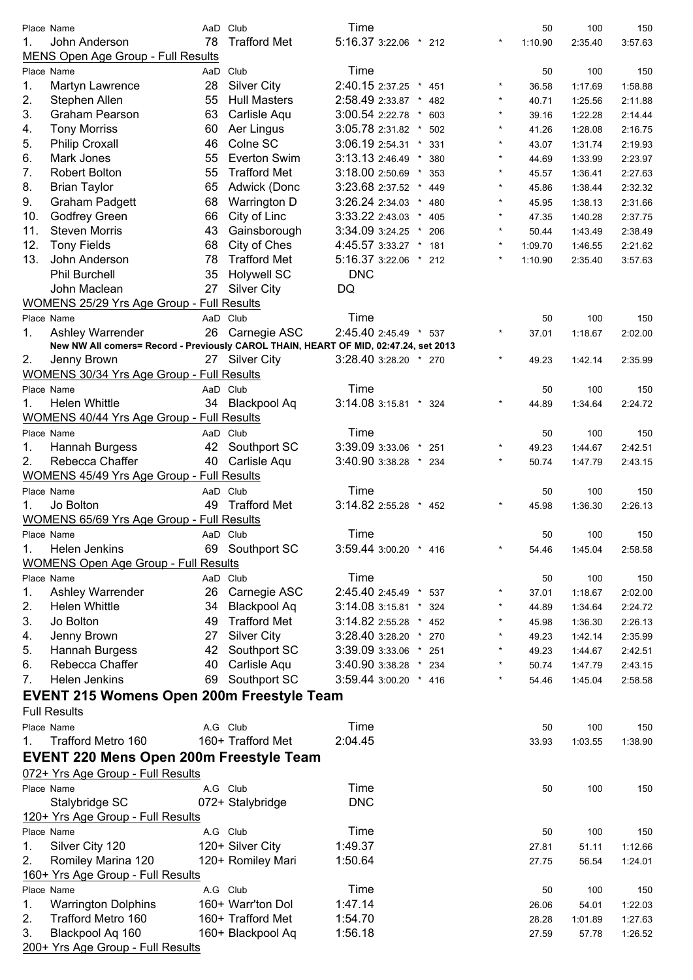|          | Place Name                                                                           | AaD | Club                                   | Time                       |                   |            | 50             | 100              | 150                |
|----------|--------------------------------------------------------------------------------------|-----|----------------------------------------|----------------------------|-------------------|------------|----------------|------------------|--------------------|
| 1.       | John Anderson                                                                        | 78  | <b>Trafford Met</b>                    | 5:16.37 3:22.06 * 212      |                   | $\star$    | 1:10.90        | 2:35.40          | 3:57.63            |
|          | MENS Open Age Group - Full Results                                                   |     |                                        |                            |                   |            |                |                  |                    |
|          | Place Name                                                                           | AaD | Club                                   | Time                       |                   |            | 50             | 100              | 150                |
| 1.       | Martyn Lawrence                                                                      | 28  | <b>Silver City</b>                     | 2:40.15 2:37.25 *          | 451               | $^{\star}$ | 36.58          | 1:17.69          | 1:58.88            |
| 2.       | Stephen Allen                                                                        | 55  | <b>Hull Masters</b>                    | 2:58.49 2:33.87 *          | 482               | $\star$    | 40.71          | 1:25.56          | 2:11.88            |
| 3.       | <b>Graham Pearson</b>                                                                | 63  | Carlisle Aqu                           | 3:00.54 2:22.78 *          | 603               | $\star$    | 39.16          | 1:22.28          | 2:14.44            |
| 4.       | <b>Tony Morriss</b>                                                                  | 60  | Aer Lingus                             | 3:05.78 2:31.82 *          | 502               | $\star$    | 41.26          | 1:28.08          | 2:16.75            |
| 5.       | <b>Philip Croxall</b>                                                                | 46  | Colne SC                               | 3:06.19 2:54.31 *          | 331               | $\star$    | 43.07          | 1:31.74          | 2:19.93            |
| 6.       | Mark Jones                                                                           | 55  | Everton Swim                           | 3:13.13 2:46.49 *          | 380               | $\star$    | 44.69          | 1:33.99          | 2:23.97            |
| 7.       | <b>Robert Bolton</b>                                                                 | 55  | <b>Trafford Met</b>                    | 3:18.00 2:50.69 *          | 353               | $\star$    | 45.57          | 1:36.41          | 2:27.63            |
| 8.       | <b>Brian Taylor</b>                                                                  | 65  | Adwick (Donc                           | 3:23.68 2:37.52            | $^{\star}$<br>449 | $\star$    | 45.86          | 1:38.44          | 2:32.32            |
| 9.       | <b>Graham Padgett</b>                                                                | 68  | Warrington D                           | 3:26.24 2:34.03<br>$\star$ | 480               | $\star$    | 45.95          | 1:38.13          | 2:31.66            |
| 10.      | Godfrey Green                                                                        | 66  | City of Linc                           | 3:33.22 2:43.03            | 405<br>$\star$    | $^{\star}$ | 47.35          | 1:40.28          | 2:37.75            |
| 11.      | <b>Steven Morris</b>                                                                 | 43  | Gainsborough                           | 3:34.09 3:24.25 *          | 206               | $\star$    | 50.44          | 1:43.49          | 2:38.49            |
| 12.      | <b>Tony Fields</b>                                                                   | 68  | City of Ches                           | 4:45.57 3:33.27 *          | 181               | $\star$    | 1:09.70        | 1:46.55          | 2:21.62            |
| 13.      | John Anderson                                                                        | 78  | <b>Trafford Met</b>                    | 5:16.37 3:22.06 *          | 212               | $\star$    | 1:10.90        | 2:35.40          | 3:57.63            |
|          | Phil Burchell                                                                        | 35  | <b>Holywell SC</b>                     | <b>DNC</b>                 |                   |            |                |                  |                    |
|          | John Maclean                                                                         | 27  | <b>Silver City</b>                     | DQ                         |                   |            |                |                  |                    |
|          | WOMENS 25/29 Yrs Age Group - Full Results                                            |     |                                        |                            |                   |            |                |                  |                    |
|          | Place Name                                                                           |     | AaD Club                               | Time                       |                   |            | 50             | 100              | 150                |
| 1.       | Ashley Warrender                                                                     | 26  | Carnegie ASC                           | 2:45.40 2:45.49 * 537      |                   | $\star$    | 37.01          | 1:18.67          | 2:02.00            |
|          | New NW All comers= Record - Previously CAROL THAIN, HEART OF MID, 02:47.24, set 2013 |     |                                        |                            |                   |            |                |                  |                    |
| 2.       | Jenny Brown                                                                          |     | 27 Silver City                         | 3:28.40 3:28.20 * 270      |                   | $\star$    | 49.23          | 1:42.14          | 2:35.99            |
|          | WOMENS 30/34 Yrs Age Group - Full Results                                            |     |                                        |                            |                   |            |                |                  |                    |
|          | Place Name                                                                           |     | AaD Club                               | Time                       |                   |            | 50             | 100              | 150                |
| 1.       | <b>Helen Whittle</b>                                                                 | 34  | <b>Blackpool Aq</b>                    | 3:14.08 3:15.81 * 324      |                   |            | 44.89          | 1:34.64          | 2:24.72            |
|          | <b>WOMENS 40/44 Yrs Age Group - Full Results</b>                                     |     |                                        |                            |                   |            |                |                  |                    |
|          | Place Name                                                                           |     | AaD Club                               | Time                       |                   |            | 50             | 100              | 150                |
| 1.       | Hannah Burgess                                                                       | 42  | Southport SC                           | 3:39.09 3:33.06 *          | 251               | $^{\star}$ | 49.23          | 1:44.67          | 2:42.51            |
| 2.       | Rebecca Chaffer                                                                      | 40  | Carlisle Aqu                           | 3:40.90 3:38.28 * 234      |                   | $\star$    | 50.74          | 1:47.79          | 2:43.15            |
|          | WOMENS 45/49 Yrs Age Group - Full Results                                            |     |                                        |                            |                   |            |                |                  |                    |
|          | Place Name                                                                           |     | AaD Club                               | Time                       |                   |            | 50             | 100              | 150                |
| 1.       | Jo Bolton                                                                            | 49  | <b>Trafford Met</b>                    | 3:14.82 2:55.28 *          | 452               | $^{\star}$ | 45.98          | 1:36.30          | 2:26.13            |
|          | WOMENS 65/69 Yrs Age Group - Full Results                                            |     |                                        |                            |                   |            |                |                  |                    |
|          | Place Name                                                                           |     | AaD Club                               | Time                       |                   |            | 50             | 100              | 150                |
| 1.       | <b>Helen Jenkins</b>                                                                 |     | 69 Southport SC                        | 3:59.44 3:00.20 * 416      |                   | $\star$    | 54.46          | 1:45.04          | 2:58.58            |
|          | <b>WOMENS Open Age Group - Full Results</b>                                          |     |                                        |                            |                   |            |                |                  |                    |
|          | Place Name                                                                           |     | AaD Club                               | Time                       |                   |            | 50             | 100              | 150                |
| 1.       | Ashley Warrender                                                                     | 26  | Carnegie ASC                           | 2:45.40 2:45.49 * 537      |                   | $\star$    | 37.01          | 1:18.67          | 2:02.00            |
| 2.       | <b>Helen Whittle</b>                                                                 | 34  | <b>Blackpool Aq</b>                    | $3:14.083:15.81$ *         | 324               |            | 44.89          | 1:34.64          | 2:24.72            |
| 3.       | Jo Bolton                                                                            | 49  | <b>Trafford Met</b>                    | 3:14.82 2:55.28 * 452      |                   |            | 45.98          | 1:36.30          | 2:26.13            |
| 4.       | Jenny Brown                                                                          | 27  | <b>Silver City</b>                     | 3:28.40 3:28.20 * 270      |                   | $^{\star}$ | 49.23          | 1:42.14          | 2:35.99            |
| 5.       | Hannah Burgess                                                                       | 42  | Southport SC                           | 3:39.09 3:33.06 * 251      |                   | $^{\star}$ | 49.23          | 1:44.67          | 2:42.51            |
| 6.       | Rebecca Chaffer                                                                      | 40  | Carlisle Aqu                           | 3:40.90 3:38.28 * 234      |                   | $\star$    | 50.74          | 1:47.79          | 2:43.15            |
| 7.       | Helen Jenkins                                                                        | 69  | Southport SC                           | 3:59.44 3:00.20 * 416      |                   | $\star$    | 54.46          | 1:45.04          | 2:58.58            |
|          | <b>EVENT 215 Womens Open 200m Freestyle Team</b>                                     |     |                                        |                            |                   |            |                |                  |                    |
|          |                                                                                      |     |                                        |                            |                   |            |                |                  |                    |
|          | <b>Full Results</b>                                                                  |     |                                        |                            |                   |            |                |                  |                    |
|          | Place Name                                                                           |     |                                        | Time                       |                   |            | 50             | 100              | 150                |
| 1.       | Trafford Metro 160                                                                   |     | A.G Club<br>160+ Trafford Met          | 2:04.45                    |                   |            | 33.93          | 1:03.55          | 1:38.90            |
|          |                                                                                      |     |                                        |                            |                   |            |                |                  |                    |
|          | <b>EVENT 220 Mens Open 200m Freestyle Team</b>                                       |     |                                        |                            |                   |            |                |                  |                    |
|          | 072+ Yrs Age Group - Full Results                                                    |     |                                        |                            |                   |            |                |                  |                    |
|          | Place Name                                                                           |     | A.G Club                               | Time                       |                   |            | 50             | 100              | 150                |
|          | Stalybridge SC                                                                       |     | 072+ Stalybridge                       | <b>DNC</b>                 |                   |            |                |                  |                    |
|          | 120+ Yrs Age Group - Full Results                                                    |     |                                        |                            |                   |            |                |                  |                    |
|          | Place Name                                                                           |     | A.G Club                               | Time                       |                   |            | 50             | 100              | 150                |
| 1.       | Silver City 120                                                                      |     | 120+ Silver City                       | 1:49.37                    |                   |            | 27.81          | 51.11            | 1:12.66            |
| 2.       | Romiley Marina 120                                                                   |     | 120+ Romiley Mari                      | 1:50.64                    |                   |            | 27.75          | 56.54            | 1:24.01            |
|          | 160+ Yrs Age Group - Full Results                                                    |     |                                        |                            |                   |            |                |                  |                    |
|          | Place Name                                                                           |     | A.G Club                               | Time                       |                   |            | 50             | 100              | 150                |
| 1.       | <b>Warrington Dolphins</b>                                                           |     | 160+ Warr'ton Dol                      | 1:47.14                    |                   |            | 26.06          | 54.01            | 1:22.03            |
| 2.<br>3. | Trafford Metro 160<br>Blackpool Aq 160                                               |     | 160+ Trafford Met<br>160+ Blackpool Aq | 1:54.70<br>1:56.18         |                   |            | 28.28<br>27.59 | 1:01.89<br>57.78 | 1:27.63<br>1:26.52 |

200+ Yrs Age Group - Full Results